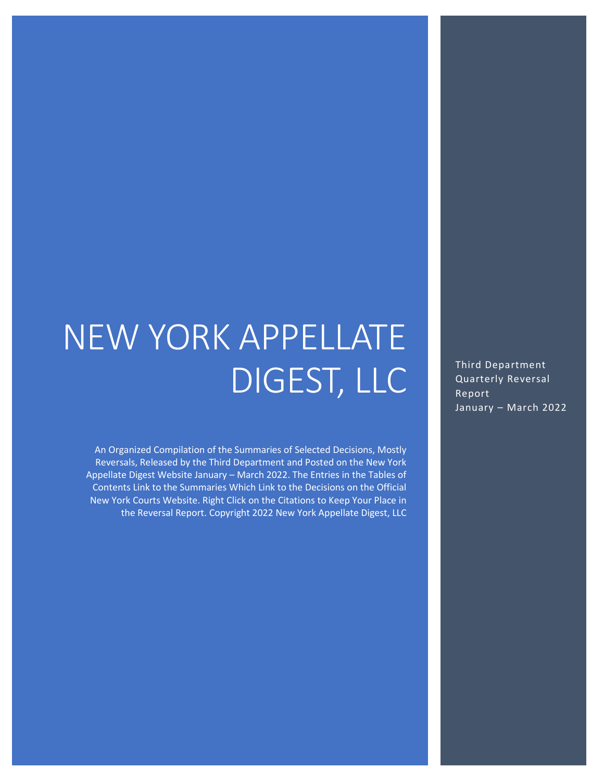# NEW YORK APPELLATE DIGEST, LLC

An Organized Compilation of the Summaries of Selected Decisions, Mostly Reversals, Released by the Third Department and Posted on the New York Appellate Digest Website January – March 2022. The Entries in the Tables of Contents Link to the Summaries Which Link to the Decisions on the Official New York Courts Website. Right Click on the Citations to Keep Your Place in the Reversal Report. Copyright 2022 New York Appellate Digest, LLC Third Department Quarterly Reversal Report January – March 2022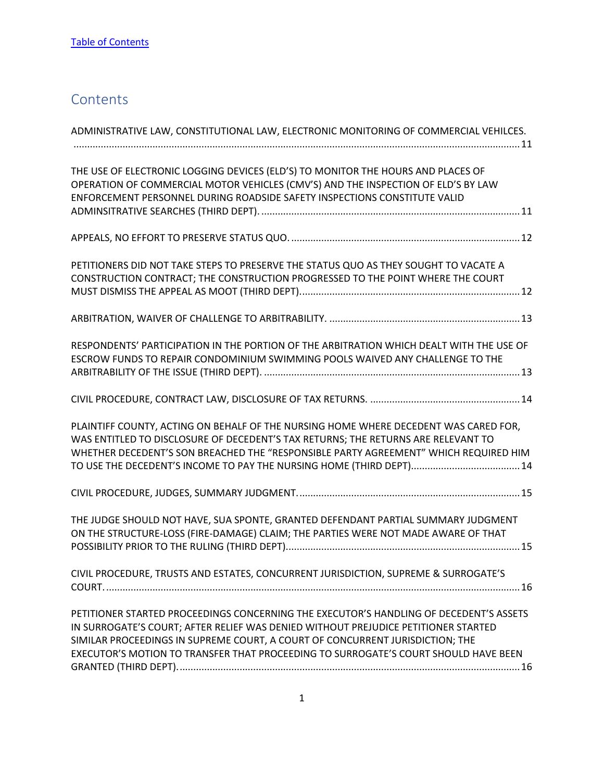# <span id="page-1-0"></span>**Contents**

| ADMINISTRATIVE LAW, CONSTITUTIONAL LAW, ELECTRONIC MONITORING OF COMMERCIAL VEHILCES.                                                                                                                                                                                                                                                                |
|------------------------------------------------------------------------------------------------------------------------------------------------------------------------------------------------------------------------------------------------------------------------------------------------------------------------------------------------------|
| THE USE OF ELECTRONIC LOGGING DEVICES (ELD'S) TO MONITOR THE HOURS AND PLACES OF<br>OPERATION OF COMMERCIAL MOTOR VEHICLES (CMV'S) AND THE INSPECTION OF ELD'S BY LAW<br>ENFORCEMENT PERSONNEL DURING ROADSIDE SAFETY INSPECTIONS CONSTITUTE VALID                                                                                                   |
|                                                                                                                                                                                                                                                                                                                                                      |
| PETITIONERS DID NOT TAKE STEPS TO PRESERVE THE STATUS QUO AS THEY SOUGHT TO VACATE A<br>CONSTRUCTION CONTRACT; THE CONSTRUCTION PROGRESSED TO THE POINT WHERE THE COURT                                                                                                                                                                              |
|                                                                                                                                                                                                                                                                                                                                                      |
| RESPONDENTS' PARTICIPATION IN THE PORTION OF THE ARBITRATION WHICH DEALT WITH THE USE OF<br>ESCROW FUNDS TO REPAIR CONDOMINIUM SWIMMING POOLS WAIVED ANY CHALLENGE TO THE                                                                                                                                                                            |
|                                                                                                                                                                                                                                                                                                                                                      |
| PLAINTIFF COUNTY, ACTING ON BEHALF OF THE NURSING HOME WHERE DECEDENT WAS CARED FOR,<br>WAS ENTITLED TO DISCLOSURE OF DECEDENT'S TAX RETURNS; THE RETURNS ARE RELEVANT TO<br>WHETHER DECEDENT'S SON BREACHED THE "RESPONSIBLE PARTY AGREEMENT" WHICH REQUIRED HIM                                                                                    |
|                                                                                                                                                                                                                                                                                                                                                      |
| THE JUDGE SHOULD NOT HAVE, SUA SPONTE, GRANTED DEFENDANT PARTIAL SUMMARY JUDGMENT<br>ON THE STRUCTURE-LOSS (FIRE-DAMAGE) CLAIM; THE PARTIES WERE NOT MADE AWARE OF THAT                                                                                                                                                                              |
| CIVIL PROCEDURE, TRUSTS AND ESTATES, CONCURRENT JURISDICTION, SUPREME & SURROGATE'S                                                                                                                                                                                                                                                                  |
| PETITIONER STARTED PROCEEDINGS CONCERNING THE EXECUTOR'S HANDLING OF DECEDENT'S ASSETS<br>IN SURROGATE'S COURT; AFTER RELIEF WAS DENIED WITHOUT PREJUDICE PETITIONER STARTED<br>SIMILAR PROCEEDINGS IN SUPREME COURT, A COURT OF CONCURRENT JURISDICTION; THE<br>EXECUTOR'S MOTION TO TRANSFER THAT PROCEEDING TO SURROGATE'S COURT SHOULD HAVE BEEN |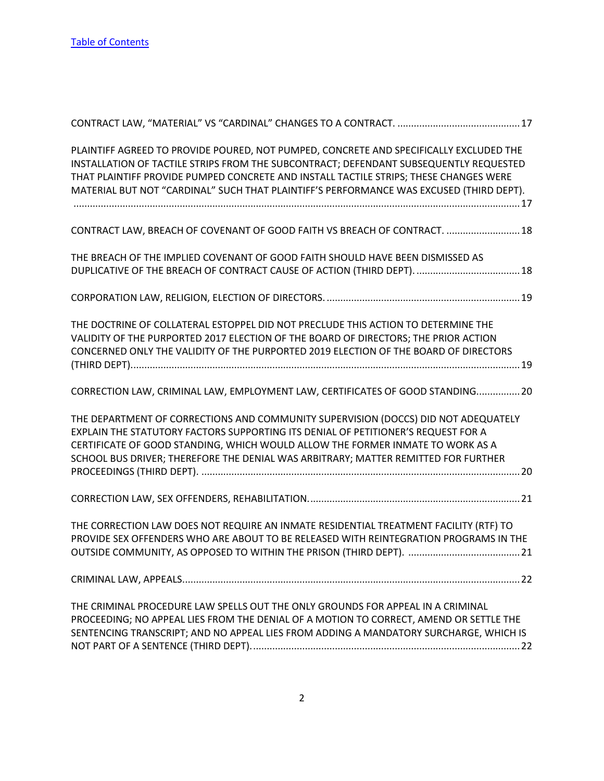| PLAINTIFF AGREED TO PROVIDE POURED, NOT PUMPED, CONCRETE AND SPECIFICALLY EXCLUDED THE<br>INSTALLATION OF TACTILE STRIPS FROM THE SUBCONTRACT; DEFENDANT SUBSEQUENTLY REQUESTED<br>THAT PLAINTIFF PROVIDE PUMPED CONCRETE AND INSTALL TACTILE STRIPS; THESE CHANGES WERE<br>MATERIAL BUT NOT "CARDINAL" SUCH THAT PLAINTIFF'S PERFORMANCE WAS EXCUSED (THIRD DEPT). |
|---------------------------------------------------------------------------------------------------------------------------------------------------------------------------------------------------------------------------------------------------------------------------------------------------------------------------------------------------------------------|
| CONTRACT LAW, BREACH OF COVENANT OF GOOD FAITH VS BREACH OF CONTRACT.  18                                                                                                                                                                                                                                                                                           |
| THE BREACH OF THE IMPLIED COVENANT OF GOOD FAITH SHOULD HAVE BEEN DISMISSED AS                                                                                                                                                                                                                                                                                      |
|                                                                                                                                                                                                                                                                                                                                                                     |
| THE DOCTRINE OF COLLATERAL ESTOPPEL DID NOT PRECLUDE THIS ACTION TO DETERMINE THE<br>VALIDITY OF THE PURPORTED 2017 ELECTION OF THE BOARD OF DIRECTORS; THE PRIOR ACTION<br>CONCERNED ONLY THE VALIDITY OF THE PURPORTED 2019 ELECTION OF THE BOARD OF DIRECTORS                                                                                                    |
| CORRECTION LAW, CRIMINAL LAW, EMPLOYMENT LAW, CERTIFICATES OF GOOD STANDING 20                                                                                                                                                                                                                                                                                      |
| THE DEPARTMENT OF CORRECTIONS AND COMMUNITY SUPERVISION (DOCCS) DID NOT ADEQUATELY<br>EXPLAIN THE STATUTORY FACTORS SUPPORTING ITS DENIAL OF PETITIONER'S REQUEST FOR A<br>CERTIFICATE OF GOOD STANDING, WHICH WOULD ALLOW THE FORMER INMATE TO WORK AS A<br>SCHOOL BUS DRIVER; THEREFORE THE DENIAL WAS ARBITRARY; MATTER REMITTED FOR FURTHER                     |
|                                                                                                                                                                                                                                                                                                                                                                     |
| THE CORRECTION LAW DOES NOT REQUIRE AN INMATE RESIDENTIAL TREATMENT FACILITY (RTF) TO<br>PROVIDE SEX OFFENDERS WHO ARE ABOUT TO BE RELEASED WITH REINTEGRATION PROGRAMS IN THE                                                                                                                                                                                      |
|                                                                                                                                                                                                                                                                                                                                                                     |
| THE CRIMINAL PROCEDURE LAW SPELLS OUT THE ONLY GROUNDS FOR APPEAL IN A CRIMINAL<br>PROCEEDING; NO APPEAL LIES FROM THE DENIAL OF A MOTION TO CORRECT, AMEND OR SETTLE THE<br>SENTENCING TRANSCRIPT; AND NO APPEAL LIES FROM ADDING A MANDATORY SURCHARGE, WHICH IS                                                                                                  |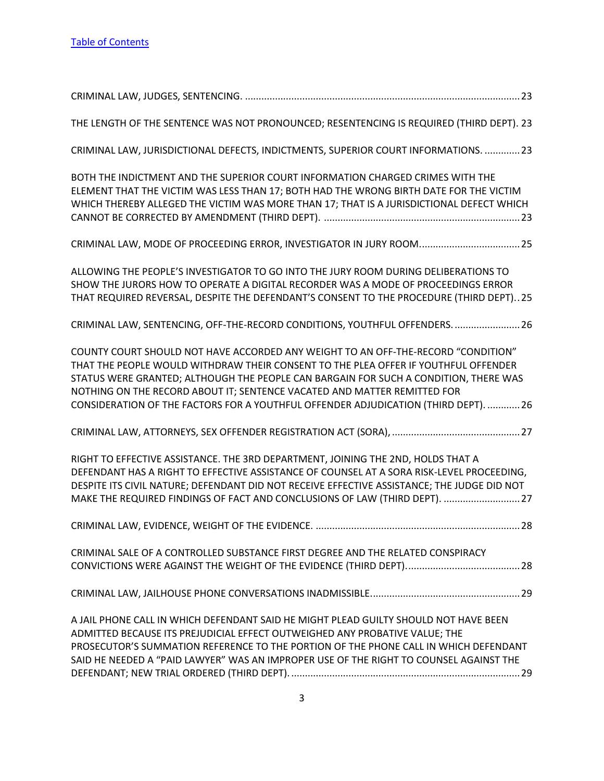| THE LENGTH OF THE SENTENCE WAS NOT PRONOUNCED; RESENTENCING IS REQUIRED (THIRD DEPT). 23                                                                                                                                                                                                                                                                                                                                           |
|------------------------------------------------------------------------------------------------------------------------------------------------------------------------------------------------------------------------------------------------------------------------------------------------------------------------------------------------------------------------------------------------------------------------------------|
| CRIMINAL LAW, JURISDICTIONAL DEFECTS, INDICTMENTS, SUPERIOR COURT INFORMATIONS.  23                                                                                                                                                                                                                                                                                                                                                |
| BOTH THE INDICTMENT AND THE SUPERIOR COURT INFORMATION CHARGED CRIMES WITH THE<br>ELEMENT THAT THE VICTIM WAS LESS THAN 17; BOTH HAD THE WRONG BIRTH DATE FOR THE VICTIM<br>WHICH THEREBY ALLEGED THE VICTIM WAS MORE THAN 17; THAT IS A JURISDICTIONAL DEFECT WHICH                                                                                                                                                               |
|                                                                                                                                                                                                                                                                                                                                                                                                                                    |
| ALLOWING THE PEOPLE'S INVESTIGATOR TO GO INTO THE JURY ROOM DURING DELIBERATIONS TO<br>SHOW THE JURORS HOW TO OPERATE A DIGITAL RECORDER WAS A MODE OF PROCEEDINGS ERROR<br>THAT REQUIRED REVERSAL, DESPITE THE DEFENDANT'S CONSENT TO THE PROCEDURE (THIRD DEPT)25                                                                                                                                                                |
| CRIMINAL LAW, SENTENCING, OFF-THE-RECORD CONDITIONS, YOUTHFUL OFFENDERS.  26                                                                                                                                                                                                                                                                                                                                                       |
| COUNTY COURT SHOULD NOT HAVE ACCORDED ANY WEIGHT TO AN OFF-THE-RECORD "CONDITION"<br>THAT THE PEOPLE WOULD WITHDRAW THEIR CONSENT TO THE PLEA OFFER IF YOUTHFUL OFFENDER<br>STATUS WERE GRANTED; ALTHOUGH THE PEOPLE CAN BARGAIN FOR SUCH A CONDITION, THERE WAS<br>NOTHING ON THE RECORD ABOUT IT; SENTENCE VACATED AND MATTER REMITTED FOR<br>CONSIDERATION OF THE FACTORS FOR A YOUTHFUL OFFENDER ADJUDICATION (THIRD DEPT). 26 |
|                                                                                                                                                                                                                                                                                                                                                                                                                                    |
| RIGHT TO EFFECTIVE ASSISTANCE. THE 3RD DEPARTMENT, JOINING THE 2ND, HOLDS THAT A<br>DEFENDANT HAS A RIGHT TO EFFECTIVE ASSISTANCE OF COUNSEL AT A SORA RISK-LEVEL PROCEEDING,<br>DESPITE ITS CIVIL NATURE; DEFENDANT DID NOT RECEIVE EFFECTIVE ASSISTANCE; THE JUDGE DID NOT<br>MAKE THE REQUIRED FINDINGS OF FACT AND CONCLUSIONS OF LAW (THIRD DEPT).  27                                                                        |
| .28                                                                                                                                                                                                                                                                                                                                                                                                                                |
| CRIMINAL SALE OF A CONTROLLED SUBSTANCE FIRST DEGREE AND THE RELATED CONSPIRACY                                                                                                                                                                                                                                                                                                                                                    |
|                                                                                                                                                                                                                                                                                                                                                                                                                                    |
| A JAIL PHONE CALL IN WHICH DEFENDANT SAID HE MIGHT PLEAD GUILTY SHOULD NOT HAVE BEEN<br>ADMITTED BECAUSE ITS PREJUDICIAL EFFECT OUTWEIGHED ANY PROBATIVE VALUE; THE<br>PROSECUTOR'S SUMMATION REFERENCE TO THE PORTION OF THE PHONE CALL IN WHICH DEFENDANT<br>SAID HE NEEDED A "PAID LAWYER" WAS AN IMPROPER USE OF THE RIGHT TO COUNSEL AGAINST THE                                                                              |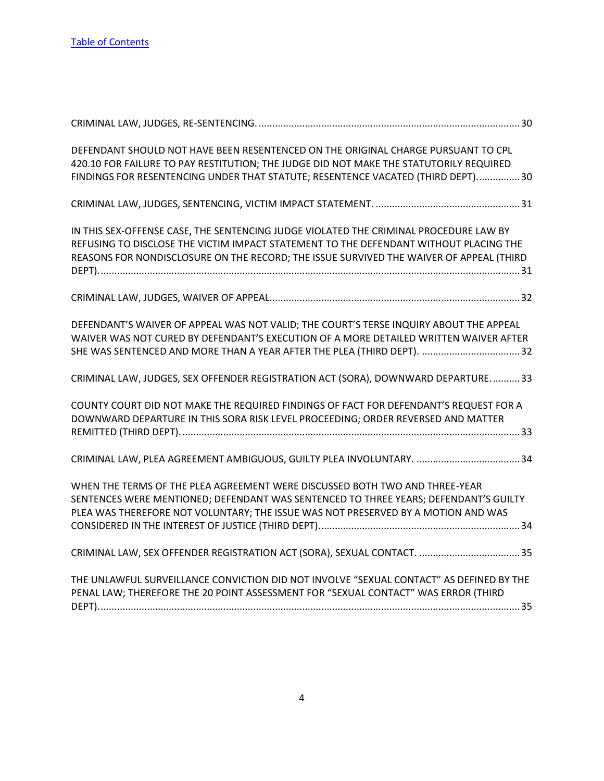| DEFENDANT SHOULD NOT HAVE BEEN RESENTENCED ON THE ORIGINAL CHARGE PURSUANT TO CPL<br>420.10 FOR FAILURE TO PAY RESTITUTION; THE JUDGE DID NOT MAKE THE STATUTORILY REQUIRED<br>FINDINGS FOR RESENTENCING UNDER THAT STATUTE; RESENTENCE VACATED (THIRD DEPT)30            |
|---------------------------------------------------------------------------------------------------------------------------------------------------------------------------------------------------------------------------------------------------------------------------|
|                                                                                                                                                                                                                                                                           |
| IN THIS SEX-OFFENSE CASE, THE SENTENCING JUDGE VIOLATED THE CRIMINAL PROCEDURE LAW BY<br>REFUSING TO DISCLOSE THE VICTIM IMPACT STATEMENT TO THE DEFENDANT WITHOUT PLACING THE<br>REASONS FOR NONDISCLOSURE ON THE RECORD; THE ISSUE SURVIVED THE WAIVER OF APPEAL (THIRD |
|                                                                                                                                                                                                                                                                           |
| DEFENDANT'S WAIVER OF APPEAL WAS NOT VALID; THE COURT'S TERSE INQUIRY ABOUT THE APPEAL<br>WAIVER WAS NOT CURED BY DEFENDANT'S EXECUTION OF A MORE DETAILED WRITTEN WAIVER AFTER<br>SHE WAS SENTENCED AND MORE THAN A YEAR AFTER THE PLEA (THIRD DEPT). 32                 |
| CRIMINAL LAW, JUDGES, SEX OFFENDER REGISTRATION ACT (SORA), DOWNWARD DEPARTURE33                                                                                                                                                                                          |
| COUNTY COURT DID NOT MAKE THE REQUIRED FINDINGS OF FACT FOR DEFENDANT'S REQUEST FOR A<br>DOWNWARD DEPARTURE IN THIS SORA RISK LEVEL PROCEEDING; ORDER REVERSED AND MATTER                                                                                                 |
|                                                                                                                                                                                                                                                                           |
| WHEN THE TERMS OF THE PLEA AGREEMENT WERE DISCUSSED BOTH TWO AND THREE-YEAR<br>SENTENCES WERE MENTIONED; DEFENDANT WAS SENTENCED TO THREE YEARS; DEFENDANT'S GUILTY<br>PLEA WAS THEREFORE NOT VOLUNTARY; THE ISSUE WAS NOT PRESERVED BY A MOTION AND WAS                  |
|                                                                                                                                                                                                                                                                           |
| THE UNLAWFUL SURVEILLANCE CONVICTION DID NOT INVOLVE "SEXUAL CONTACT" AS DEFINED BY THE<br>PENAL LAW; THEREFORE THE 20 POINT ASSESSMENT FOR "SEXUAL CONTACT" WAS ERROR (THIRD                                                                                             |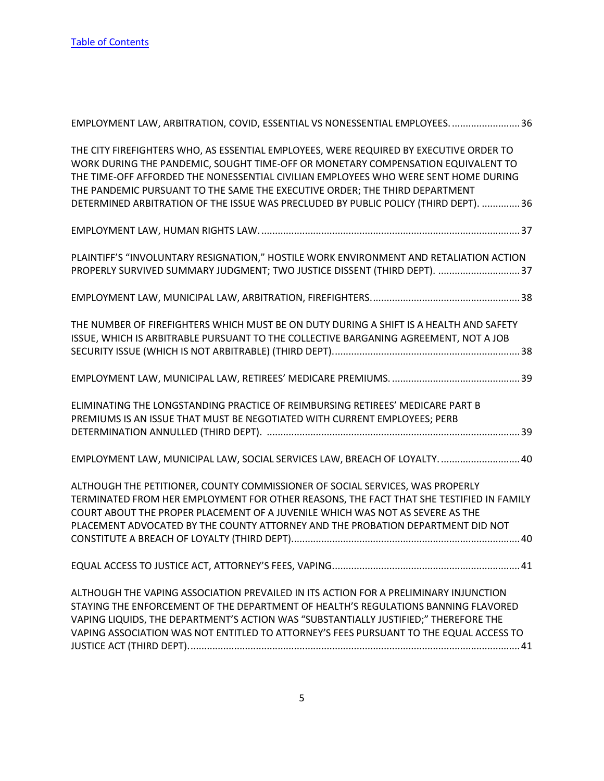| EMPLOYMENT LAW, ARBITRATION, COVID, ESSENTIAL VS NONESSENTIAL EMPLOYEES. 36                                                                                                                                                                                                                                                                                                                                                              |
|------------------------------------------------------------------------------------------------------------------------------------------------------------------------------------------------------------------------------------------------------------------------------------------------------------------------------------------------------------------------------------------------------------------------------------------|
| THE CITY FIREFIGHTERS WHO, AS ESSENTIAL EMPLOYEES, WERE REQUIRED BY EXECUTIVE ORDER TO<br>WORK DURING THE PANDEMIC, SOUGHT TIME-OFF OR MONETARY COMPENSATION EQUIVALENT TO<br>THE TIME-OFF AFFORDED THE NONESSENTIAL CIVILIAN EMPLOYEES WHO WERE SENT HOME DURING<br>THE PANDEMIC PURSUANT TO THE SAME THE EXECUTIVE ORDER; THE THIRD DEPARTMENT<br>DETERMINED ARBITRATION OF THE ISSUE WAS PRECLUDED BY PUBLIC POLICY (THIRD DEPT).  36 |
|                                                                                                                                                                                                                                                                                                                                                                                                                                          |
| PLAINTIFF'S "INVOLUNTARY RESIGNATION," HOSTILE WORK ENVIRONMENT AND RETALIATION ACTION<br>PROPERLY SURVIVED SUMMARY JUDGMENT; TWO JUSTICE DISSENT (THIRD DEPT). 37                                                                                                                                                                                                                                                                       |
|                                                                                                                                                                                                                                                                                                                                                                                                                                          |
| THE NUMBER OF FIREFIGHTERS WHICH MUST BE ON DUTY DURING A SHIFT IS A HEALTH AND SAFETY<br>ISSUE, WHICH IS ARBITRABLE PURSUANT TO THE COLLECTIVE BARGANING AGREEMENT, NOT A JOB                                                                                                                                                                                                                                                           |
|                                                                                                                                                                                                                                                                                                                                                                                                                                          |
| ELIMINATING THE LONGSTANDING PRACTICE OF REIMBURSING RETIREES' MEDICARE PART B<br>PREMIUMS IS AN ISSUE THAT MUST BE NEGOTIATED WITH CURRENT EMPLOYEES; PERB                                                                                                                                                                                                                                                                              |
| EMPLOYMENT LAW, MUNICIPAL LAW, SOCIAL SERVICES LAW, BREACH OF LOYALTY40                                                                                                                                                                                                                                                                                                                                                                  |
| ALTHOUGH THE PETITIONER, COUNTY COMMISSIONER OF SOCIAL SERVICES, WAS PROPERLY<br>TERMINATED FROM HER EMPLOYMENT FOR OTHER REASONS, THE FACT THAT SHE TESTIFIED IN FAMILY<br>COURT ABOUT THE PROPER PLACEMENT OF A JUVENILE WHICH WAS NOT AS SEVERE AS THE<br>PLACEMENT ADVOCATED BY THE COUNTY ATTORNEY AND THE PROBATION DEPARTMENT DID NOT                                                                                             |
|                                                                                                                                                                                                                                                                                                                                                                                                                                          |
| ALTHOUGH THE VAPING ASSOCIATION PREVAILED IN ITS ACTION FOR A PRELIMINARY INJUNCTION<br>STAYING THE ENFORCEMENT OF THE DEPARTMENT OF HEALTH'S REGULATIONS BANNING FLAVORED<br>VAPING LIQUIDS, THE DEPARTMENT'S ACTION WAS "SUBSTANTIALLY JUSTIFIED;" THEREFORE THE<br>VAPING ASSOCIATION WAS NOT ENTITLED TO ATTORNEY'S FEES PURSUANT TO THE EQUAL ACCESS TO                                                                             |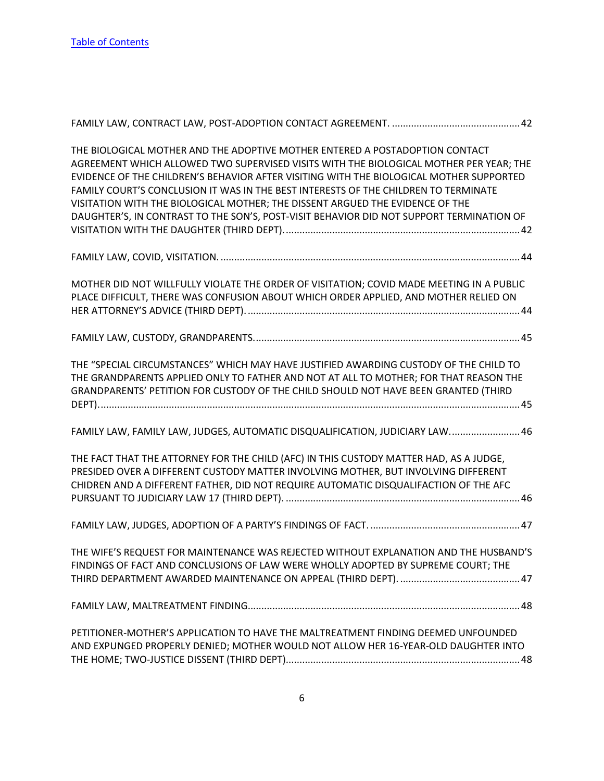| THE BIOLOGICAL MOTHER AND THE ADOPTIVE MOTHER ENTERED A POSTADOPTION CONTACT<br>AGREEMENT WHICH ALLOWED TWO SUPERVISED VISITS WITH THE BIOLOGICAL MOTHER PER YEAR; THE<br>EVIDENCE OF THE CHILDREN'S BEHAVIOR AFTER VISITING WITH THE BIOLOGICAL MOTHER SUPPORTED<br>FAMILY COURT'S CONCLUSION IT WAS IN THE BEST INTERESTS OF THE CHILDREN TO TERMINATE<br>VISITATION WITH THE BIOLOGICAL MOTHER; THE DISSENT ARGUED THE EVIDENCE OF THE<br>DAUGHTER'S, IN CONTRAST TO THE SON'S, POST-VISIT BEHAVIOR DID NOT SUPPORT TERMINATION OF |
|---------------------------------------------------------------------------------------------------------------------------------------------------------------------------------------------------------------------------------------------------------------------------------------------------------------------------------------------------------------------------------------------------------------------------------------------------------------------------------------------------------------------------------------|
|                                                                                                                                                                                                                                                                                                                                                                                                                                                                                                                                       |
| MOTHER DID NOT WILLFULLY VIOLATE THE ORDER OF VISITATION; COVID MADE MEETING IN A PUBLIC<br>PLACE DIFFICULT, THERE WAS CONFUSION ABOUT WHICH ORDER APPLIED, AND MOTHER RELIED ON                                                                                                                                                                                                                                                                                                                                                      |
|                                                                                                                                                                                                                                                                                                                                                                                                                                                                                                                                       |
| THE "SPECIAL CIRCUMSTANCES" WHICH MAY HAVE JUSTIFIED AWARDING CUSTODY OF THE CHILD TO<br>THE GRANDPARENTS APPLIED ONLY TO FATHER AND NOT AT ALL TO MOTHER; FOR THAT REASON THE<br>GRANDPARENTS' PETITION FOR CUSTODY OF THE CHILD SHOULD NOT HAVE BEEN GRANTED (THIRD                                                                                                                                                                                                                                                                 |
| FAMILY LAW, FAMILY LAW, JUDGES, AUTOMATIC DISQUALIFICATION, JUDICIARY LAW46                                                                                                                                                                                                                                                                                                                                                                                                                                                           |
| THE FACT THAT THE ATTORNEY FOR THE CHILD (AFC) IN THIS CUSTODY MATTER HAD, AS A JUDGE,<br>PRESIDED OVER A DIFFERENT CUSTODY MATTER INVOLVING MOTHER, BUT INVOLVING DIFFERENT<br>CHIDREN AND A DIFFERENT FATHER, DID NOT REQUIRE AUTOMATIC DISQUALIFACTION OF THE AFC                                                                                                                                                                                                                                                                  |
|                                                                                                                                                                                                                                                                                                                                                                                                                                                                                                                                       |
| THE WIFE'S REQUEST FOR MAINTENANCE WAS REJECTED WITHOUT EXPLANATION AND THE HUSBAND'S<br>FINDINGS OF FACT AND CONCLUSIONS OF LAW WERE WHOLLY ADOPTED BY SUPREME COURT; THE                                                                                                                                                                                                                                                                                                                                                            |
|                                                                                                                                                                                                                                                                                                                                                                                                                                                                                                                                       |
| PETITIONER-MOTHER'S APPLICATION TO HAVE THE MALTREATMENT FINDING DEEMED UNFOUNDED<br>AND EXPUNGED PROPERLY DENIED; MOTHER WOULD NOT ALLOW HER 16-YEAR-OLD DAUGHTER INTO                                                                                                                                                                                                                                                                                                                                                               |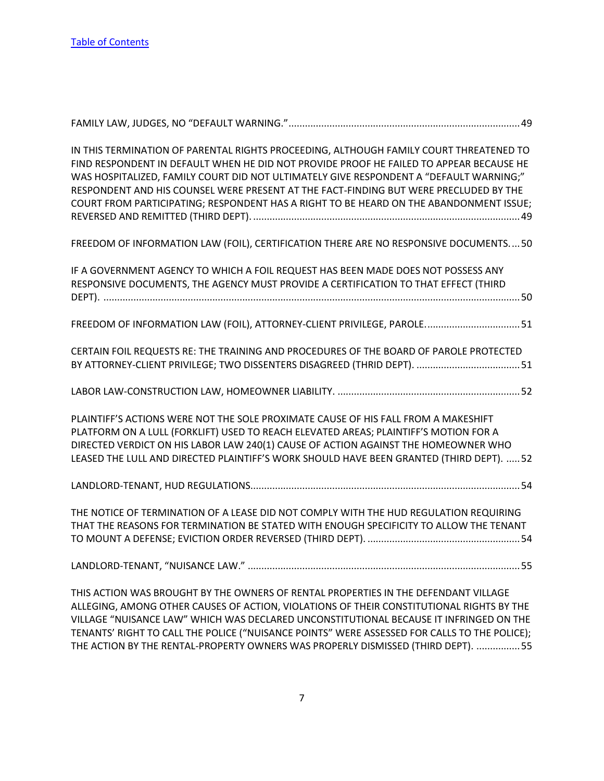| IN THIS TERMINATION OF PARENTAL RIGHTS PROCEEDING, ALTHOUGH FAMILY COURT THREATENED TO<br>FIND RESPONDENT IN DEFAULT WHEN HE DID NOT PROVIDE PROOF HE FAILED TO APPEAR BECAUSE HE<br>WAS HOSPITALIZED, FAMILY COURT DID NOT ULTIMATELY GIVE RESPONDENT A "DEFAULT WARNING;"<br>RESPONDENT AND HIS COUNSEL WERE PRESENT AT THE FACT-FINDING BUT WERE PRECLUDED BY THE<br>COURT FROM PARTICIPATING; RESPONDENT HAS A RIGHT TO BE HEARD ON THE ABANDONMENT ISSUE; |
|----------------------------------------------------------------------------------------------------------------------------------------------------------------------------------------------------------------------------------------------------------------------------------------------------------------------------------------------------------------------------------------------------------------------------------------------------------------|
| FREEDOM OF INFORMATION LAW (FOIL), CERTIFICATION THERE ARE NO RESPONSIVE DOCUMENTS 50                                                                                                                                                                                                                                                                                                                                                                          |
| IF A GOVERNMENT AGENCY TO WHICH A FOIL REQUEST HAS BEEN MADE DOES NOT POSSESS ANY<br>RESPONSIVE DOCUMENTS, THE AGENCY MUST PROVIDE A CERTIFICATION TO THAT EFFECT (THIRD                                                                                                                                                                                                                                                                                       |
| FREEDOM OF INFORMATION LAW (FOIL), ATTORNEY-CLIENT PRIVILEGE, PAROLE 51                                                                                                                                                                                                                                                                                                                                                                                        |
| CERTAIN FOIL REQUESTS RE: THE TRAINING AND PROCEDURES OF THE BOARD OF PAROLE PROTECTED                                                                                                                                                                                                                                                                                                                                                                         |
|                                                                                                                                                                                                                                                                                                                                                                                                                                                                |
| PLAINTIFF'S ACTIONS WERE NOT THE SOLE PROXIMATE CAUSE OF HIS FALL FROM A MAKESHIFT<br>PLATFORM ON A LULL (FORKLIFT) USED TO REACH ELEVATED AREAS; PLAINTIFF'S MOTION FOR A<br>DIRECTED VERDICT ON HIS LABOR LAW 240(1) CAUSE OF ACTION AGAINST THE HOMEOWNER WHO<br>LEASED THE LULL AND DIRECTED PLAINTIFF'S WORK SHOULD HAVE BEEN GRANTED (THIRD DEPT).  52                                                                                                   |
|                                                                                                                                                                                                                                                                                                                                                                                                                                                                |
| THE NOTICE OF TERMINATION OF A LEASE DID NOT COMPLY WITH THE HUD REGULATION REQUIRING<br>THAT THE REASONS FOR TERMINATION BE STATED WITH ENOUGH SPECIFICITY TO ALLOW THE TENANT                                                                                                                                                                                                                                                                                |
|                                                                                                                                                                                                                                                                                                                                                                                                                                                                |
| THIS ACTION WAS BROUGHT BY THE OWNERS OF RENTAL PROPERTIES IN THE DEFENDANT VILLAGE<br>ALLEGING, AMONG OTHER CAUSES OF ACTION, VIOLATIONS OF THEIR CONSTITUTIONAL RIGHTS BY THE<br>VILLAGE "NUISANCE LAW" WHICH WAS DECLARED UNCONSTITUTIONAL BECAUSE IT INFRINGED ON THE                                                                                                                                                                                      |

[TENANTS' RIGHT TO CALL THE POLICE \("NUISANCE POINTS" WERE ASSESSED FOR CALLS TO THE POLICE\);](#page-55-1)  [THE ACTION BY THE RENTAL-PROPERTY OWNERS WAS PROPERLY DISMISSED \(THIRD DEPT\). ................55](#page-55-1)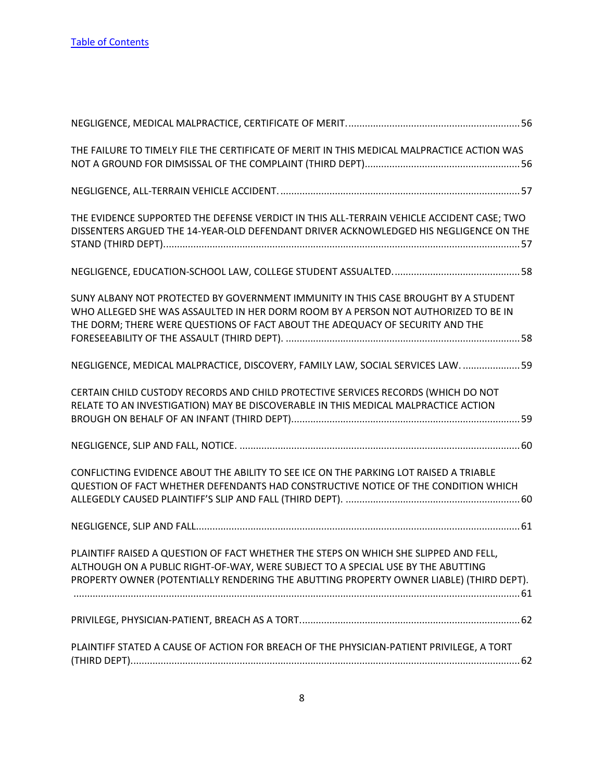| THE FAILURE TO TIMELY FILE THE CERTIFICATE OF MERIT IN THIS MEDICAL MALPRACTICE ACTION WAS                                                                                                                                                                          |  |
|---------------------------------------------------------------------------------------------------------------------------------------------------------------------------------------------------------------------------------------------------------------------|--|
|                                                                                                                                                                                                                                                                     |  |
| THE EVIDENCE SUPPORTED THE DEFENSE VERDICT IN THIS ALL-TERRAIN VEHICLE ACCIDENT CASE; TWO<br>DISSENTERS ARGUED THE 14-YEAR-OLD DEFENDANT DRIVER ACKNOWLEDGED HIS NEGLIGENCE ON THE                                                                                  |  |
|                                                                                                                                                                                                                                                                     |  |
| SUNY ALBANY NOT PROTECTED BY GOVERNMENT IMMUNITY IN THIS CASE BROUGHT BY A STUDENT<br>WHO ALLEGED SHE WAS ASSAULTED IN HER DORM ROOM BY A PERSON NOT AUTHORIZED TO BE IN<br>THE DORM; THERE WERE QUESTIONS OF FACT ABOUT THE ADEQUACY OF SECURITY AND THE           |  |
| NEGLIGENCE, MEDICAL MALPRACTICE, DISCOVERY, FAMILY LAW, SOCIAL SERVICES LAW.  59                                                                                                                                                                                    |  |
| CERTAIN CHILD CUSTODY RECORDS AND CHILD PROTECTIVE SERVICES RECORDS (WHICH DO NOT<br>RELATE TO AN INVESTIGATION) MAY BE DISCOVERABLE IN THIS MEDICAL MALPRACTICE ACTION                                                                                             |  |
|                                                                                                                                                                                                                                                                     |  |
| CONFLICTING EVIDENCE ABOUT THE ABILITY TO SEE ICE ON THE PARKING LOT RAISED A TRIABLE<br>QUESTION OF FACT WHETHER DEFENDANTS HAD CONSTRUCTIVE NOTICE OF THE CONDITION WHICH                                                                                         |  |
|                                                                                                                                                                                                                                                                     |  |
| PLAINTIFF RAISED A QUESTION OF FACT WHETHER THE STEPS ON WHICH SHE SLIPPED AND FELL,<br>ALTHOUGH ON A PUBLIC RIGHT-OF-WAY, WERE SUBJECT TO A SPECIAL USE BY THE ABUTTING<br>PROPERTY OWNER (POTENTIALLY RENDERING THE ABUTTING PROPERTY OWNER LIABLE) (THIRD DEPT). |  |
|                                                                                                                                                                                                                                                                     |  |
| PLAINTIFF STATED A CAUSE OF ACTION FOR BREACH OF THE PHYSICIAN-PATIENT PRIVILEGE, A TORT                                                                                                                                                                            |  |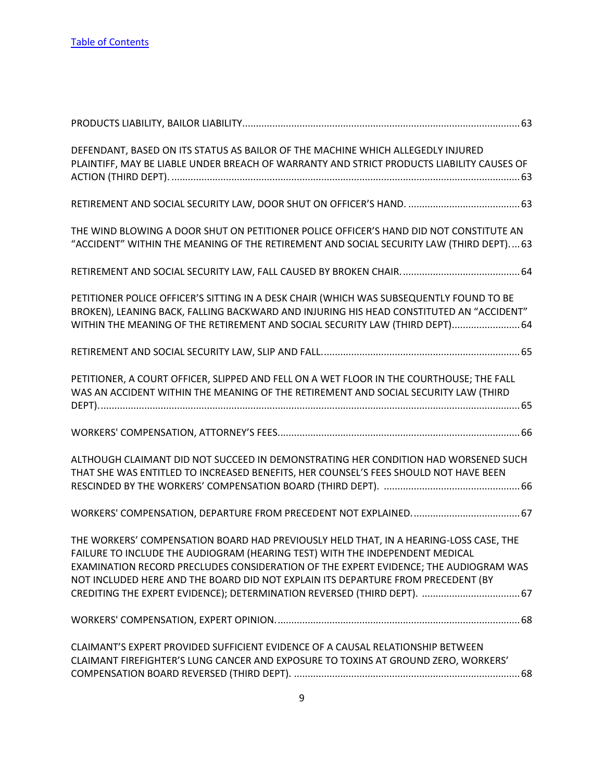| DEFENDANT, BASED ON ITS STATUS AS BAILOR OF THE MACHINE WHICH ALLEGEDLY INJURED<br>PLAINTIFF, MAY BE LIABLE UNDER BREACH OF WARRANTY AND STRICT PRODUCTS LIABILITY CAUSES OF                                                                                                                                                                                                                                                  |
|-------------------------------------------------------------------------------------------------------------------------------------------------------------------------------------------------------------------------------------------------------------------------------------------------------------------------------------------------------------------------------------------------------------------------------|
|                                                                                                                                                                                                                                                                                                                                                                                                                               |
| THE WIND BLOWING A DOOR SHUT ON PETITIONER POLICE OFFICER'S HAND DID NOT CONSTITUTE AN<br>"ACCIDENT" WITHIN THE MEANING OF THE RETIREMENT AND SOCIAL SECURITY LAW (THIRD DEPT) 63                                                                                                                                                                                                                                             |
|                                                                                                                                                                                                                                                                                                                                                                                                                               |
| PETITIONER POLICE OFFICER'S SITTING IN A DESK CHAIR (WHICH WAS SUBSEQUENTLY FOUND TO BE<br>BROKEN), LEANING BACK, FALLING BACKWARD AND INJURING HIS HEAD CONSTITUTED AN "ACCIDENT"<br>WITHIN THE MEANING OF THE RETIREMENT AND SOCIAL SECURITY LAW (THIRD DEPT) 64                                                                                                                                                            |
|                                                                                                                                                                                                                                                                                                                                                                                                                               |
| PETITIONER, A COURT OFFICER, SLIPPED AND FELL ON A WET FLOOR IN THE COURTHOUSE; THE FALL<br>WAS AN ACCIDENT WITHIN THE MEANING OF THE RETIREMENT AND SOCIAL SECURITY LAW (THIRD                                                                                                                                                                                                                                               |
|                                                                                                                                                                                                                                                                                                                                                                                                                               |
| ALTHOUGH CLAIMANT DID NOT SUCCEED IN DEMONSTRATING HER CONDITION HAD WORSENED SUCH<br>THAT SHE WAS ENTITLED TO INCREASED BENEFITS, HER COUNSEL'S FEES SHOULD NOT HAVE BEEN                                                                                                                                                                                                                                                    |
|                                                                                                                                                                                                                                                                                                                                                                                                                               |
| THE WORKERS' COMPENSATION BOARD HAD PREVIOUSLY HELD THAT, IN A HEARING-LOSS CASE, THE<br>FAILURE TO INCLUDE THE AUDIOGRAM (HEARING TEST) WITH THE INDEPENDENT MEDICAL<br>EXAMINATION RECORD PRECLUDES CONSIDERATION OF THE EXPERT EVIDENCE; THE AUDIOGRAM WAS<br>NOT INCLUDED HERE AND THE BOARD DID NOT EXPLAIN ITS DEPARTURE FROM PRECEDENT (BY<br>CREDITING THE EXPERT EVIDENCE); DETERMINATION REVERSED (THIRD DEPT).  67 |
|                                                                                                                                                                                                                                                                                                                                                                                                                               |
| CLAIMANT'S EXPERT PROVIDED SUFFICIENT EVIDENCE OF A CAUSAL RELATIONSHIP BETWEEN<br>CLAIMANT FIREFIGHTER'S LUNG CANCER AND EXPOSURE TO TOXINS AT GROUND ZERO, WORKERS'                                                                                                                                                                                                                                                         |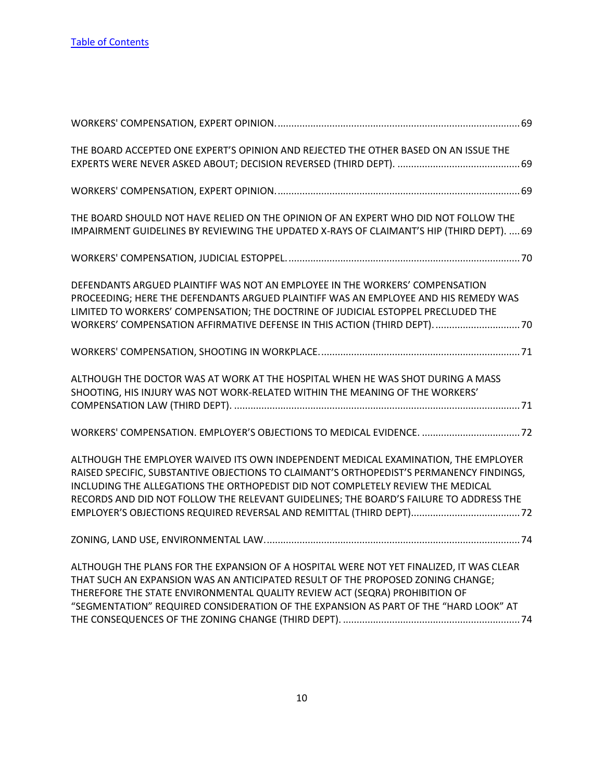| THE BOARD ACCEPTED ONE EXPERT'S OPINION AND REJECTED THE OTHER BASED ON AN ISSUE THE                                                                                                                                                                                                                                                                        |
|-------------------------------------------------------------------------------------------------------------------------------------------------------------------------------------------------------------------------------------------------------------------------------------------------------------------------------------------------------------|
|                                                                                                                                                                                                                                                                                                                                                             |
| THE BOARD SHOULD NOT HAVE RELIED ON THE OPINION OF AN EXPERT WHO DID NOT FOLLOW THE<br>IMPAIRMENT GUIDELINES BY REVIEWING THE UPDATED X-RAYS OF CLAIMANT'S HIP (THIRD DEPT).  69                                                                                                                                                                            |
|                                                                                                                                                                                                                                                                                                                                                             |
| DEFENDANTS ARGUED PLAINTIFF WAS NOT AN EMPLOYEE IN THE WORKERS' COMPENSATION<br>PROCEEDING; HERE THE DEFENDANTS ARGUED PLAINTIFF WAS AN EMPLOYEE AND HIS REMEDY WAS<br>LIMITED TO WORKERS' COMPENSATION; THE DOCTRINE OF JUDICIAL ESTOPPEL PRECLUDED THE<br>WORKERS' COMPENSATION AFFIRMATIVE DEFENSE IN THIS ACTION (THIRD DEPT).  70                      |
|                                                                                                                                                                                                                                                                                                                                                             |
| ALTHOUGH THE DOCTOR WAS AT WORK AT THE HOSPITAL WHEN HE WAS SHOT DURING A MASS<br>SHOOTING, HIS INJURY WAS NOT WORK-RELATED WITHIN THE MEANING OF THE WORKERS'                                                                                                                                                                                              |
|                                                                                                                                                                                                                                                                                                                                                             |
| ALTHOUGH THE EMPLOYER WAIVED ITS OWN INDEPENDENT MEDICAL EXAMINATION, THE EMPLOYER<br>RAISED SPECIFIC, SUBSTANTIVE OBJECTIONS TO CLAIMANT'S ORTHOPEDIST'S PERMANENCY FINDINGS,<br>INCLUDING THE ALLEGATIONS THE ORTHOPEDIST DID NOT COMPLETELY REVIEW THE MEDICAL<br>RECORDS AND DID NOT FOLLOW THE RELEVANT GUIDELINES; THE BOARD'S FAILURE TO ADDRESS THE |
|                                                                                                                                                                                                                                                                                                                                                             |
| ALTHOUGH THE PLANS FOR THE EXPANSION OF A HOSPITAL WERE NOT YET FINALIZED, IT WAS CLEAR<br>THAT SUCH AN EXPANSION WAS AN ANTICIPATED RESULT OF THE PROPOSED ZONING CHANGE;<br>THEREFORE THE STATE ENVIRONMENTAL QUALITY REVIEW ACT (SEQRA) PROHIBITION OF<br>"SEGMENTATION" REQUIRED CONSIDERATION OF THE EXPANSION AS PART OF THE "HARD LOOK" AT           |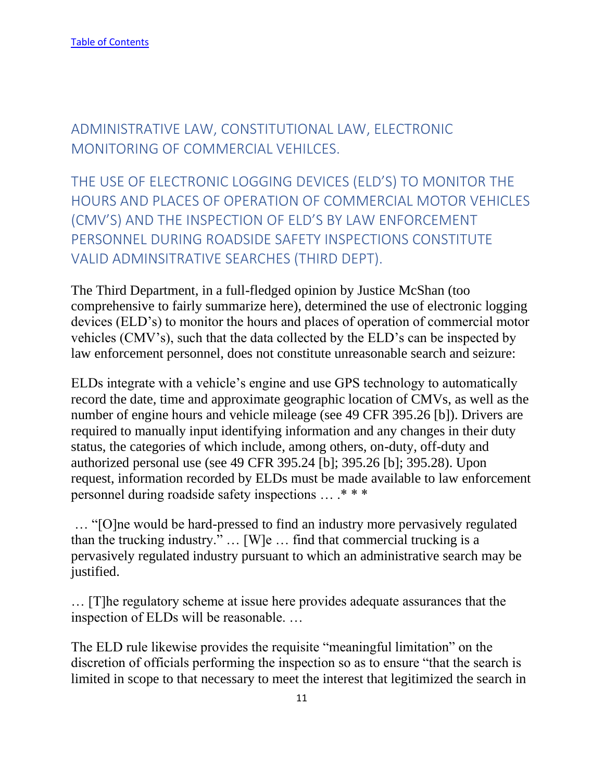<span id="page-11-0"></span>ADMINISTRATIVE LAW, CONSTITUTIONAL LAW, ELECTRONIC MONITORING OF COMMERCIAL VEHILCES.

<span id="page-11-1"></span>THE USE OF ELECTRONIC LOGGING DEVICES (ELD'S) TO MONITOR THE HOURS AND PLACES OF OPERATION OF COMMERCIAL MOTOR VEHICLES (CMV'S) AND THE INSPECTION OF ELD'S BY LAW ENFORCEMENT PERSONNEL DURING ROADSIDE SAFETY INSPECTIONS CONSTITUTE VALID ADMINSITRATIVE SEARCHES (THIRD DEPT).

The Third Department, in a full-fledged opinion by Justice McShan (too comprehensive to fairly summarize here), determined the use of electronic logging devices (ELD's) to monitor the hours and places of operation of commercial motor vehicles (CMV's), such that the data collected by the ELD's can be inspected by law enforcement personnel, does not constitute unreasonable search and seizure:

ELDs integrate with a vehicle's engine and use GPS technology to automatically record the date, time and approximate geographic location of CMVs, as well as the number of engine hours and vehicle mileage (see 49 CFR 395.26 [b]). Drivers are required to manually input identifying information and any changes in their duty status, the categories of which include, among others, on-duty, off-duty and authorized personal use (see 49 CFR 395.24 [b]; 395.26 [b]; 395.28). Upon request, information recorded by ELDs must be made available to law enforcement personnel during roadside safety inspections … .\* \* \*

… "[O]ne would be hard-pressed to find an industry more pervasively regulated than the trucking industry." … [W]e … find that commercial trucking is a pervasively regulated industry pursuant to which an administrative search may be justified.

… [T]he regulatory scheme at issue here provides adequate assurances that the inspection of ELDs will be reasonable. …

The ELD rule likewise provides the requisite "meaningful limitation" on the discretion of officials performing the inspection so as to ensure "that the search is limited in scope to that necessary to meet the interest that legitimized the search in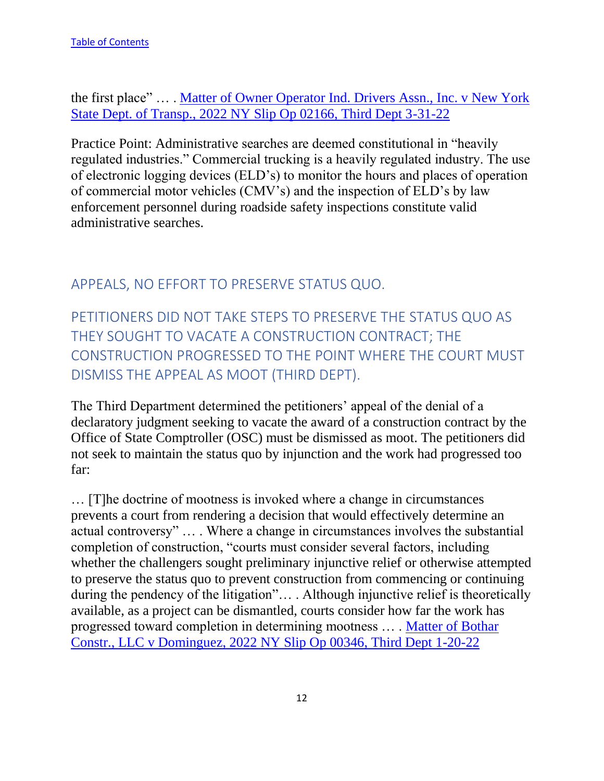the first place" … . [Matter of Owner Operator Ind. Drivers Assn., Inc. v New York](https://nycourts.gov/reporter/3dseries/2022/2022_02166.htm)  [State Dept. of Transp., 2022 NY Slip Op 02166, Third Dept 3-31-22](https://nycourts.gov/reporter/3dseries/2022/2022_02166.htm)

Practice Point: Administrative searches are deemed constitutional in "heavily regulated industries." Commercial trucking is a heavily regulated industry. The use of electronic logging devices (ELD's) to monitor the hours and places of operation of commercial motor vehicles (CMV's) and the inspection of ELD's by law enforcement personnel during roadside safety inspections constitute valid administrative searches.

## <span id="page-12-0"></span>APPEALS, NO EFFORT TO PRESERVE STATUS QUO.

<span id="page-12-1"></span>PETITIONERS DID NOT TAKE STEPS TO PRESERVE THE STATUS QUO AS THEY SOUGHT TO VACATE A CONSTRUCTION CONTRACT; THE CONSTRUCTION PROGRESSED TO THE POINT WHERE THE COURT MUST DISMISS THE APPEAL AS MOOT (THIRD DEPT).

The Third Department determined the petitioners' appeal of the denial of a declaratory judgment seeking to vacate the award of a construction contract by the Office of State Comptroller (OSC) must be dismissed as moot. The petitioners did not seek to maintain the status quo by injunction and the work had progressed too far:

… [T]he doctrine of mootness is invoked where a change in circumstances prevents a court from rendering a decision that would effectively determine an actual controversy" … . Where a change in circumstances involves the substantial completion of construction, "courts must consider several factors, including whether the challengers sought preliminary injunctive relief or otherwise attempted to preserve the status quo to prevent construction from commencing or continuing during the pendency of the litigation"… . Although injunctive relief is theoretically available, as a project can be dismantled, courts consider how far the work has progressed toward completion in determining mootness … . [Matter of Bothar](https://nycourts.gov/reporter/3dseries/2022/2022_00346.htm)  [Constr., LLC v Dominguez, 2022 NY Slip Op 00346, Third Dept 1-20-22](https://nycourts.gov/reporter/3dseries/2022/2022_00346.htm)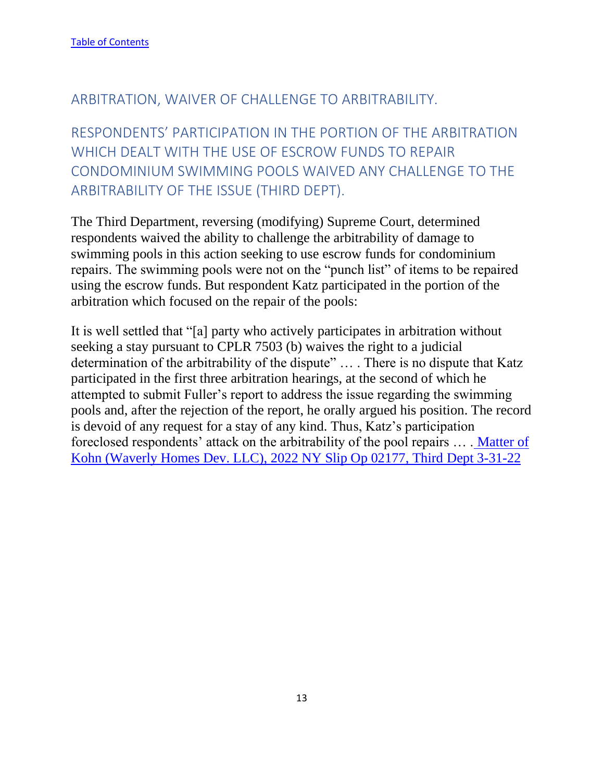#### <span id="page-13-0"></span>ARBITRATION, WAIVER OF CHALLENGE TO ARBITRABILITY.

<span id="page-13-1"></span>RESPONDENTS' PARTICIPATION IN THE PORTION OF THE ARBITRATION WHICH DEALT WITH THE USE OF ESCROW FUNDS TO REPAIR CONDOMINIUM SWIMMING POOLS WAIVED ANY CHALLENGE TO THE ARBITRABILITY OF THE ISSUE (THIRD DEPT).

The Third Department, reversing (modifying) Supreme Court, determined respondents waived the ability to challenge the arbitrability of damage to swimming pools in this action seeking to use escrow funds for condominium repairs. The swimming pools were not on the "punch list" of items to be repaired using the escrow funds. But respondent Katz participated in the portion of the arbitration which focused on the repair of the pools:

It is well settled that "[a] party who actively participates in arbitration without seeking a stay pursuant to CPLR 7503 (b) waives the right to a judicial determination of the arbitrability of the dispute" … . There is no dispute that Katz participated in the first three arbitration hearings, at the second of which he attempted to submit Fuller's report to address the issue regarding the swimming pools and, after the rejection of the report, he orally argued his position. The record is devoid of any request for a stay of any kind. Thus, Katz's participation foreclosed respondents' attack on the arbitrability of the pool repairs … . [Matter of](https://nycourts.gov/reporter/3dseries/2022/2022_02177.htm)  [Kohn \(Waverly Homes Dev. LLC\), 2022 NY Slip Op 02177, Third](https://nycourts.gov/reporter/3dseries/2022/2022_02177.htm) Dept 3-31-22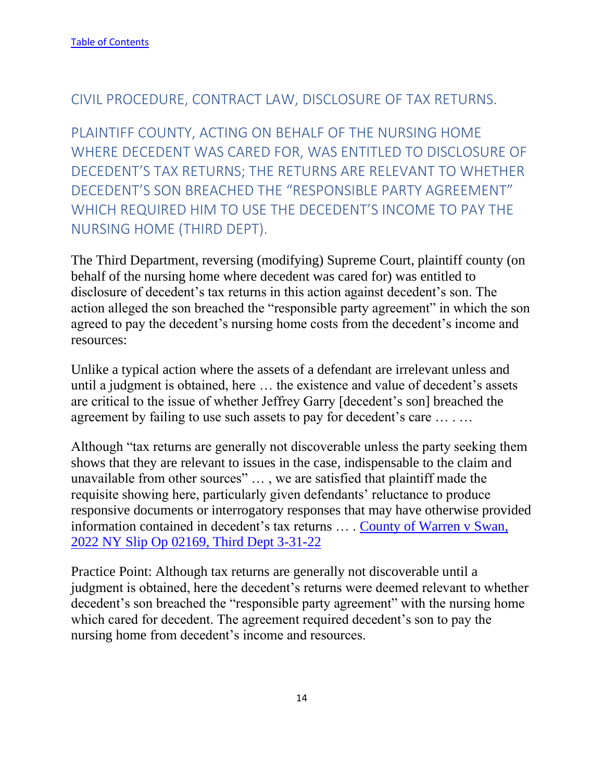#### <span id="page-14-0"></span>CIVIL PROCEDURE, CONTRACT LAW, DISCLOSURE OF TAX RETURNS.

<span id="page-14-1"></span>PLAINTIFF COUNTY, ACTING ON BEHALF OF THE NURSING HOME WHERE DECEDENT WAS CARED FOR, WAS ENTITLED TO DISCLOSURE OF DECEDENT'S TAX RETURNS; THE RETURNS ARE RELEVANT TO WHETHER DECEDENT'S SON BREACHED THE "RESPONSIBLE PARTY AGREEMENT" WHICH REQUIRED HIM TO USE THE DECEDENT'S INCOME TO PAY THE NURSING HOME (THIRD DEPT).

The Third Department, reversing (modifying) Supreme Court, plaintiff county (on behalf of the nursing home where decedent was cared for) was entitled to disclosure of decedent's tax returns in this action against decedent's son. The action alleged the son breached the "responsible party agreement" in which the son agreed to pay the decedent's nursing home costs from the decedent's income and resources:

Unlike a typical action where the assets of a defendant are irrelevant unless and until a judgment is obtained, here … the existence and value of decedent's assets are critical to the issue of whether Jeffrey Garry [decedent's son] breached the agreement by failing to use such assets to pay for decedent's care … . …

Although "tax returns are generally not discoverable unless the party seeking them shows that they are relevant to issues in the case, indispensable to the claim and unavailable from other sources" … , we are satisfied that plaintiff made the requisite showing here, particularly given defendants' reluctance to produce responsive documents or interrogatory responses that may have otherwise provided information contained in decedent's tax returns … . [County of Warren v Swan,](https://nycourts.gov/reporter/3dseries/2022/2022_02169.htm)  [2022 NY Slip Op 02169, Third Dept 3-31-22](https://nycourts.gov/reporter/3dseries/2022/2022_02169.htm)

Practice Point: Although tax returns are generally not discoverable until a judgment is obtained, here the decedent's returns were deemed relevant to whether decedent's son breached the "responsible party agreement" with the nursing home which cared for decedent. The agreement required decedent's son to pay the nursing home from decedent's income and resources.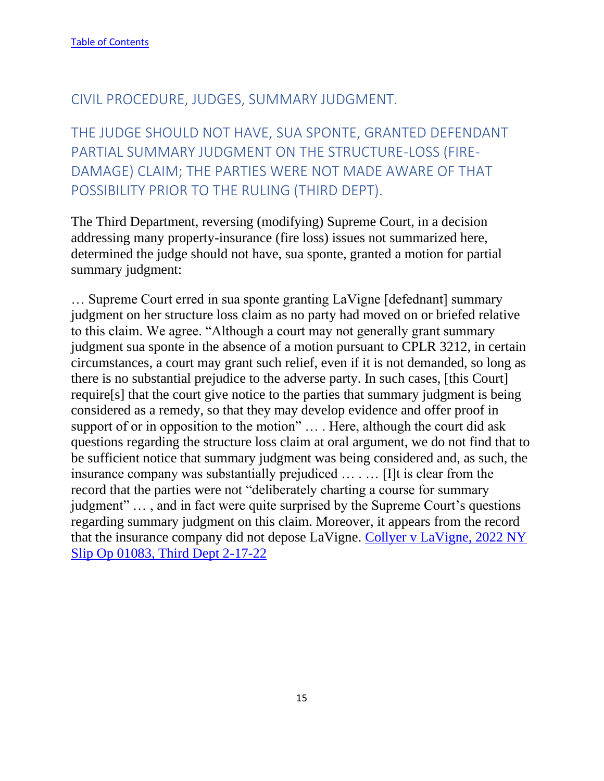#### <span id="page-15-0"></span>CIVIL PROCEDURE, JUDGES, SUMMARY JUDGMENT.

<span id="page-15-1"></span>THE JUDGE SHOULD NOT HAVE, SUA SPONTE, GRANTED DEFENDANT PARTIAL SUMMARY JUDGMENT ON THE STRUCTURE-LOSS (FIRE-DAMAGE) CLAIM; THE PARTIES WERE NOT MADE AWARE OF THAT POSSIBILITY PRIOR TO THE RULING (THIRD DEPT).

The Third Department, reversing (modifying) Supreme Court, in a decision addressing many property-insurance (fire loss) issues not summarized here, determined the judge should not have, sua sponte, granted a motion for partial summary judgment:

… Supreme Court erred in sua sponte granting LaVigne [defednant] summary judgment on her structure loss claim as no party had moved on or briefed relative to this claim. We agree. "Although a court may not generally grant summary judgment sua sponte in the absence of a motion pursuant to CPLR 3212, in certain circumstances, a court may grant such relief, even if it is not demanded, so long as there is no substantial prejudice to the adverse party. In such cases, [this Court] require[s] that the court give notice to the parties that summary judgment is being considered as a remedy, so that they may develop evidence and offer proof in support of or in opposition to the motion" ... . Here, although the court did ask questions regarding the structure loss claim at oral argument, we do not find that to be sufficient notice that summary judgment was being considered and, as such, the insurance company was substantially prejudiced … . … [I]t is clear from the record that the parties were not "deliberately charting a course for summary judgment" … , and in fact were quite surprised by the Supreme Court's questions regarding summary judgment on this claim. Moreover, it appears from the record that the insurance company did not depose LaVigne. [Collyer v LaVigne, 2022 NY](https://nycourts.gov/reporter/3dseries/2022/2022_01083.htm)  [Slip Op 01083, Third Dept 2-17-22](https://nycourts.gov/reporter/3dseries/2022/2022_01083.htm)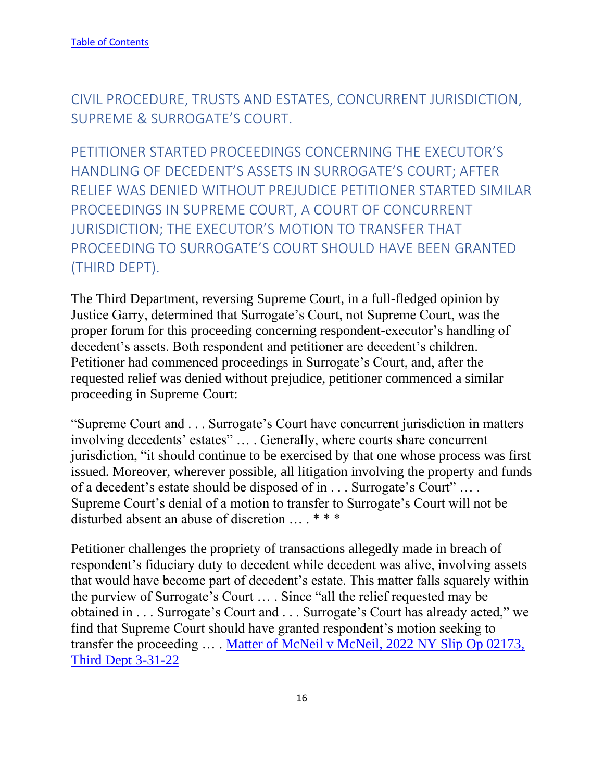<span id="page-16-0"></span>CIVIL PROCEDURE, TRUSTS AND ESTATES, CONCURRENT JURISDICTION, SUPREME & SURROGATE'S COURT.

<span id="page-16-1"></span>PETITIONER STARTED PROCEEDINGS CONCERNING THE EXECUTOR'S HANDLING OF DECEDENT'S ASSETS IN SURROGATE'S COURT; AFTER RELIEF WAS DENIED WITHOUT PREJUDICE PETITIONER STARTED SIMILAR PROCEEDINGS IN SUPREME COURT, A COURT OF CONCURRENT JURISDICTION; THE EXECUTOR'S MOTION TO TRANSFER THAT PROCEEDING TO SURROGATE'S COURT SHOULD HAVE BEEN GRANTED (THIRD DEPT).

The Third Department, reversing Supreme Court, in a full-fledged opinion by Justice Garry, determined that Surrogate's Court, not Supreme Court, was the proper forum for this proceeding concerning respondent-executor's handling of decedent's assets. Both respondent and petitioner are decedent's children. Petitioner had commenced proceedings in Surrogate's Court, and, after the requested relief was denied without prejudice, petitioner commenced a similar proceeding in Supreme Court:

"Supreme Court and . . . Surrogate's Court have concurrent jurisdiction in matters involving decedents' estates" … . Generally, where courts share concurrent jurisdiction, "it should continue to be exercised by that one whose process was first issued. Moreover, wherever possible, all litigation involving the property and funds of a decedent's estate should be disposed of in . . . Surrogate's Court" … . Supreme Court's denial of a motion to transfer to Surrogate's Court will not be disturbed absent an abuse of discretion … . \* \* \*

Petitioner challenges the propriety of transactions allegedly made in breach of respondent's fiduciary duty to decedent while decedent was alive, involving assets that would have become part of decedent's estate. This matter falls squarely within the purview of Surrogate's Court … . Since "all the relief requested may be obtained in . . . Surrogate's Court and . . . Surrogate's Court has already acted," we find that Supreme Court should have granted respondent's motion seeking to transfer the proceeding ... . Matter of McNeil v McNeil, 2022 NY Slip Op 02173, [Third Dept 3-31-22](https://nycourts.gov/reporter/3dseries/2022/2022_02173.htm)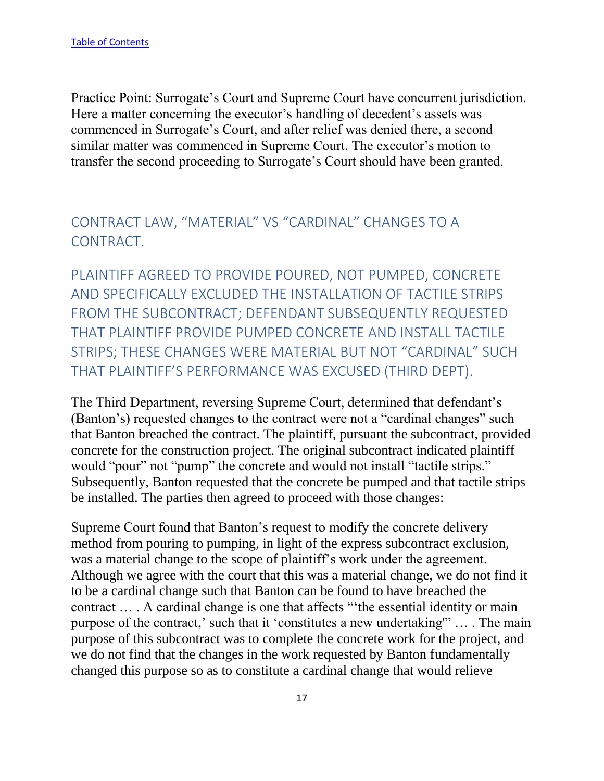Practice Point: Surrogate's Court and Supreme Court have concurrent jurisdiction. Here a matter concerning the executor's handling of decedent's assets was commenced in Surrogate's Court, and after relief was denied there, a second similar matter was commenced in Supreme Court. The executor's motion to transfer the second proceeding to Surrogate's Court should have been granted.

# <span id="page-17-0"></span>CONTRACT LAW, "MATERIAL" VS "CARDINAL" CHANGES TO A CONTRACT.

<span id="page-17-1"></span>PLAINTIFF AGREED TO PROVIDE POURED, NOT PUMPED, CONCRETE AND SPECIFICALLY EXCLUDED THE INSTALLATION OF TACTILE STRIPS FROM THE SUBCONTRACT; DEFENDANT SUBSEQUENTLY REQUESTED THAT PLAINTIFF PROVIDE PUMPED CONCRETE AND INSTALL TACTILE STRIPS; THESE CHANGES WERE MATERIAL BUT NOT "CARDINAL" SUCH THAT PLAINTIFF'S PERFORMANCE WAS EXCUSED (THIRD DEPT).

The Third Department, reversing Supreme Court, determined that defendant's (Banton's) requested changes to the contract were not a "cardinal changes" such that Banton breached the contract. The plaintiff, pursuant the subcontract, provided concrete for the construction project. The original subcontract indicated plaintiff would "pour" not "pump" the concrete and would not install "tactile strips." Subsequently, Banton requested that the concrete be pumped and that tactile strips be installed. The parties then agreed to proceed with those changes:

Supreme Court found that Banton's request to modify the concrete delivery method from pouring to pumping, in light of the express subcontract exclusion, was a material change to the scope of plaintiff's work under the agreement. Although we agree with the court that this was a material change, we do not find it to be a cardinal change such that Banton can be found to have breached the contract … . A cardinal change is one that affects "'the essential identity or main purpose of the contract,' such that it 'constitutes a new undertaking'" … . The main purpose of this subcontract was to complete the concrete work for the project, and we do not find that the changes in the work requested by Banton fundamentally changed this purpose so as to constitute a cardinal change that would relieve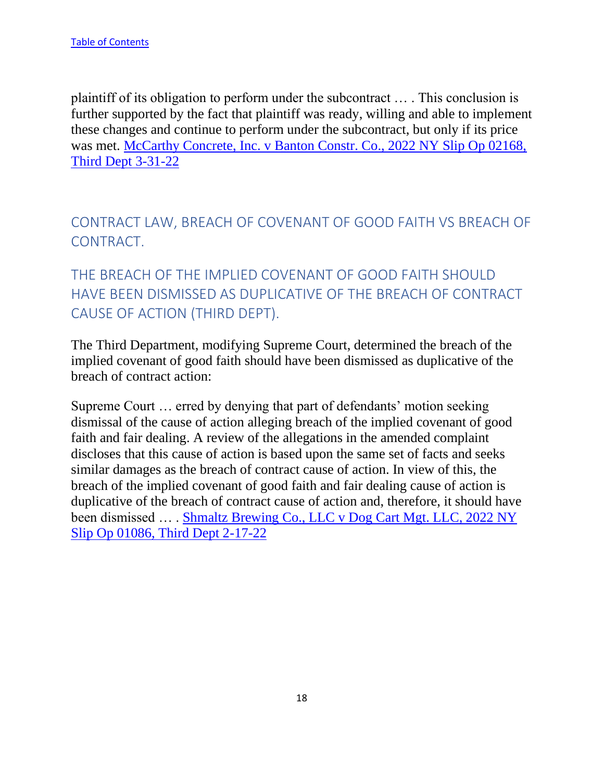plaintiff of its obligation to perform under the subcontract … . This conclusion is further supported by the fact that plaintiff was ready, willing and able to implement these changes and continue to perform under the subcontract, but only if its price was met. [McCarthy Concrete, Inc. v Banton Constr. Co., 2022 NY Slip Op 02168,](https://nycourts.gov/reporter/3dseries/2022/2022_02168.htm)  [Third Dept 3-31-22](https://nycourts.gov/reporter/3dseries/2022/2022_02168.htm)

<span id="page-18-0"></span>CONTRACT LAW, BREACH OF COVENANT OF GOOD FAITH VS BREACH OF CONTRACT.

<span id="page-18-1"></span>THE BREACH OF THE IMPLIED COVENANT OF GOOD FAITH SHOULD HAVE BEEN DISMISSED AS DUPLICATIVE OF THE BREACH OF CONTRACT CAUSE OF ACTION (THIRD DEPT).

The Third Department, modifying Supreme Court, determined the breach of the implied covenant of good faith should have been dismissed as duplicative of the breach of contract action:

Supreme Court … erred by denying that part of defendants' motion seeking dismissal of the cause of action alleging breach of the implied covenant of good faith and fair dealing. A review of the allegations in the amended complaint discloses that this cause of action is based upon the same set of facts and seeks similar damages as the breach of contract cause of action. In view of this, the breach of the implied covenant of good faith and fair dealing cause of action is duplicative of the breach of contract cause of action and, therefore, it should have been dismissed … . [Shmaltz Brewing Co., LLC v Dog Cart Mgt. LLC, 2022 NY](https://nycourts.gov/reporter/3dseries/2022/2022_01086.htm)  [Slip Op 01086, Third Dept 2-17-22](https://nycourts.gov/reporter/3dseries/2022/2022_01086.htm)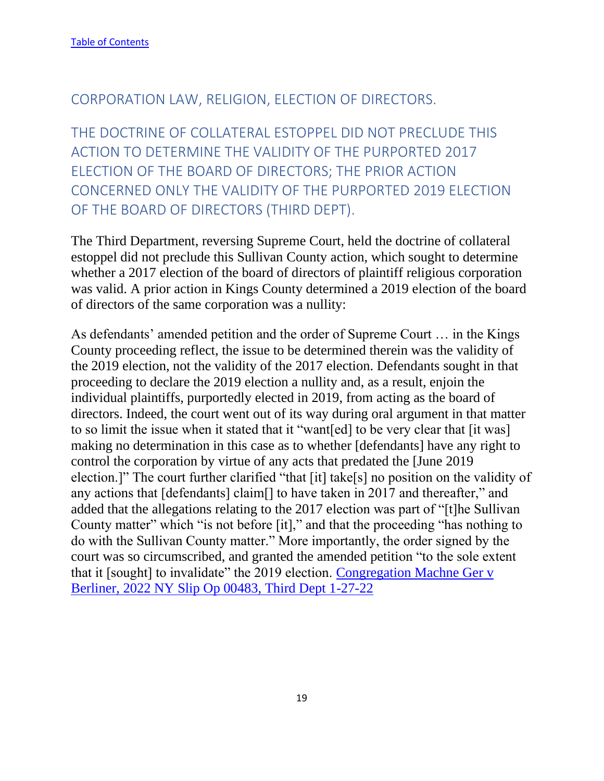#### <span id="page-19-0"></span>CORPORATION LAW, RELIGION, ELECTION OF DIRECTORS.

<span id="page-19-1"></span>THE DOCTRINE OF COLLATERAL ESTOPPEL DID NOT PRECLUDE THIS ACTION TO DETERMINE THE VALIDITY OF THE PURPORTED 2017 ELECTION OF THE BOARD OF DIRECTORS; THE PRIOR ACTION CONCERNED ONLY THE VALIDITY OF THE PURPORTED 2019 ELECTION OF THE BOARD OF DIRECTORS (THIRD DEPT).

The Third Department, reversing Supreme Court, held the doctrine of collateral estoppel did not preclude this Sullivan County action, which sought to determine whether a 2017 election of the board of directors of plaintiff religious corporation was valid. A prior action in Kings County determined a 2019 election of the board of directors of the same corporation was a nullity:

As defendants' amended petition and the order of Supreme Court … in the Kings County proceeding reflect, the issue to be determined therein was the validity of the 2019 election, not the validity of the 2017 election. Defendants sought in that proceeding to declare the 2019 election a nullity and, as a result, enjoin the individual plaintiffs, purportedly elected in 2019, from acting as the board of directors. Indeed, the court went out of its way during oral argument in that matter to so limit the issue when it stated that it "want[ed] to be very clear that [it was] making no determination in this case as to whether [defendants] have any right to control the corporation by virtue of any acts that predated the [June 2019 election.]" The court further clarified "that [it] take[s] no position on the validity of any actions that [defendants] claim[] to have taken in 2017 and thereafter," and added that the allegations relating to the 2017 election was part of "[t]he Sullivan County matter" which "is not before [it]," and that the proceeding "has nothing to do with the Sullivan County matter." More importantly, the order signed by the court was so circumscribed, and granted the amended petition "to the sole extent that it [sought] to invalidate" the 2019 election. [Congregation Machne Ger v](https://nycourts.gov/reporter/3dseries/2022/2022_00483.htm)  [Berliner, 2022 NY Slip Op 00483, Third Dept 1-27-22](https://nycourts.gov/reporter/3dseries/2022/2022_00483.htm)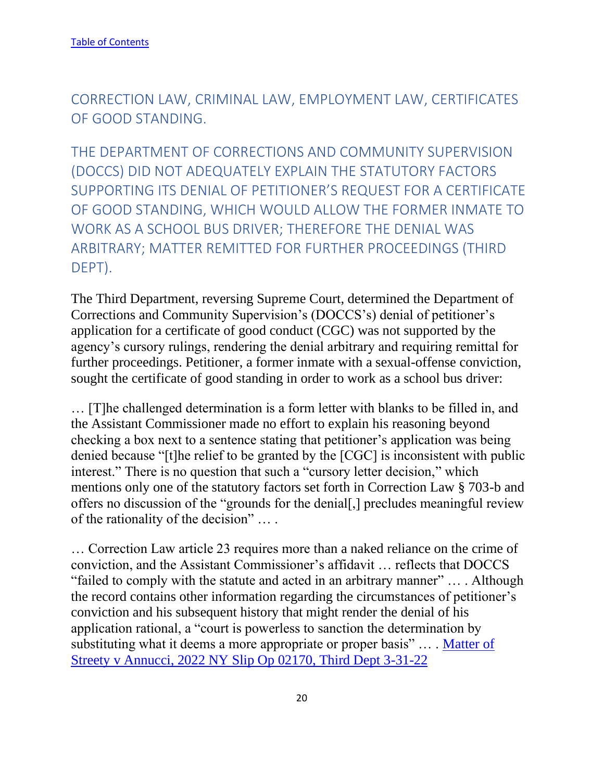<span id="page-20-0"></span>CORRECTION LAW, CRIMINAL LAW, EMPLOYMENT LAW, CERTIFICATES OF GOOD STANDING.

<span id="page-20-1"></span>THE DEPARTMENT OF CORRECTIONS AND COMMUNITY SUPERVISION (DOCCS) DID NOT ADEQUATELY EXPLAIN THE STATUTORY FACTORS SUPPORTING ITS DENIAL OF PETITIONER'S REQUEST FOR A CERTIFICATE OF GOOD STANDING, WHICH WOULD ALLOW THE FORMER INMATE TO WORK AS A SCHOOL BUS DRIVER; THEREFORE THE DENIAL WAS ARBITRARY; MATTER REMITTED FOR FURTHER PROCEEDINGS (THIRD DEPT).

The Third Department, reversing Supreme Court, determined the Department of Corrections and Community Supervision's (DOCCS's) denial of petitioner's application for a certificate of good conduct (CGC) was not supported by the agency's cursory rulings, rendering the denial arbitrary and requiring remittal for further proceedings. Petitioner, a former inmate with a sexual-offense conviction, sought the certificate of good standing in order to work as a school bus driver:

… [T]he challenged determination is a form letter with blanks to be filled in, and the Assistant Commissioner made no effort to explain his reasoning beyond checking a box next to a sentence stating that petitioner's application was being denied because "[t]he relief to be granted by the [CGC] is inconsistent with public interest." There is no question that such a "cursory letter decision," which mentions only one of the statutory factors set forth in Correction Law § 703-b and offers no discussion of the "grounds for the denial[,] precludes meaningful review of the rationality of the decision" … .

… Correction Law article 23 requires more than a naked reliance on the crime of conviction, and the Assistant Commissioner's affidavit … reflects that DOCCS "failed to comply with the statute and acted in an arbitrary manner" … . Although the record contains other information regarding the circumstances of petitioner's conviction and his subsequent history that might render the denial of his application rational, a "court is powerless to sanction the determination by substituting what it deems a more appropriate or proper basis" ... . Matter of [Streety v Annucci, 2022 NY Slip Op 02170, Third Dept 3-31-22](https://nycourts.gov/reporter/3dseries/2022/2022_02170.htm)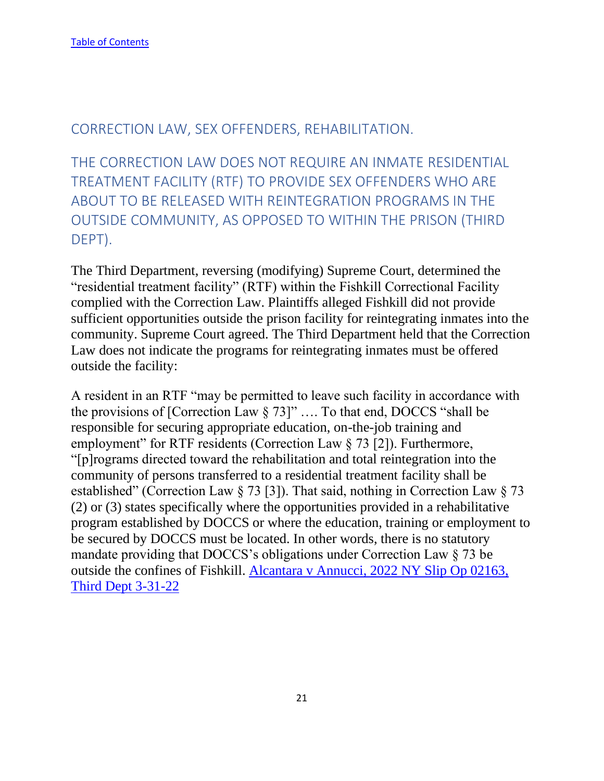## <span id="page-21-0"></span>CORRECTION LAW, SEX OFFENDERS, REHABILITATION.

<span id="page-21-1"></span>THE CORRECTION LAW DOES NOT REQUIRE AN INMATE RESIDENTIAL TREATMENT FACILITY (RTF) TO PROVIDE SEX OFFENDERS WHO ARE ABOUT TO BE RELEASED WITH REINTEGRATION PROGRAMS IN THE OUTSIDE COMMUNITY, AS OPPOSED TO WITHIN THE PRISON (THIRD DEPT).

The Third Department, reversing (modifying) Supreme Court, determined the "residential treatment facility" (RTF) within the Fishkill Correctional Facility complied with the Correction Law. Plaintiffs alleged Fishkill did not provide sufficient opportunities outside the prison facility for reintegrating inmates into the community. Supreme Court agreed. The Third Department held that the Correction Law does not indicate the programs for reintegrating inmates must be offered outside the facility:

A resident in an RTF "may be permitted to leave such facility in accordance with the provisions of [Correction Law  $\S 73$ ]" .... To that end, DOCCS "shall be responsible for securing appropriate education, on-the-job training and employment" for RTF residents (Correction Law § 73 [2]). Furthermore, "[p]rograms directed toward the rehabilitation and total reintegration into the community of persons transferred to a residential treatment facility shall be established" (Correction Law § 73 [3]). That said, nothing in Correction Law § 73 (2) or (3) states specifically where the opportunities provided in a rehabilitative program established by DOCCS or where the education, training or employment to be secured by DOCCS must be located. In other words, there is no statutory mandate providing that DOCCS's obligations under Correction Law § 73 be outside the confines of Fishkill. [Alcantara v Annucci, 2022 NY Slip Op 02163,](https://nycourts.gov/reporter/3dseries/2022/2022_02163.htm)  [Third Dept 3-31-22](https://nycourts.gov/reporter/3dseries/2022/2022_02163.htm)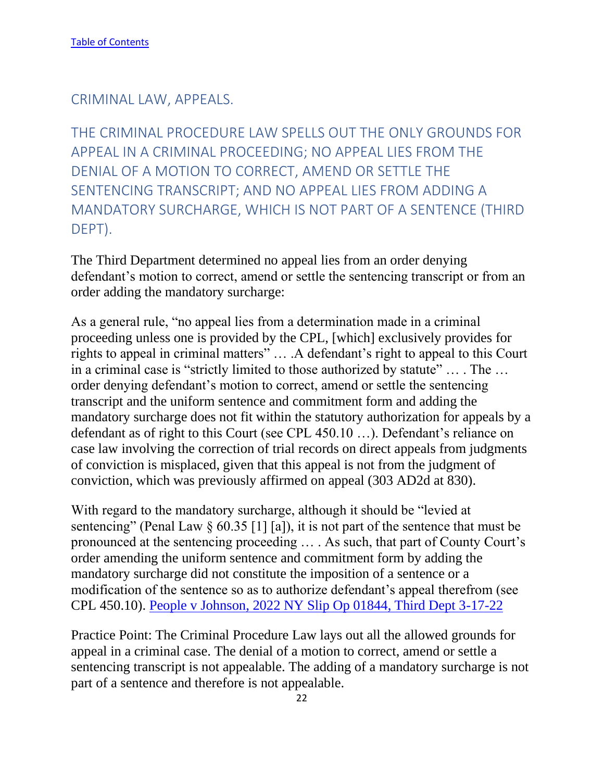<span id="page-22-0"></span>CRIMINAL LAW, APPEALS.

<span id="page-22-1"></span>THE CRIMINAL PROCEDURE LAW SPELLS OUT THE ONLY GROUNDS FOR APPEAL IN A CRIMINAL PROCEEDING; NO APPEAL LIES FROM THE DENIAL OF A MOTION TO CORRECT, AMEND OR SETTLE THE SENTENCING TRANSCRIPT; AND NO APPEAL LIES FROM ADDING A MANDATORY SURCHARGE, WHICH IS NOT PART OF A SENTENCE (THIRD DEPT).

The Third Department determined no appeal lies from an order denying defendant's motion to correct, amend or settle the sentencing transcript or from an order adding the mandatory surcharge:

As a general rule, "no appeal lies from a determination made in a criminal proceeding unless one is provided by the CPL, [which] exclusively provides for rights to appeal in criminal matters" … .A defendant's right to appeal to this Court in a criminal case is "strictly limited to those authorized by statute" … . The … order denying defendant's motion to correct, amend or settle the sentencing transcript and the uniform sentence and commitment form and adding the mandatory surcharge does not fit within the statutory authorization for appeals by a defendant as of right to this Court (see CPL 450.10 …). Defendant's reliance on case law involving the correction of trial records on direct appeals from judgments of conviction is misplaced, given that this appeal is not from the judgment of conviction, which was previously affirmed on appeal (303 AD2d at 830).

With regard to the mandatory surcharge, although it should be "levied at sentencing" (Penal Law  $\S 60.35$  [1] [a]), it is not part of the sentence that must be pronounced at the sentencing proceeding … . As such, that part of County Court's order amending the uniform sentence and commitment form by adding the mandatory surcharge did not constitute the imposition of a sentence or a modification of the sentence so as to authorize defendant's appeal therefrom (see CPL 450.10). [People v Johnson, 2022 NY Slip Op 01844, Third Dept 3-17-22](https://nycourts.gov/reporter/3dseries/2022/2022_01844.htm)

Practice Point: The Criminal Procedure Law lays out all the allowed grounds for appeal in a criminal case. The denial of a motion to correct, amend or settle a sentencing transcript is not appealable. The adding of a mandatory surcharge is not part of a sentence and therefore is not appealable.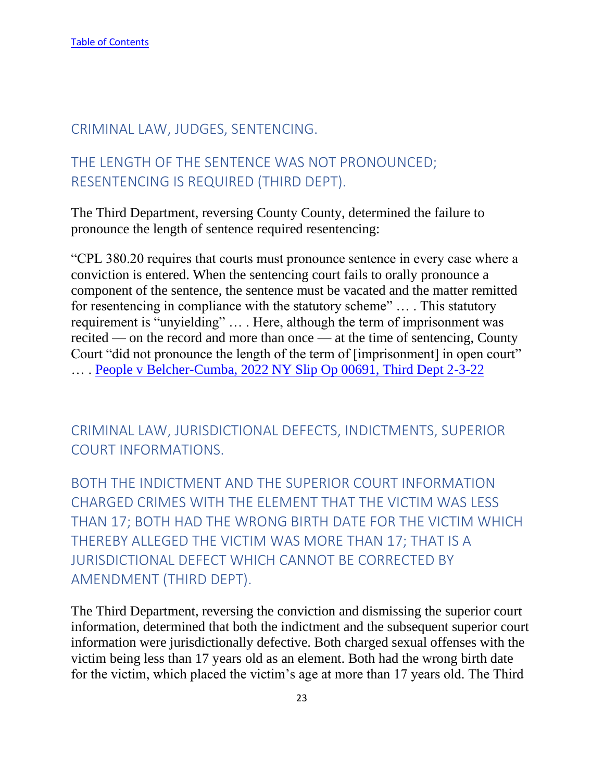#### <span id="page-23-0"></span>CRIMINAL LAW, JUDGES, SENTENCING.

# <span id="page-23-1"></span>THE LENGTH OF THE SENTENCE WAS NOT PRONOUNCED; RESENTENCING IS REQUIRED (THIRD DEPT).

The Third Department, reversing County County, determined the failure to pronounce the length of sentence required resentencing:

"CPL 380.20 requires that courts must pronounce sentence in every case where a conviction is entered. When the sentencing court fails to orally pronounce a component of the sentence, the sentence must be vacated and the matter remitted for resentencing in compliance with the statutory scheme" … . This statutory requirement is "unyielding" … . Here, although the term of imprisonment was recited — on the record and more than once — at the time of sentencing, County Court "did not pronounce the length of the term of [imprisonment] in open court" … . [People v Belcher-Cumba, 2022 NY Slip Op 00691, Third Dept 2-3-22](https://nycourts.gov/reporter/3dseries/2022/2022_00691.htm)

<span id="page-23-2"></span>CRIMINAL LAW, JURISDICTIONAL DEFECTS, INDICTMENTS, SUPERIOR COURT INFORMATIONS.

<span id="page-23-3"></span>BOTH THE INDICTMENT AND THE SUPERIOR COURT INFORMATION CHARGED CRIMES WITH THE ELEMENT THAT THE VICTIM WAS LESS THAN 17; BOTH HAD THE WRONG BIRTH DATE FOR THE VICTIM WHICH THEREBY ALLEGED THE VICTIM WAS MORE THAN 17; THAT IS A JURISDICTIONAL DEFECT WHICH CANNOT BE CORRECTED BY AMENDMENT (THIRD DEPT).

The Third Department, reversing the conviction and dismissing the superior court information, determined that both the indictment and the subsequent superior court information were jurisdictionally defective. Both charged sexual offenses with the victim being less than 17 years old as an element. Both had the wrong birth date for the victim, which placed the victim's age at more than 17 years old. The Third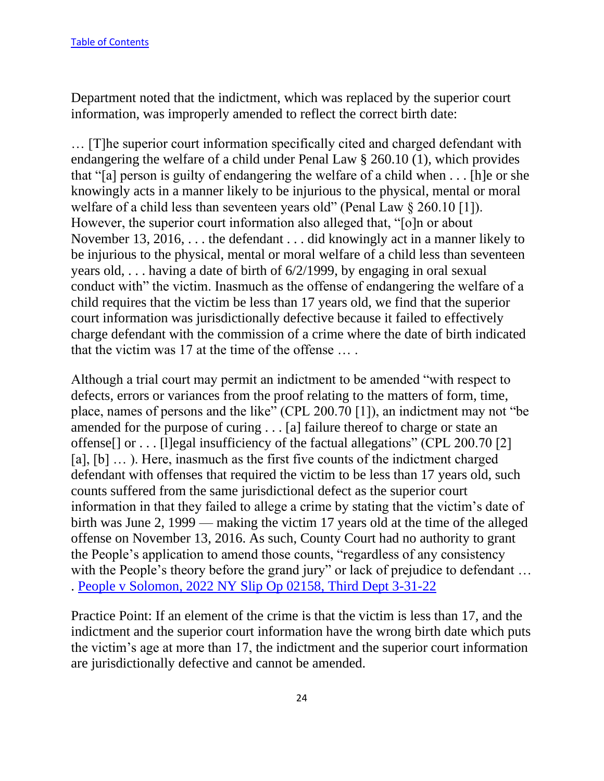Department noted that the indictment, which was replaced by the superior court information, was improperly amended to reflect the correct birth date:

… [T]he superior court information specifically cited and charged defendant with endangering the welfare of a child under Penal Law § 260.10 (1), which provides that "[a] person is guilty of endangering the welfare of a child when . . . [h]e or she knowingly acts in a manner likely to be injurious to the physical, mental or moral welfare of a child less than seventeen years old" (Penal Law § 260.10 [1]). However, the superior court information also alleged that, "[o]n or about November 13, 2016, . . . the defendant . . . did knowingly act in a manner likely to be injurious to the physical, mental or moral welfare of a child less than seventeen years old, . . . having a date of birth of 6/2/1999, by engaging in oral sexual conduct with" the victim. Inasmuch as the offense of endangering the welfare of a child requires that the victim be less than 17 years old, we find that the superior court information was jurisdictionally defective because it failed to effectively charge defendant with the commission of a crime where the date of birth indicated that the victim was 17 at the time of the offense … .

Although a trial court may permit an indictment to be amended "with respect to defects, errors or variances from the proof relating to the matters of form, time, place, names of persons and the like" (CPL 200.70 [1]), an indictment may not "be amended for the purpose of curing . . . [a] failure thereof to charge or state an offense[] or . . . [l]egal insufficiency of the factual allegations" (CPL 200.70 [2] [a], [b] ...). Here, inasmuch as the first five counts of the indictment charged defendant with offenses that required the victim to be less than 17 years old, such counts suffered from the same jurisdictional defect as the superior court information in that they failed to allege a crime by stating that the victim's date of birth was June 2, 1999 — making the victim 17 years old at the time of the alleged offense on November 13, 2016. As such, County Court had no authority to grant the People's application to amend those counts, "regardless of any consistency with the People's theory before the grand jury" or lack of prejudice to defendant ... . People v [Solomon, 2022 NY Slip Op 02158, Third Dept 3-31-22](https://nycourts.gov/reporter/3dseries/2022/2022_02158.htm)

Practice Point: If an element of the crime is that the victim is less than 17, and the indictment and the superior court information have the wrong birth date which puts the victim's age at more than 17, the indictment and the superior court information are jurisdictionally defective and cannot be amended.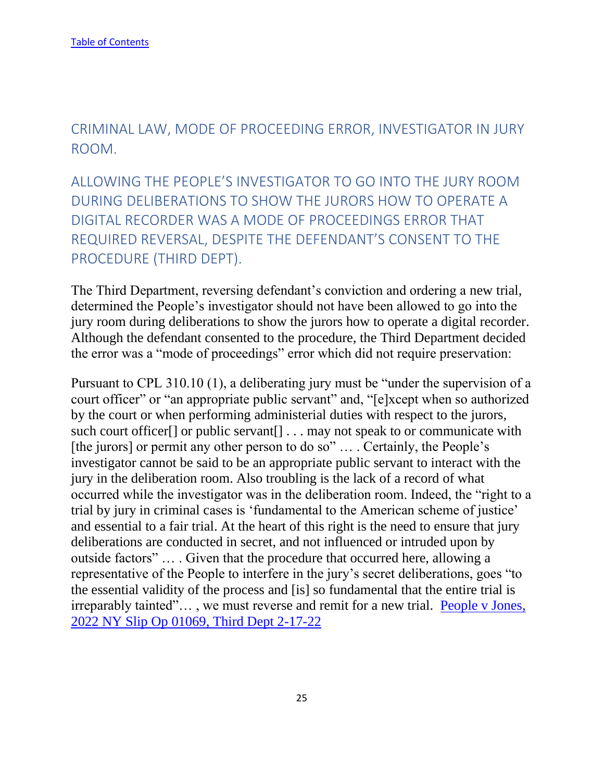<span id="page-25-0"></span>CRIMINAL LAW, MODE OF PROCEEDING ERROR, INVESTIGATOR IN JURY ROOM.

<span id="page-25-1"></span>ALLOWING THE PEOPLE'S INVESTIGATOR TO GO INTO THE JURY ROOM DURING DELIBERATIONS TO SHOW THE JURORS HOW TO OPERATE A DIGITAL RECORDER WAS A MODE OF PROCEEDINGS ERROR THAT REQUIRED REVERSAL, DESPITE THE DEFENDANT'S CONSENT TO THE PROCEDURE (THIRD DEPT).

The Third Department, reversing defendant's conviction and ordering a new trial, determined the People's investigator should not have been allowed to go into the jury room during deliberations to show the jurors how to operate a digital recorder. Although the defendant consented to the procedure, the Third Department decided the error was a "mode of proceedings" error which did not require preservation:

Pursuant to CPL 310.10 (1), a deliberating jury must be "under the supervision of a court officer" or "an appropriate public servant" and, "[e]xcept when so authorized by the court or when performing administerial duties with respect to the jurors, such court officer[] or public servant[] . . . may not speak to or communicate with [the jurors] or permit any other person to do so" ... . Certainly, the People's investigator cannot be said to be an appropriate public servant to interact with the jury in the deliberation room. Also troubling is the lack of a record of what occurred while the investigator was in the deliberation room. Indeed, the "right to a trial by jury in criminal cases is 'fundamental to the American scheme of justice' and essential to a fair trial. At the heart of this right is the need to ensure that jury deliberations are conducted in secret, and not influenced or intruded upon by outside factors" … . Given that the procedure that occurred here, allowing a representative of the People to interfere in the jury's secret deliberations, goes "to the essential validity of the process and [is] so fundamental that the entire trial is irreparably tainted"… , we must reverse and remit for a new trial. [People v Jones,](https://nycourts.gov/reporter/3dseries/2022/2022_01069.htm)  [2022 NY Slip Op 01069, Third Dept 2-17-22](https://nycourts.gov/reporter/3dseries/2022/2022_01069.htm)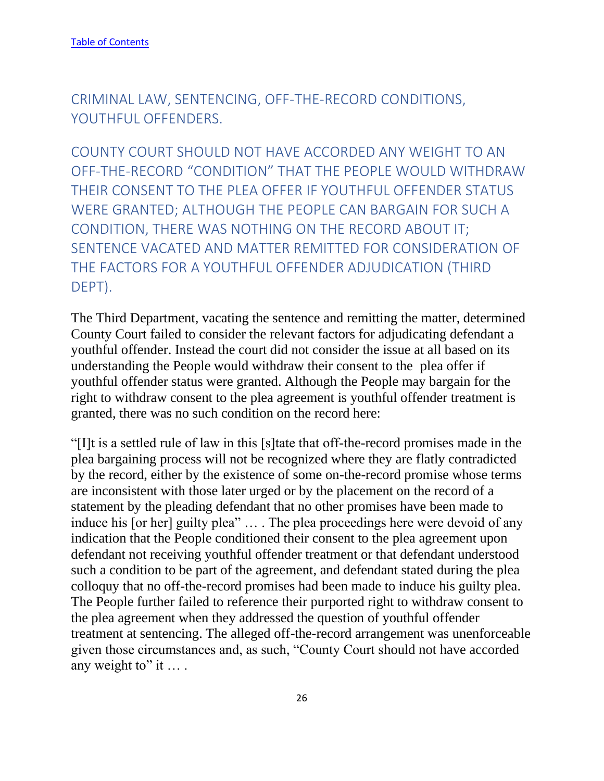<span id="page-26-0"></span>CRIMINAL LAW, SENTENCING, OFF-THE-RECORD CONDITIONS, YOUTHFUL OFFENDERS.

<span id="page-26-1"></span>COUNTY COURT SHOULD NOT HAVE ACCORDED ANY WEIGHT TO AN OFF-THE-RECORD "CONDITION" THAT THE PEOPLE WOULD WITHDRAW THEIR CONSENT TO THE PLEA OFFER IF YOUTHFUL OFFENDER STATUS WERE GRANTED; ALTHOUGH THE PEOPLE CAN BARGAIN FOR SUCH A CONDITION, THERE WAS NOTHING ON THE RECORD ABOUT IT; SENTENCE VACATED AND MATTER REMITTED FOR CONSIDERATION OF THE FACTORS FOR A YOUTHFUL OFFENDER ADJUDICATION (THIRD DEPT).

The Third Department, vacating the sentence and remitting the matter, determined County Court failed to consider the relevant factors for adjudicating defendant a youthful offender. Instead the court did not consider the issue at all based on its understanding the People would withdraw their consent to the plea offer if youthful offender status were granted. Although the People may bargain for the right to withdraw consent to the plea agreement is youthful offender treatment is granted, there was no such condition on the record here:

"[I]t is a settled rule of law in this [s]tate that off-the-record promises made in the plea bargaining process will not be recognized where they are flatly contradicted by the record, either by the existence of some on-the-record promise whose terms are inconsistent with those later urged or by the placement on the record of a statement by the pleading defendant that no other promises have been made to induce his [or her] guilty plea" … . The plea proceedings here were devoid of any indication that the People conditioned their consent to the plea agreement upon defendant not receiving youthful offender treatment or that defendant understood such a condition to be part of the agreement, and defendant stated during the plea colloquy that no off-the-record promises had been made to induce his guilty plea. The People further failed to reference their purported right to withdraw consent to the plea agreement when they addressed the question of youthful offender treatment at sentencing. The alleged off-the-record arrangement was unenforceable given those circumstances and, as such, "County Court should not have accorded any weight to" it ....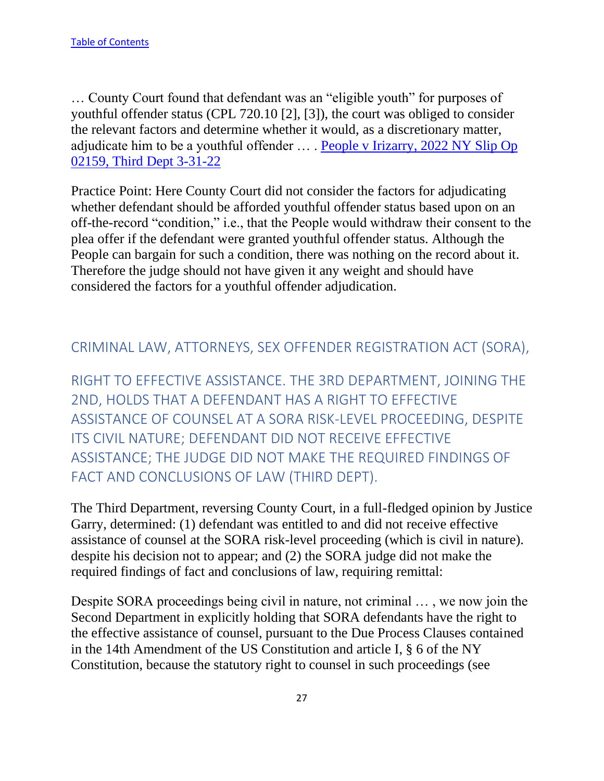… County Court found that defendant was an "eligible youth" for purposes of youthful offender status (CPL 720.10 [2], [3]), the court was obliged to consider the relevant factors and determine whether it would, as a discretionary matter, adjudicate him to be a youthful offender … . [People v Irizarry, 2022 NY Slip Op](https://nycourts.gov/reporter/3dseries/2022/2022_02159.htm)  [02159, Third Dept 3-31-22](https://nycourts.gov/reporter/3dseries/2022/2022_02159.htm)

Practice Point: Here County Court did not consider the factors for adjudicating whether defendant should be afforded youthful offender status based upon on an off-the-record "condition," i.e., that the People would withdraw their consent to the plea offer if the defendant were granted youthful offender status. Although the People can bargain for such a condition, there was nothing on the record about it. Therefore the judge should not have given it any weight and should have considered the factors for a youthful offender adjudication.

#### <span id="page-27-0"></span>CRIMINAL LAW, ATTORNEYS, SEX OFFENDER REGISTRATION ACT (SORA),

<span id="page-27-1"></span>RIGHT TO EFFECTIVE ASSISTANCE. THE 3RD DEPARTMENT, JOINING THE 2ND, HOLDS THAT A DEFENDANT HAS A RIGHT TO EFFECTIVE ASSISTANCE OF COUNSEL AT A SORA RISK-LEVEL PROCEEDING, DESPITE ITS CIVIL NATURE; DEFENDANT DID NOT RECEIVE EFFECTIVE ASSISTANCE; THE JUDGE DID NOT MAKE THE REQUIRED FINDINGS OF FACT AND CONCLUSIONS OF LAW (THIRD DEPT).

The Third Department, reversing County Court, in a full-fledged opinion by Justice Garry, determined: (1) defendant was entitled to and did not receive effective assistance of counsel at the SORA risk-level proceeding (which is civil in nature). despite his decision not to appear; and (2) the SORA judge did not make the required findings of fact and conclusions of law, requiring remittal:

Despite SORA proceedings being civil in nature, not criminal … , we now join the Second Department in explicitly holding that SORA defendants have the right to the effective assistance of counsel, pursuant to the Due Process Clauses contained in the 14th Amendment of the US Constitution and article I, § 6 of the NY Constitution, because the statutory right to counsel in such proceedings (see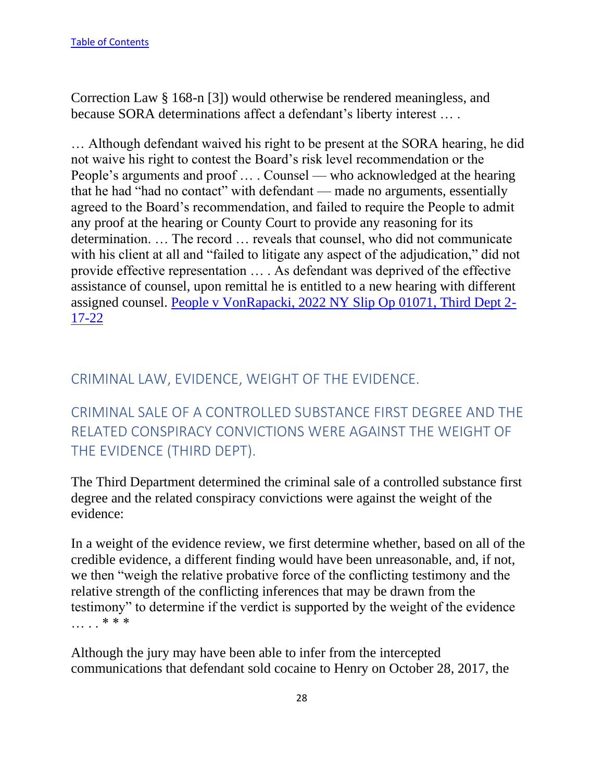Correction Law § 168-n [3]) would otherwise be rendered meaningless, and because SORA determinations affect a defendant's liberty interest … .

… Although defendant waived his right to be present at the SORA hearing, he did not waive his right to contest the Board's risk level recommendation or the People's arguments and proof … . Counsel — who acknowledged at the hearing that he had "had no contact" with defendant — made no arguments, essentially agreed to the Board's recommendation, and failed to require the People to admit any proof at the hearing or County Court to provide any reasoning for its determination. … The record … reveals that counsel, who did not communicate with his client at all and "failed to litigate any aspect of the adjudication," did not provide effective representation … . As defendant was deprived of the effective assistance of counsel, upon remittal he is entitled to a new hearing with different assigned counsel. [People v VonRapacki, 2022 NY Slip Op 01071, Third Dept 2-](https://nycourts.gov/reporter/3dseries/2022/2022_01071.htm) [17-22](https://nycourts.gov/reporter/3dseries/2022/2022_01071.htm)

## <span id="page-28-0"></span>CRIMINAL LAW, EVIDENCE, WEIGHT OF THE EVIDENCE.

<span id="page-28-1"></span>CRIMINAL SALE OF A CONTROLLED SUBSTANCE FIRST DEGREE AND THE RELATED CONSPIRACY CONVICTIONS WERE AGAINST THE WEIGHT OF THE EVIDENCE (THIRD DEPT).

The Third Department determined the criminal sale of a controlled substance first degree and the related conspiracy convictions were against the weight of the evidence:

In a weight of the evidence review, we first determine whether, based on all of the credible evidence, a different finding would have been unreasonable, and, if not, we then "weigh the relative probative force of the conflicting testimony and the relative strength of the conflicting inferences that may be drawn from the testimony" to determine if the verdict is supported by the weight of the evidence … . . \* \* \*

Although the jury may have been able to infer from the intercepted communications that defendant sold cocaine to Henry on October 28, 2017, the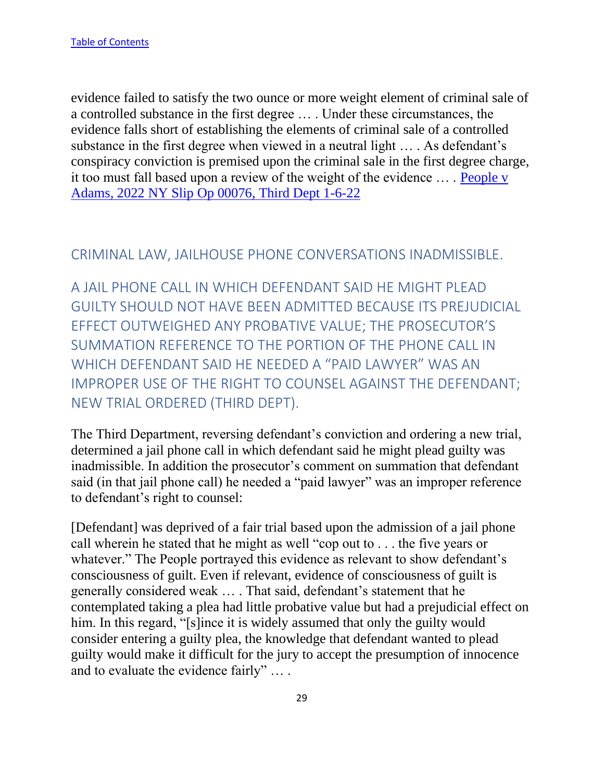evidence failed to satisfy the two ounce or more weight element of criminal sale of a controlled substance in the first degree … . Under these circumstances, the evidence falls short of establishing the elements of criminal sale of a controlled substance in the first degree when viewed in a neutral light … . As defendant's conspiracy conviction is premised upon the criminal sale in the first degree charge, it too must fall based upon a review of the weight of the evidence … . [People v](https://nycourts.gov/reporter/3dseries/2022/2022_00076.htm)  [Adams, 2022 NY Slip Op 00076, Third Dept 1-6-22](https://nycourts.gov/reporter/3dseries/2022/2022_00076.htm)

#### <span id="page-29-0"></span>CRIMINAL LAW, JAILHOUSE PHONE CONVERSATIONS INADMISSIBLE.

<span id="page-29-1"></span>A JAIL PHONE CALL IN WHICH DEFENDANT SAID HE MIGHT PLEAD GUILTY SHOULD NOT HAVE BEEN ADMITTED BECAUSE ITS PREJUDICIAL EFFECT OUTWEIGHED ANY PROBATIVE VALUE; THE PROSECUTOR'S SUMMATION REFERENCE TO THE PORTION OF THE PHONE CALL IN WHICH DEFENDANT SAID HE NEEDED A "PAID LAWYER" WAS AN IMPROPER USE OF THE RIGHT TO COUNSEL AGAINST THE DEFENDANT; NEW TRIAL ORDERED (THIRD DEPT).

The Third Department, reversing defendant's conviction and ordering a new trial, determined a jail phone call in which defendant said he might plead guilty was inadmissible. In addition the prosecutor's comment on summation that defendant said (in that jail phone call) he needed a "paid lawyer" was an improper reference to defendant's right to counsel:

[Defendant] was deprived of a fair trial based upon the admission of a jail phone call wherein he stated that he might as well "cop out to . . . the five years or whatever." The People portrayed this evidence as relevant to show defendant's consciousness of guilt. Even if relevant, evidence of consciousness of guilt is generally considered weak … . That said, defendant's statement that he contemplated taking a plea had little probative value but had a prejudicial effect on him. In this regard, "[s]ince it is widely assumed that only the guilty would consider entering a guilty plea, the knowledge that defendant wanted to plead guilty would make it difficult for the jury to accept the presumption of innocence and to evaluate the evidence fairly" … .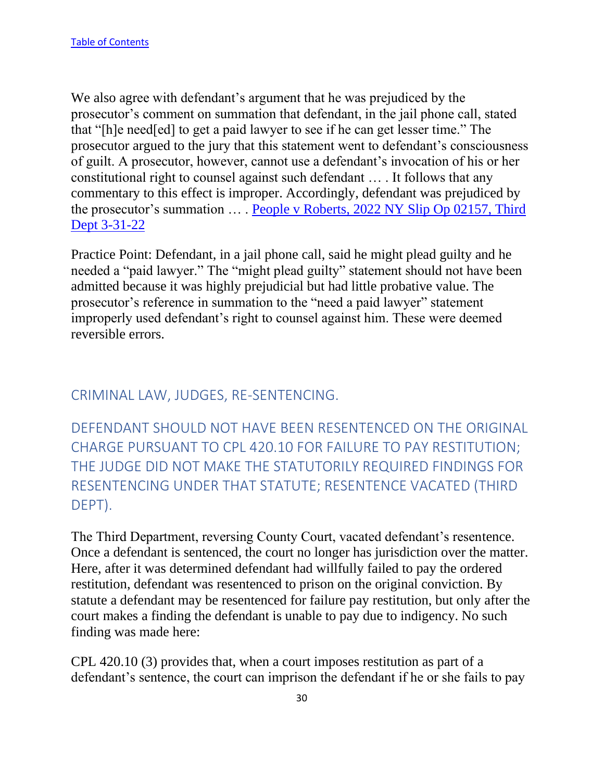We also agree with defendant's argument that he was prejudiced by the prosecutor's comment on summation that defendant, in the jail phone call, stated that "[h]e need[ed] to get a paid lawyer to see if he can get lesser time." The prosecutor argued to the jury that this statement went to defendant's consciousness of guilt. A prosecutor, however, cannot use a defendant's invocation of his or her constitutional right to counsel against such defendant … . It follows that any commentary to this effect is improper. Accordingly, defendant was prejudiced by the prosecutor's summation ... . People v Roberts, 2022 NY Slip Op 02157, Third [Dept 3-31-22](https://nycourts.gov/reporter/3dseries/2022/2022_02157.htm)

Practice Point: Defendant, in a jail phone call, said he might plead guilty and he needed a "paid lawyer." The "might plead guilty" statement should not have been admitted because it was highly prejudicial but had little probative value. The prosecutor's reference in summation to the "need a paid lawyer" statement improperly used defendant's right to counsel against him. These were deemed reversible errors.

### <span id="page-30-0"></span>CRIMINAL LAW, JUDGES, RE-SENTENCING.

<span id="page-30-1"></span>DEFENDANT SHOULD NOT HAVE BEEN RESENTENCED ON THE ORIGINAL CHARGE PURSUANT TO CPL 420.10 FOR FAILURE TO PAY RESTITUTION; THE JUDGE DID NOT MAKE THE STATUTORILY REQUIRED FINDINGS FOR RESENTENCING UNDER THAT STATUTE; RESENTENCE VACATED (THIRD DEPT).

The Third Department, reversing County Court, vacated defendant's resentence. Once a defendant is sentenced, the court no longer has jurisdiction over the matter. Here, after it was determined defendant had willfully failed to pay the ordered restitution, defendant was resentenced to prison on the original conviction. By statute a defendant may be resentenced for failure pay restitution, but only after the court makes a finding the defendant is unable to pay due to indigency. No such finding was made here:

CPL 420.10 (3) provides that, when a court imposes restitution as part of a defendant's sentence, the court can imprison the defendant if he or she fails to pay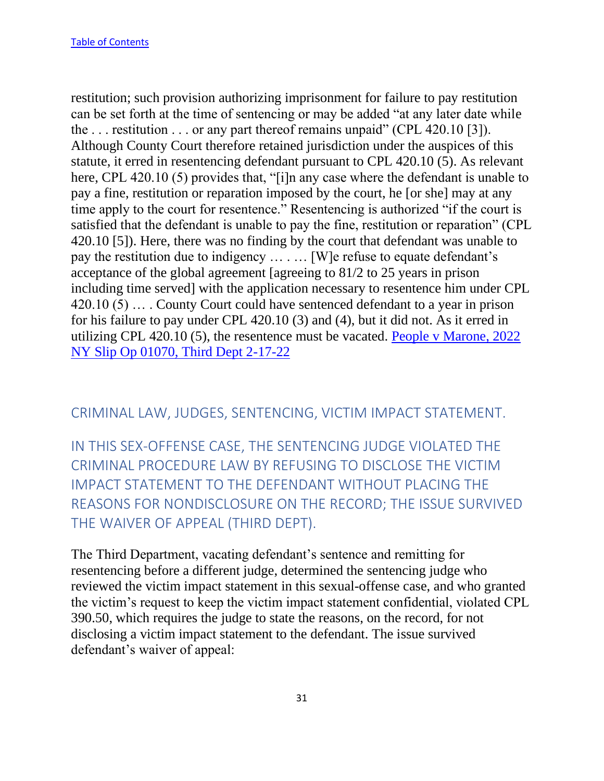restitution; such provision authorizing imprisonment for failure to pay restitution can be set forth at the time of sentencing or may be added "at any later date while the ... restitution ... or any part thereof remains unpaid" (CPL 420.10 [3]). Although County Court therefore retained jurisdiction under the auspices of this statute, it erred in resentencing defendant pursuant to CPL 420.10 (5). As relevant here, CPL 420.10 (5) provides that, "[i]n any case where the defendant is unable to pay a fine, restitution or reparation imposed by the court, he [or she] may at any time apply to the court for resentence." Resentencing is authorized "if the court is satisfied that the defendant is unable to pay the fine, restitution or reparation" (CPL 420.10 [5]). Here, there was no finding by the court that defendant was unable to pay the restitution due to indigency … . … [W]e refuse to equate defendant's acceptance of the global agreement [agreeing to 81/2 to 25 years in prison including time served] with the application necessary to resentence him under CPL 420.10 (5) … . County Court could have sentenced defendant to a year in prison for his failure to pay under CPL 420.10 (3) and (4), but it did not. As it erred in utilizing CPL 420.10 (5), the resentence must be vacated. [People v Marone, 2022](https://nycourts.gov/reporter/3dseries/2022/2022_01070.htm)  [NY Slip Op 01070, Third Dept 2-17-22](https://nycourts.gov/reporter/3dseries/2022/2022_01070.htm)

#### <span id="page-31-0"></span>CRIMINAL LAW, JUDGES, SENTENCING, VICTIM IMPACT STATEMENT.

<span id="page-31-1"></span>IN THIS SEX-OFFENSE CASE, THE SENTENCING JUDGE VIOLATED THE CRIMINAL PROCEDURE LAW BY REFUSING TO DISCLOSE THE VICTIM IMPACT STATEMENT TO THE DEFENDANT WITHOUT PLACING THE REASONS FOR NONDISCLOSURE ON THE RECORD; THE ISSUE SURVIVED THE WAIVER OF APPEAL (THIRD DEPT).

The Third Department, vacating defendant's sentence and remitting for resentencing before a different judge, determined the sentencing judge who reviewed the victim impact statement in this sexual-offense case, and who granted the victim's request to keep the victim impact statement confidential, violated CPL 390.50, which requires the judge to state the reasons, on the record, for not disclosing a victim impact statement to the defendant. The issue survived defendant's waiver of appeal: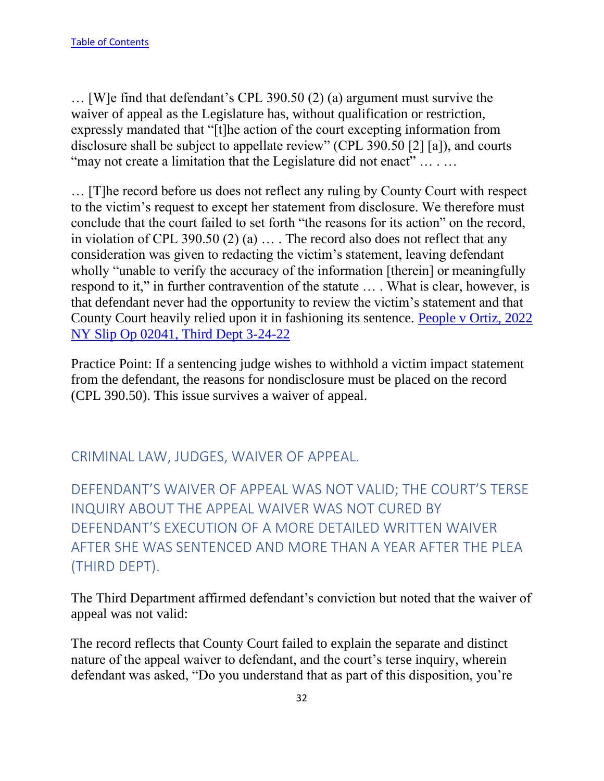… [W]e find that defendant's CPL 390.50 (2) (a) argument must survive the waiver of appeal as the Legislature has, without qualification or restriction, expressly mandated that "[t]he action of the court excepting information from disclosure shall be subject to appellate review" (CPL 390.50 [2] [a]), and courts "may not create a limitation that the Legislature did not enact" ... . ...

… [T]he record before us does not reflect any ruling by County Court with respect to the victim's request to except her statement from disclosure. We therefore must conclude that the court failed to set forth "the reasons for its action" on the record, in violation of CPL 390.50 (2) (a) … . The record also does not reflect that any consideration was given to redacting the victim's statement, leaving defendant wholly "unable to verify the accuracy of the information [therein] or meaningfully respond to it," in further contravention of the statute … . What is clear, however, is that defendant never had the opportunity to review the victim's statement and that County Court heavily relied upon it in fashioning its sentence. [People v Ortiz, 2022](https://nycourts.gov/reporter/3dseries/2022/2022_02041.htm)  [NY Slip Op 02041, Third Dept 3-24-22](https://nycourts.gov/reporter/3dseries/2022/2022_02041.htm)

Practice Point: If a sentencing judge wishes to withhold a victim impact statement from the defendant, the reasons for nondisclosure must be placed on the record (CPL 390.50). This issue survives a waiver of appeal.

<span id="page-32-0"></span>CRIMINAL LAW, JUDGES, WAIVER OF APPEAL.

<span id="page-32-1"></span>DEFENDANT'S WAIVER OF APPEAL WAS NOT VALID; THE COURT'S TERSE INQUIRY ABOUT THE APPEAL WAIVER WAS NOT CURED BY DEFENDANT'S EXECUTION OF A MORE DETAILED WRITTEN WAIVER AFTER SHE WAS SENTENCED AND MORE THAN A YEAR AFTER THE PLEA (THIRD DEPT).

The Third Department affirmed defendant's conviction but noted that the waiver of appeal was not valid:

The record reflects that County Court failed to explain the separate and distinct nature of the appeal waiver to defendant, and the court's terse inquiry, wherein defendant was asked, "Do you understand that as part of this disposition, you're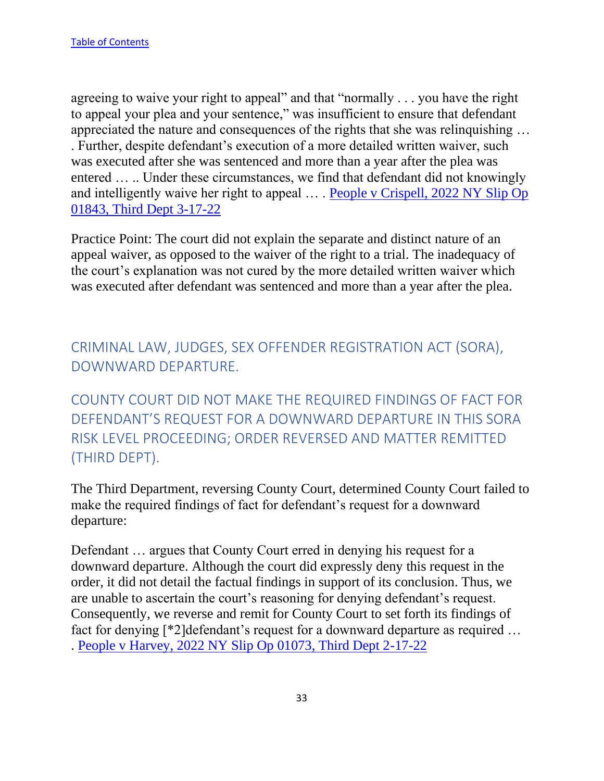agreeing to waive your right to appeal" and that "normally . . . you have the right to appeal your plea and your sentence," was insufficient to ensure that defendant appreciated the nature and consequences of the rights that she was relinquishing … . Further, despite defendant's execution of a more detailed written waiver, such was executed after she was sentenced and more than a year after the plea was entered … .. Under these circumstances, we find that defendant did not knowingly and intelligently waive her right to appeal ... . People v Crispell, 2022 NY Slip Op [01843, Third Dept 3-17-22](https://nycourts.gov/reporter/3dseries/2022/2022_01843.htm)

Practice Point: The court did not explain the separate and distinct nature of an appeal waiver, as opposed to the waiver of the right to a trial. The inadequacy of the court's explanation was not cured by the more detailed written waiver which was executed after defendant was sentenced and more than a year after the plea.

<span id="page-33-0"></span>CRIMINAL LAW, JUDGES, SEX OFFENDER REGISTRATION ACT (SORA), DOWNWARD DEPARTURE.

<span id="page-33-1"></span>COUNTY COURT DID NOT MAKE THE REQUIRED FINDINGS OF FACT FOR DEFENDANT'S REQUEST FOR A DOWNWARD DEPARTURE IN THIS SORA RISK LEVEL PROCEEDING; ORDER REVERSED AND MATTER REMITTED (THIRD DEPT).

The Third Department, reversing County Court, determined County Court failed to make the required findings of fact for defendant's request for a downward departure:

Defendant … argues that County Court erred in denying his request for a downward departure. Although the court did expressly deny this request in the order, it did not detail the factual findings in support of its conclusion. Thus, we are unable to ascertain the court's reasoning for denying defendant's request. Consequently, we reverse and remit for County Court to set forth its findings of fact for denying [\*2]defendant's request for a downward departure as required … . [People v Harvey, 2022 NY Slip Op 01073, Third Dept 2-17-22](https://nycourts.gov/reporter/3dseries/2022/2022_01073.htm)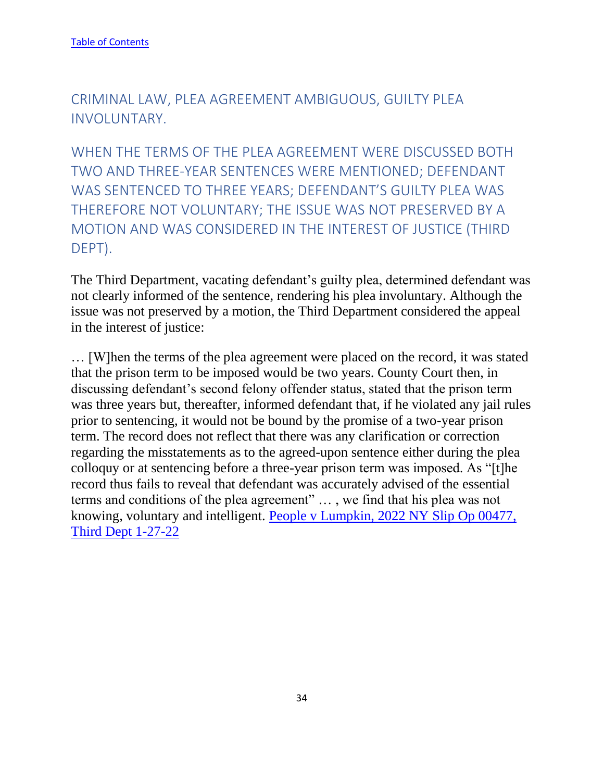<span id="page-34-0"></span>CRIMINAL LAW, PLEA AGREEMENT AMBIGUOUS, GUILTY PLEA INVOLUNTARY.

<span id="page-34-1"></span>WHEN THE TERMS OF THE PLEA AGREEMENT WERE DISCUSSED BOTH TWO AND THREE-YEAR SENTENCES WERE MENTIONED; DEFENDANT WAS SENTENCED TO THREE YEARS; DEFENDANT'S GUILTY PLEA WAS THEREFORE NOT VOLUNTARY; THE ISSUE WAS NOT PRESERVED BY A MOTION AND WAS CONSIDERED IN THE INTEREST OF JUSTICE (THIRD DEPT).

The Third Department, vacating defendant's guilty plea, determined defendant was not clearly informed of the sentence, rendering his plea involuntary. Although the issue was not preserved by a motion, the Third Department considered the appeal in the interest of justice:

… [W]hen the terms of the plea agreement were placed on the record, it was stated that the prison term to be imposed would be two years. County Court then, in discussing defendant's second felony offender status, stated that the prison term was three years but, thereafter, informed defendant that, if he violated any jail rules prior to sentencing, it would not be bound by the promise of a two-year prison term. The record does not reflect that there was any clarification or correction regarding the misstatements as to the agreed-upon sentence either during the plea colloquy or at sentencing before a three-year prison term was imposed. As "[t]he record thus fails to reveal that defendant was accurately advised of the essential terms and conditions of the plea agreement" … , we find that his plea was not knowing, voluntary and intelligent. [People v Lumpkin, 2022 NY Slip Op 00477,](https://nycourts.gov/reporter/3dseries/2022/2022_00477.htm)  [Third Dept 1-27-22](https://nycourts.gov/reporter/3dseries/2022/2022_00477.htm)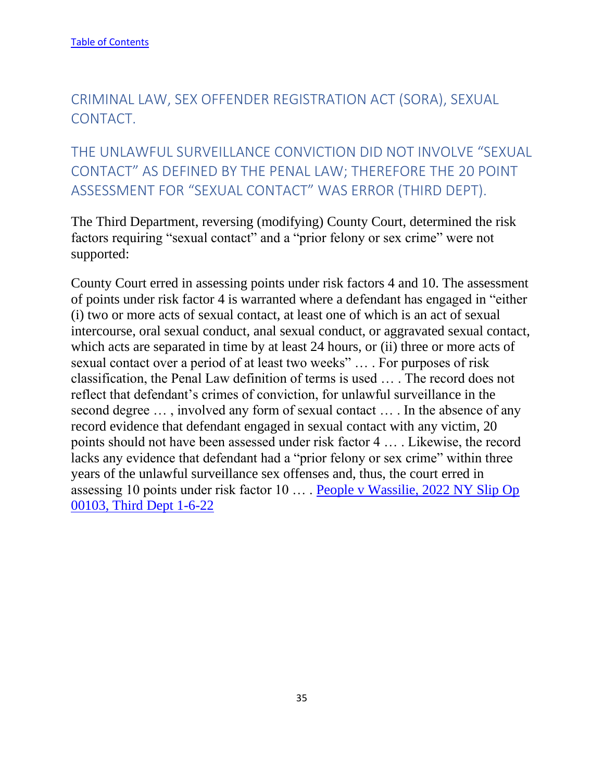# <span id="page-35-0"></span>CRIMINAL LAW, SEX OFFENDER REGISTRATION ACT (SORA), SEXUAL CONTACT.

<span id="page-35-1"></span>THE UNLAWFUL SURVEILLANCE CONVICTION DID NOT INVOLVE "SEXUAL CONTACT" AS DEFINED BY THE PENAL LAW; THEREFORE THE 20 POINT ASSESSMENT FOR "SEXUAL CONTACT" WAS ERROR (THIRD DEPT).

The Third Department, reversing (modifying) County Court, determined the risk factors requiring "sexual contact" and a "prior felony or sex crime" were not supported:

County Court erred in assessing points under risk factors 4 and 10. The assessment of points under risk factor 4 is warranted where a defendant has engaged in "either (i) two or more acts of sexual contact, at least one of which is an act of sexual intercourse, oral sexual conduct, anal sexual conduct, or aggravated sexual contact, which acts are separated in time by at least 24 hours, or (ii) three or more acts of sexual contact over a period of at least two weeks" … . For purposes of risk classification, the Penal Law definition of terms is used … . The record does not reflect that defendant's crimes of conviction, for unlawful surveillance in the second degree … , involved any form of sexual contact … . In the absence of any record evidence that defendant engaged in sexual contact with any victim, 20 points should not have been assessed under risk factor 4 … . Likewise, the record lacks any evidence that defendant had a "prior felony or sex crime" within three years of the unlawful surveillance sex offenses and, thus, the court erred in assessing 10 points under risk factor 10 … . [People v Wassilie, 2022 NY Slip Op](https://nycourts.gov/reporter/3dseries/2022/2022_00103.htm)  [00103, Third Dept 1-6-22](https://nycourts.gov/reporter/3dseries/2022/2022_00103.htm)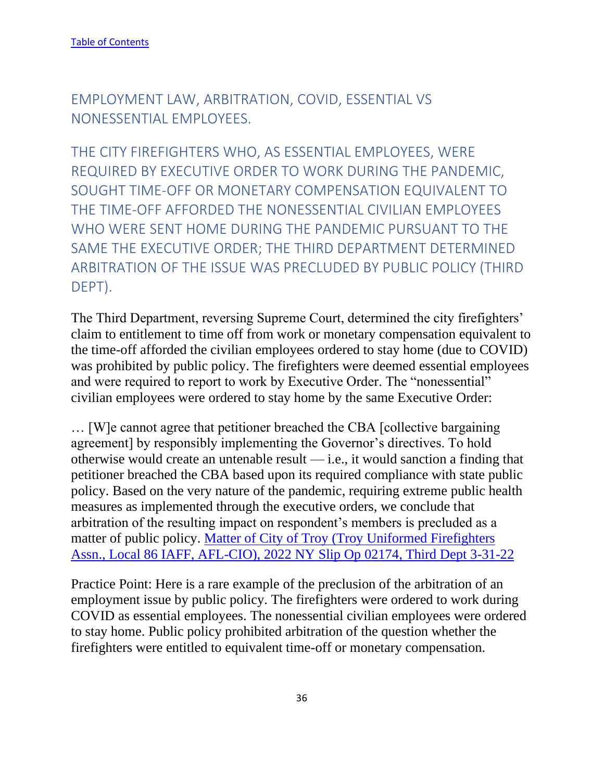EMPLOYMENT LAW, ARBITRATION, COVID, ESSENTIAL VS NONESSENTIAL EMPLOYEES.

THE CITY FIREFIGHTERS WHO, AS ESSENTIAL EMPLOYEES, WERE REQUIRED BY EXECUTIVE ORDER TO WORK DURING THE PANDEMIC, SOUGHT TIME-OFF OR MONETARY COMPENSATION EQUIVALENT TO THE TIME-OFF AFFORDED THE NONESSENTIAL CIVILIAN EMPLOYEES WHO WERE SENT HOME DURING THE PANDEMIC PURSUANT TO THE SAME THE EXECUTIVE ORDER; THE THIRD DEPARTMENT DETERMINED ARBITRATION OF THE ISSUE WAS PRECLUDED BY PUBLIC POLICY (THIRD DEPT).

The Third Department, reversing Supreme Court, determined the city firefighters' claim to entitlement to time off from work or monetary compensation equivalent to the time-off afforded the civilian employees ordered to stay home (due to COVID) was prohibited by public policy. The firefighters were deemed essential employees and were required to report to work by Executive Order. The "nonessential" civilian employees were ordered to stay home by the same Executive Order:

… [W]e cannot agree that petitioner breached the CBA [collective bargaining agreement] by responsibly implementing the Governor's directives. To hold otherwise would create an untenable result — i.e., it would sanction a finding that petitioner breached the CBA based upon its required compliance with state public policy. Based on the very nature of the pandemic, requiring extreme public health measures as implemented through the executive orders, we conclude that arbitration of the resulting impact on respondent's members is precluded as a matter of public policy. [Matter of City of Troy \(Troy Uniformed Firefighters](https://nycourts.gov/reporter/3dseries/2022/2022_02174.htm)  [Assn., Local 86 IAFF, AFL-CIO\), 2022 NY Slip Op 02174, Third Dept 3-31-22](https://nycourts.gov/reporter/3dseries/2022/2022_02174.htm)

Practice Point: Here is a rare example of the preclusion of the arbitration of an employment issue by public policy. The firefighters were ordered to work during COVID as essential employees. The nonessential civilian employees were ordered to stay home. Public policy prohibited arbitration of the question whether the firefighters were entitled to equivalent time-off or monetary compensation.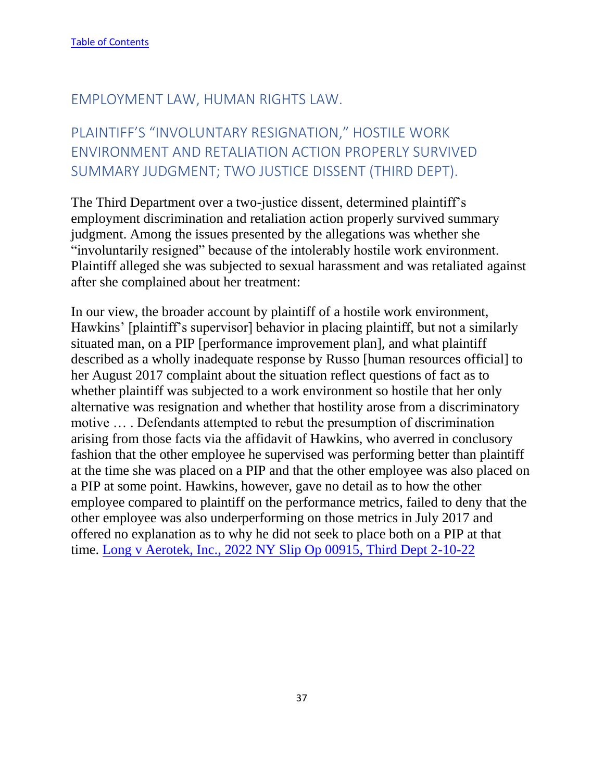## EMPLOYMENT LAW, HUMAN RIGHTS LAW.

# PLAINTIFF'S "INVOLUNTARY RESIGNATION," HOSTILE WORK ENVIRONMENT AND RETALIATION ACTION PROPERLY SURVIVED SUMMARY JUDGMENT; TWO JUSTICE DISSENT (THIRD DEPT).

The Third Department over a two-justice dissent, determined plaintiff's employment discrimination and retaliation action properly survived summary judgment. Among the issues presented by the allegations was whether she "involuntarily resigned" because of the intolerably hostile work environment. Plaintiff alleged she was subjected to sexual harassment and was retaliated against after she complained about her treatment:

In our view, the broader account by plaintiff of a hostile work environment, Hawkins' [plaintiff's supervisor] behavior in placing plaintiff, but not a similarly situated man, on a PIP [performance improvement plan], and what plaintiff described as a wholly inadequate response by Russo [human resources official] to her August 2017 complaint about the situation reflect questions of fact as to whether plaintiff was subjected to a work environment so hostile that her only alternative was resignation and whether that hostility arose from a discriminatory motive … . Defendants attempted to rebut the presumption of discrimination arising from those facts via the affidavit of Hawkins, who averred in conclusory fashion that the other employee he supervised was performing better than plaintiff at the time she was placed on a PIP and that the other employee was also placed on a PIP at some point. Hawkins, however, gave no detail as to how the other employee compared to plaintiff on the performance metrics, failed to deny that the other employee was also underperforming on those metrics in July 2017 and offered no explanation as to why he did not seek to place both on a PIP at that time. [Long v Aerotek, Inc., 2022 NY Slip Op 00915, Third Dept 2-10-22](https://nycourts.gov/reporter/3dseries/2022/2022_00915.htm)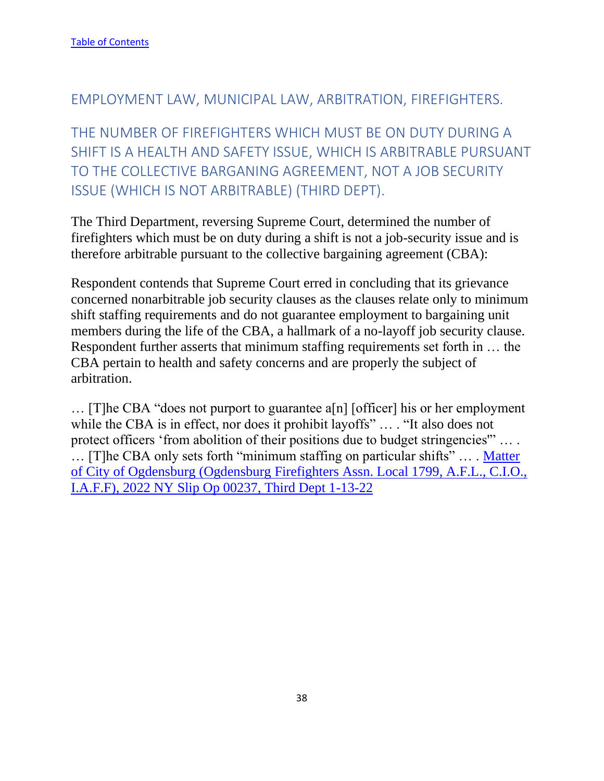### EMPLOYMENT LAW, MUNICIPAL LAW, ARBITRATION, FIREFIGHTERS.

THE NUMBER OF FIREFIGHTERS WHICH MUST BE ON DUTY DURING A SHIFT IS A HEALTH AND SAFETY ISSUE, WHICH IS ARBITRABLE PURSUANT TO THE COLLECTIVE BARGANING AGREEMENT, NOT A JOB SECURITY ISSUE (WHICH IS NOT ARBITRABLE) (THIRD DEPT).

The Third Department, reversing Supreme Court, determined the number of firefighters which must be on duty during a shift is not a job-security issue and is therefore arbitrable pursuant to the collective bargaining agreement (CBA):

Respondent contends that Supreme Court erred in concluding that its grievance concerned nonarbitrable job security clauses as the clauses relate only to minimum shift staffing requirements and do not guarantee employment to bargaining unit members during the life of the CBA, a hallmark of a no-layoff job security clause. Respondent further asserts that minimum staffing requirements set forth in … the CBA pertain to health and safety concerns and are properly the subject of arbitration.

… [T]he CBA "does not purport to guarantee a[n] [officer] his or her employment while the CBA is in effect, nor does it prohibit layoffs" ... . "It also does not protect officers 'from abolition of their positions due to budget stringencies'" … . … [T]he CBA only sets forth "minimum staffing on particular shifts" … . [Matter](https://nycourts.gov/reporter/3dseries/2022/2022_00237.htm)  [of City of Ogdensburg \(Ogdensburg Firefighters Assn. Local 1799, A.F.L., C.I.O.,](https://nycourts.gov/reporter/3dseries/2022/2022_00237.htm)  [I.A.F.F\), 2022 NY Slip Op 00237, Third Dept 1-13-22](https://nycourts.gov/reporter/3dseries/2022/2022_00237.htm)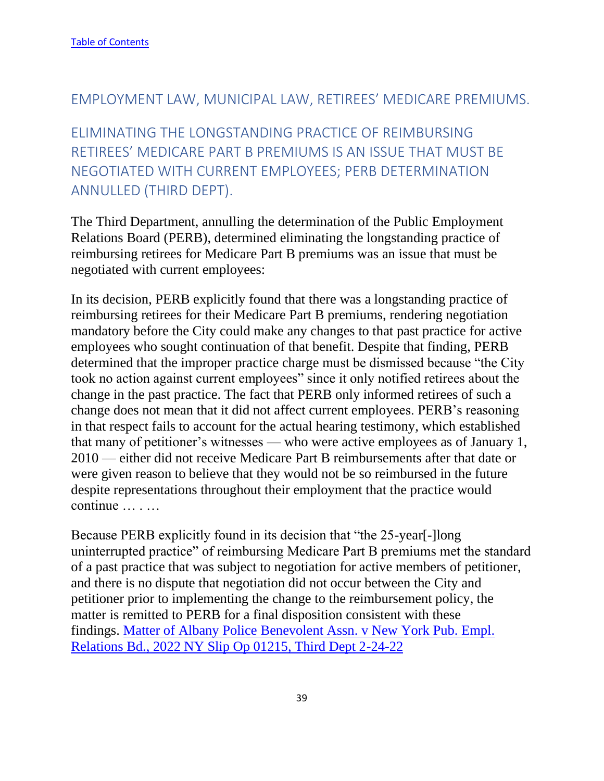### EMPLOYMENT LAW, MUNICIPAL LAW, RETIREES' MEDICARE PREMIUMS.

ELIMINATING THE LONGSTANDING PRACTICE OF REIMBURSING RETIREES' MEDICARE PART B PREMIUMS IS AN ISSUE THAT MUST BE NEGOTIATED WITH CURRENT EMPLOYEES; PERB DETERMINATION ANNULLED (THIRD DEPT).

The Third Department, annulling the determination of the Public Employment Relations Board (PERB), determined eliminating the longstanding practice of reimbursing retirees for Medicare Part B premiums was an issue that must be negotiated with current employees:

In its decision, PERB explicitly found that there was a longstanding practice of reimbursing retirees for their Medicare Part B premiums, rendering negotiation mandatory before the City could make any changes to that past practice for active employees who sought continuation of that benefit. Despite that finding, PERB determined that the improper practice charge must be dismissed because "the City took no action against current employees" since it only notified retirees about the change in the past practice. The fact that PERB only informed retirees of such a change does not mean that it did not affect current employees. PERB's reasoning in that respect fails to account for the actual hearing testimony, which established that many of petitioner's witnesses — who were active employees as of January 1, 2010 — either did not receive Medicare Part B reimbursements after that date or were given reason to believe that they would not be so reimbursed in the future despite representations throughout their employment that the practice would continue … . …

Because PERB explicitly found in its decision that "the 25-year[-]long uninterrupted practice" of reimbursing Medicare Part B premiums met the standard of a past practice that was subject to negotiation for active members of petitioner, and there is no dispute that negotiation did not occur between the City and petitioner prior to implementing the change to the reimbursement policy, the matter is remitted to PERB for a final disposition consistent with these findings. [Matter of Albany Police Benevolent Assn. v New York Pub. Empl.](https://nycourts.gov/reporter/3dseries/2022/2022_01215.htm)  [Relations Bd., 2022 NY Slip Op 01215, Third Dept 2-24-22](https://nycourts.gov/reporter/3dseries/2022/2022_01215.htm)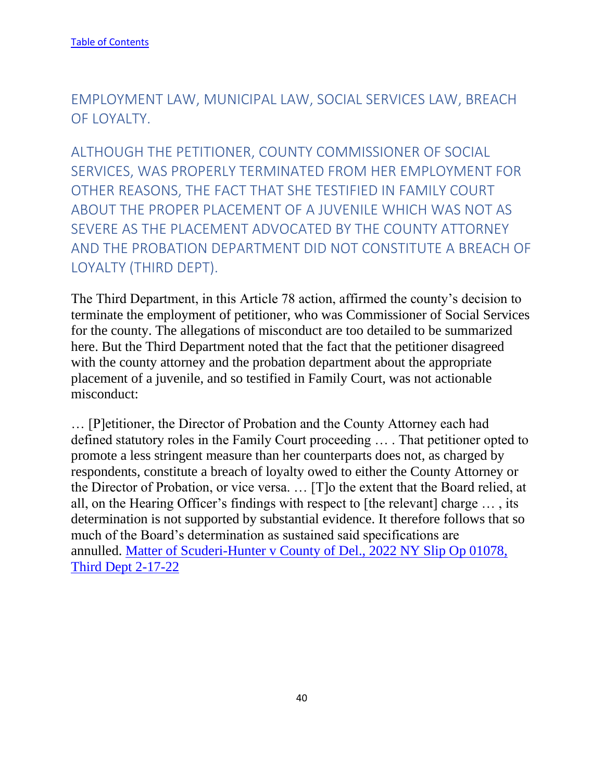EMPLOYMENT LAW, MUNICIPAL LAW, SOCIAL SERVICES LAW, BREACH OF LOYALTY.

ALTHOUGH THE PETITIONER, COUNTY COMMISSIONER OF SOCIAL SERVICES, WAS PROPERLY TERMINATED FROM HER EMPLOYMENT FOR OTHER REASONS, THE FACT THAT SHE TESTIFIED IN FAMILY COURT ABOUT THE PROPER PLACEMENT OF A JUVENILE WHICH WAS NOT AS SEVERE AS THE PLACEMENT ADVOCATED BY THE COUNTY ATTORNEY AND THE PROBATION DEPARTMENT DID NOT CONSTITUTE A BREACH OF LOYALTY (THIRD DEPT).

The Third Department, in this Article 78 action, affirmed the county's decision to terminate the employment of petitioner, who was Commissioner of Social Services for the county. The allegations of misconduct are too detailed to be summarized here. But the Third Department noted that the fact that the petitioner disagreed with the county attorney and the probation department about the appropriate placement of a juvenile, and so testified in Family Court, was not actionable misconduct:

… [P]etitioner, the Director of Probation and the County Attorney each had defined statutory roles in the Family Court proceeding … . That petitioner opted to promote a less stringent measure than her counterparts does not, as charged by respondents, constitute a breach of loyalty owed to either the County Attorney or the Director of Probation, or vice versa. … [T]o the extent that the Board relied, at all, on the Hearing Officer's findings with respect to [the relevant] charge … , its determination is not supported by substantial evidence. It therefore follows that so much of the Board's determination as sustained said specifications are annulled. [Matter of Scuderi-Hunter v County of Del., 2022 NY Slip Op 01078,](https://nycourts.gov/reporter/3dseries/2022/2022_01078.htm)  [Third Dept 2-17-22](https://nycourts.gov/reporter/3dseries/2022/2022_01078.htm)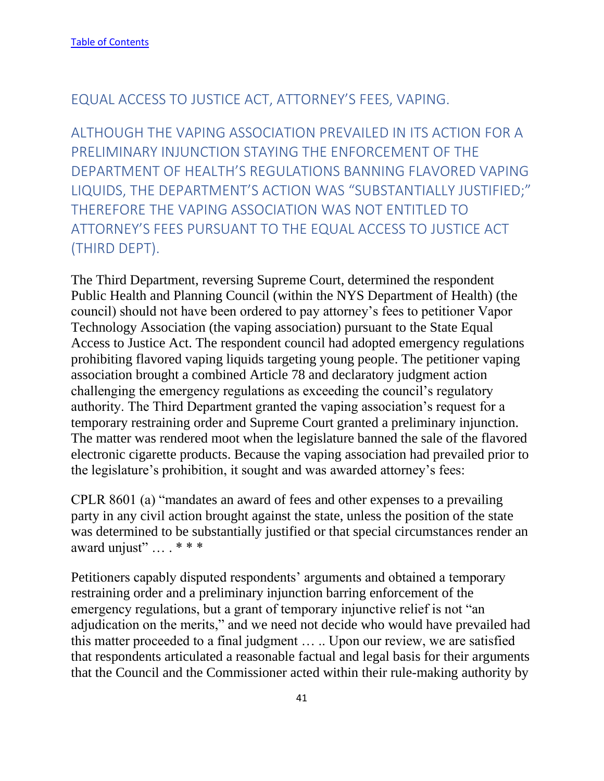## EQUAL ACCESS TO JUSTICE ACT, ATTORNEY'S FEES, VAPING.

ALTHOUGH THE VAPING ASSOCIATION PREVAILED IN ITS ACTION FOR A PRELIMINARY INJUNCTION STAYING THE ENFORCEMENT OF THE DEPARTMENT OF HEALTH'S REGULATIONS BANNING FLAVORED VAPING LIQUIDS, THE DEPARTMENT'S ACTION WAS "SUBSTANTIALLY JUSTIFIED;" THEREFORE THE VAPING ASSOCIATION WAS NOT ENTITLED TO ATTORNEY'S FEES PURSUANT TO THE EQUAL ACCESS TO JUSTICE ACT (THIRD DEPT).

The Third Department, reversing Supreme Court, determined the respondent Public Health and Planning Council (within the NYS Department of Health) (the council) should not have been ordered to pay attorney's fees to petitioner Vapor Technology Association (the vaping association) pursuant to the State Equal Access to Justice Act. The respondent council had adopted emergency regulations prohibiting flavored vaping liquids targeting young people. The petitioner vaping association brought a combined Article 78 and declaratory judgment action challenging the emergency regulations as exceeding the council's regulatory authority. The Third Department granted the vaping association's request for a temporary restraining order and Supreme Court granted a preliminary injunction. The matter was rendered moot when the legislature banned the sale of the flavored electronic cigarette products. Because the vaping association had prevailed prior to the legislature's prohibition, it sought and was awarded attorney's fees:

CPLR 8601 (a) "mandates an award of fees and other expenses to a prevailing party in any civil action brought against the state, unless the position of the state was determined to be substantially justified or that special circumstances render an award unjust" ... . \* \* \*

Petitioners capably disputed respondents' arguments and obtained a temporary restraining order and a preliminary injunction barring enforcement of the emergency regulations, but a grant of temporary injunctive relief is not "an adjudication on the merits," and we need not decide who would have prevailed had this matter proceeded to a final judgment … .. Upon our review, we are satisfied that respondents articulated a reasonable factual and legal basis for their arguments that the Council and the Commissioner acted within their rule-making authority by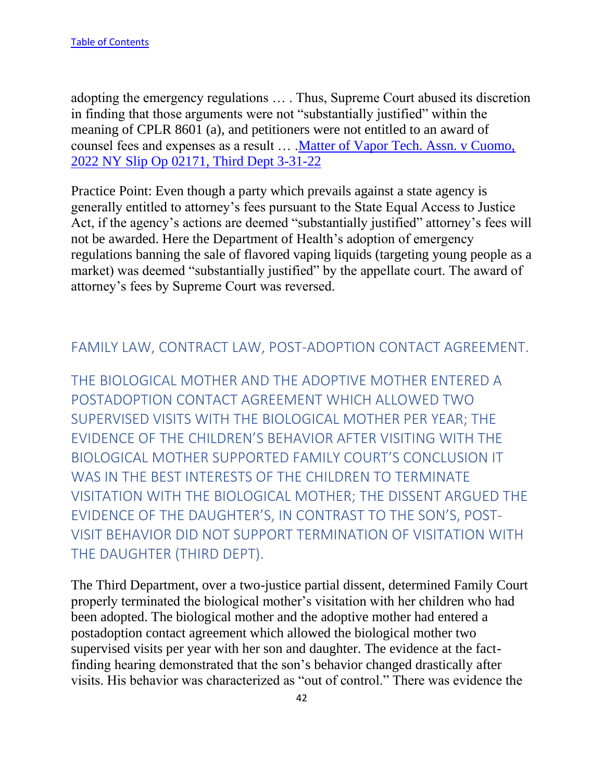adopting the emergency regulations … . Thus, Supreme Court abused its discretion in finding that those arguments were not "substantially justified" within the meaning of CPLR 8601 (a), and petitioners were not entitled to an award of counsel fees and expenses as a result … [.Matter of Vapor Tech. Assn. v Cuomo,](https://nycourts.gov/reporter/3dseries/2022/2022_02171.htm)  [2022 NY Slip Op 02171, Third Dept 3-31-22](https://nycourts.gov/reporter/3dseries/2022/2022_02171.htm)

Practice Point: Even though a party which prevails against a state agency is generally entitled to attorney's fees pursuant to the State Equal Access to Justice Act, if the agency's actions are deemed "substantially justified" attorney's fees will not be awarded. Here the Department of Health's adoption of emergency regulations banning the sale of flavored vaping liquids (targeting young people as a market) was deemed "substantially justified" by the appellate court. The award of attorney's fees by Supreme Court was reversed.

## FAMILY LAW, CONTRACT LAW, POST-ADOPTION CONTACT AGREEMENT.

THE BIOLOGICAL MOTHER AND THE ADOPTIVE MOTHER ENTERED A POSTADOPTION CONTACT AGREEMENT WHICH ALLOWED TWO SUPERVISED VISITS WITH THE BIOLOGICAL MOTHER PER YEAR; THE EVIDENCE OF THE CHILDREN'S BEHAVIOR AFTER VISITING WITH THE BIOLOGICAL MOTHER SUPPORTED FAMILY COURT'S CONCLUSION IT WAS IN THE BEST INTERESTS OF THE CHILDREN TO TERMINATE VISITATION WITH THE BIOLOGICAL MOTHER; THE DISSENT ARGUED THE EVIDENCE OF THE DAUGHTER'S, IN CONTRAST TO THE SON'S, POST-VISIT BEHAVIOR DID NOT SUPPORT TERMINATION OF VISITATION WITH THE DAUGHTER (THIRD DEPT).

The Third Department, over a two-justice partial dissent, determined Family Court properly terminated the biological mother's visitation with her children who had been adopted. The biological mother and the adoptive mother had entered a postadoption contact agreement which allowed the biological mother two supervised visits per year with her son and daughter. The evidence at the factfinding hearing demonstrated that the son's behavior changed drastically after visits. His behavior was characterized as "out of control." There was evidence the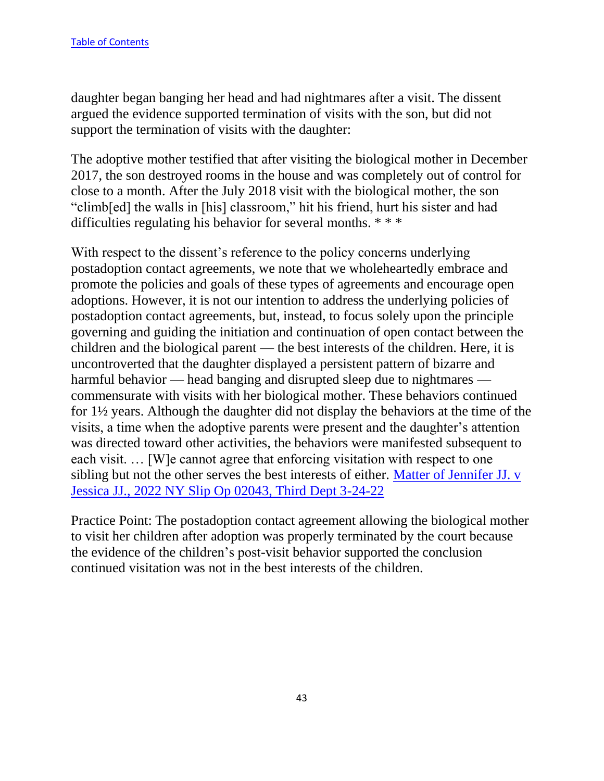daughter began banging her head and had nightmares after a visit. The dissent argued the evidence supported termination of visits with the son, but did not support the termination of visits with the daughter:

The adoptive mother testified that after visiting the biological mother in December 2017, the son destroyed rooms in the house and was completely out of control for close to a month. After the July 2018 visit with the biological mother, the son "climb[ed] the walls in [his] classroom," hit his friend, hurt his sister and had difficulties regulating his behavior for several months. \* \* \*

With respect to the dissent's reference to the policy concerns underlying postadoption contact agreements, we note that we wholeheartedly embrace and promote the policies and goals of these types of agreements and encourage open adoptions. However, it is not our intention to address the underlying policies of postadoption contact agreements, but, instead, to focus solely upon the principle governing and guiding the initiation and continuation of open contact between the children and the biological parent — the best interests of the children. Here, it is uncontroverted that the daughter displayed a persistent pattern of bizarre and harmful behavior — head banging and disrupted sleep due to nightmares commensurate with visits with her biological mother. These behaviors continued for 1½ years. Although the daughter did not display the behaviors at the time of the visits, a time when the adoptive parents were present and the daughter's attention was directed toward other activities, the behaviors were manifested subsequent to each visit. … [W]e cannot agree that enforcing visitation with respect to one sibling but not the other serves the best interests of either. [Matter of Jennifer JJ. v](https://nycourts.gov/reporter/3dseries/2022/2022_02043.htm)  [Jessica JJ., 2022 NY Slip Op 02043, Third Dept 3-24-22](https://nycourts.gov/reporter/3dseries/2022/2022_02043.htm)

Practice Point: The postadoption contact agreement allowing the biological mother to visit her children after adoption was properly terminated by the court because the evidence of the children's post-visit behavior supported the conclusion continued visitation was not in the best interests of the children.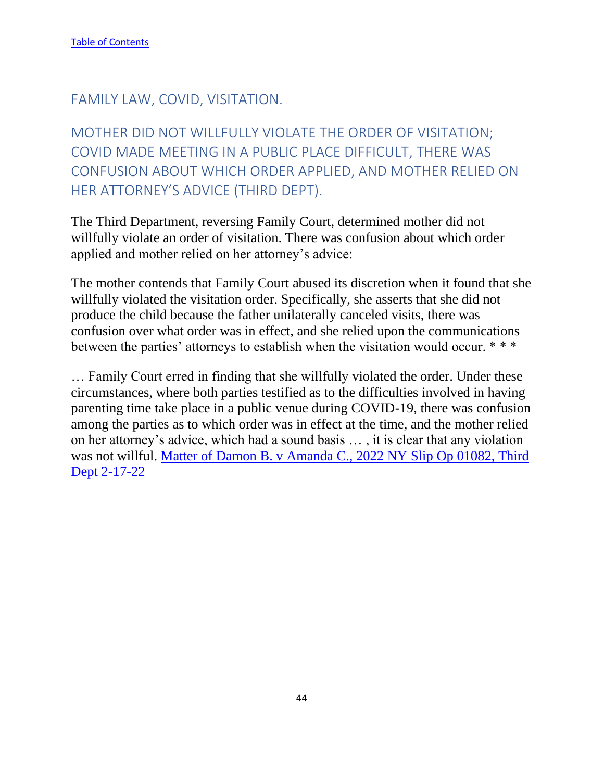FAMILY LAW, COVID, VISITATION.

MOTHER DID NOT WILLFULLY VIOLATE THE ORDER OF VISITATION; COVID MADE MEETING IN A PUBLIC PLACE DIFFICULT, THERE WAS CONFUSION ABOUT WHICH ORDER APPLIED, AND MOTHER RELIED ON HER ATTORNEY'S ADVICE (THIRD DEPT).

The Third Department, reversing Family Court, determined mother did not willfully violate an order of visitation. There was confusion about which order applied and mother relied on her attorney's advice:

The mother contends that Family Court abused its discretion when it found that she willfully violated the visitation order. Specifically, she asserts that she did not produce the child because the father unilaterally canceled visits, there was confusion over what order was in effect, and she relied upon the communications between the parties' attorneys to establish when the visitation would occur. \* \* \*

… Family Court erred in finding that she willfully violated the order. Under these circumstances, where both parties testified as to the difficulties involved in having parenting time take place in a public venue during COVID-19, there was confusion among the parties as to which order was in effect at the time, and the mother relied on her attorney's advice, which had a sound basis … , it is clear that any violation was not willful. [Matter of Damon B. v Amanda C., 2022 NY](https://nycourts.gov/reporter/3dseries/2022/2022_01082.htm) Slip Op 01082, Third [Dept 2-17-22](https://nycourts.gov/reporter/3dseries/2022/2022_01082.htm)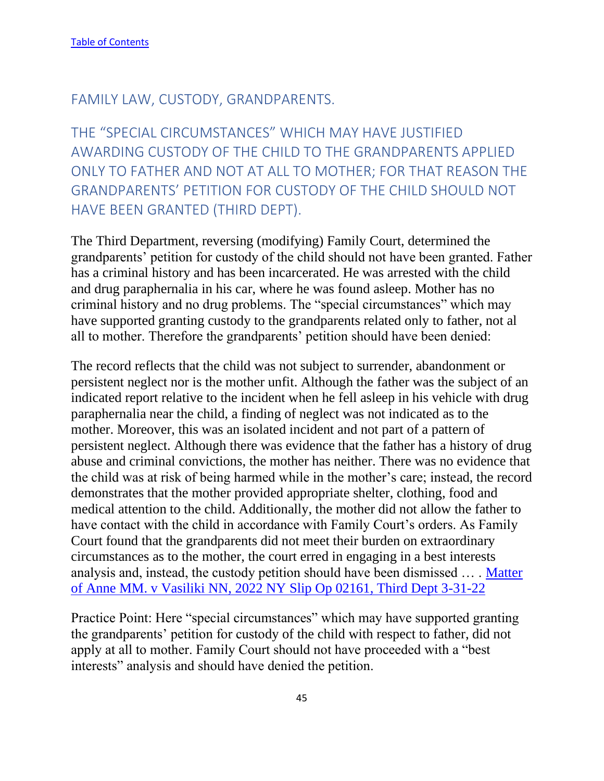## FAMILY LAW, CUSTODY, GRANDPARENTS.

THE "SPECIAL CIRCUMSTANCES" WHICH MAY HAVE JUSTIFIED AWARDING CUSTODY OF THE CHILD TO THE GRANDPARENTS APPLIED ONLY TO FATHER AND NOT AT ALL TO MOTHER; FOR THAT REASON THE GRANDPARENTS' PETITION FOR CUSTODY OF THE CHILD SHOULD NOT HAVE BEEN GRANTED (THIRD DEPT).

The Third Department, reversing (modifying) Family Court, determined the grandparents' petition for custody of the child should not have been granted. Father has a criminal history and has been incarcerated. He was arrested with the child and drug paraphernalia in his car, where he was found asleep. Mother has no criminal history and no drug problems. The "special circumstances" which may have supported granting custody to the grandparents related only to father, not al all to mother. Therefore the grandparents' petition should have been denied:

The record reflects that the child was not subject to surrender, abandonment or persistent neglect nor is the mother unfit. Although the father was the subject of an indicated report relative to the incident when he fell asleep in his vehicle with drug paraphernalia near the child, a finding of neglect was not indicated as to the mother. Moreover, this was an isolated incident and not part of a pattern of persistent neglect. Although there was evidence that the father has a history of drug abuse and criminal convictions, the mother has neither. There was no evidence that the child was at risk of being harmed while in the mother's care; instead, the record demonstrates that the mother provided appropriate shelter, clothing, food and medical attention to the child. Additionally, the mother did not allow the father to have contact with the child in accordance with Family Court's orders. As Family Court found that the grandparents did not meet their burden on extraordinary circumstances as to the mother, the court erred in engaging in a best interests analysis and, instead, the custody petition should have been dismissed … . [Matter](https://nycourts.gov/reporter/3dseries/2022/2022_02161.htm)  [of Anne MM. v Vasiliki NN, 2022 NY Slip Op 02161, Third Dept 3-31-22](https://nycourts.gov/reporter/3dseries/2022/2022_02161.htm)

Practice Point: Here "special circumstances" which may have supported granting the grandparents' petition for custody of the child with respect to father, did not apply at all to mother. Family Court should not have proceeded with a "best interests" analysis and should have denied the petition.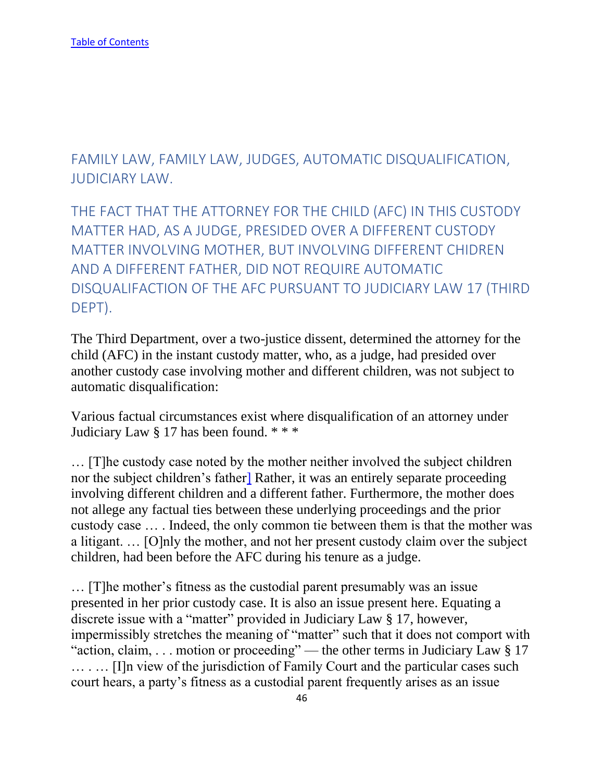FAMILY LAW, FAMILY LAW, JUDGES, AUTOMATIC DISQUALIFICATION, JUDICIARY LAW.

THE FACT THAT THE ATTORNEY FOR THE CHILD (AFC) IN THIS CUSTODY MATTER HAD, AS A JUDGE, PRESIDED OVER A DIFFERENT CUSTODY MATTER INVOLVING MOTHER, BUT INVOLVING DIFFERENT CHIDREN AND A DIFFERENT FATHER, DID NOT REQUIRE AUTOMATIC DISQUALIFACTION OF THE AFC PURSUANT TO JUDICIARY LAW 17 (THIRD DEPT).

The Third Department, over a two-justice dissent, determined the attorney for the child (AFC) in the instant custody matter, who, as a judge, had presided over another custody case involving mother and different children, was not subject to automatic disqualification:

Various factual circumstances exist where disqualification of an attorney under Judiciary Law § 17 has been found. \* \* \*

… [T]he custody case noted by the mother neither involved the subject children nor the subject children's fathe[r\]](https://nycourts.gov/reporter/3dseries/2022/2022_02044.htm#2FN) Rather, it was an entirely separate proceeding involving different children and a different father. Furthermore, the mother does not allege any factual ties between these underlying proceedings and the prior custody case … . Indeed, the only common tie between them is that the mother was a litigant. … [O]nly the mother, and not her present custody claim over the subject children, had been before the AFC during his tenure as a judge.

… [T]he mother's fitness as the custodial parent presumably was an issue presented in her prior custody case. It is also an issue present here. Equating a discrete issue with a "matter" provided in Judiciary Law § 17, however, impermissibly stretches the meaning of "matter" such that it does not comport with "action, claim, ... motion or proceeding" — the other terms in Judiciary Law § 17 ........ [I]n view of the jurisdiction of Family Court and the particular cases such court hears, a party's fitness as a custodial parent frequently arises as an issue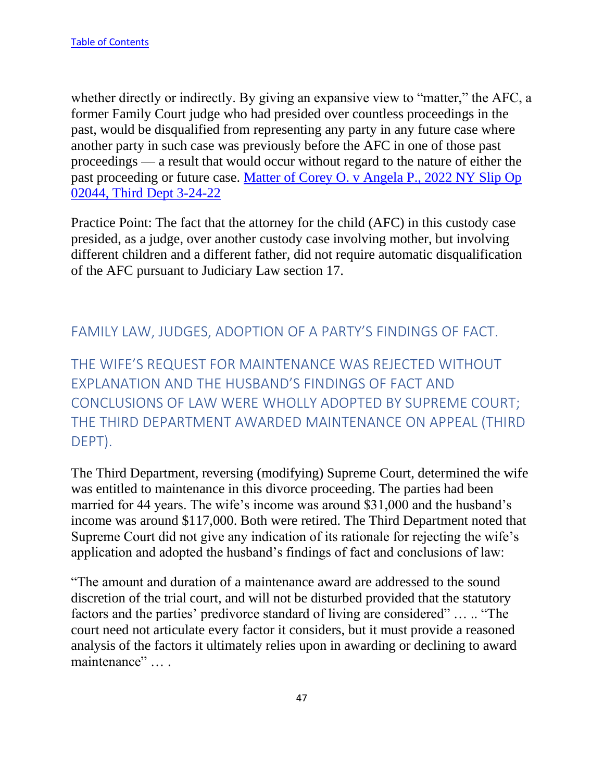whether directly or indirectly. By giving an expansive view to "matter," the AFC, a former Family Court judge who had presided over countless proceedings in the past, would be disqualified from representing any party in any future case where another party in such case was previously before the AFC in one of those past proceedings — a result that would occur without regard to the nature of either the past proceeding or future case. [Matter of Corey O. v Angela P., 2022 NY Slip Op](https://nycourts.gov/reporter/3dseries/2022/2022_02044.htm)  [02044, Third Dept 3-24-22](https://nycourts.gov/reporter/3dseries/2022/2022_02044.htm)

Practice Point: The fact that the attorney for the child (AFC) in this custody case presided, as a judge, over another custody case involving mother, but involving different children and a different father, did not require automatic disqualification of the AFC pursuant to Judiciary Law section 17.

## FAMILY LAW, JUDGES, ADOPTION OF A PARTY'S FINDINGS OF FACT.

THE WIFE'S REQUEST FOR MAINTENANCE WAS REJECTED WITHOUT EXPLANATION AND THE HUSBAND'S FINDINGS OF FACT AND CONCLUSIONS OF LAW WERE WHOLLY ADOPTED BY SUPREME COURT; THE THIRD DEPARTMENT AWARDED MAINTENANCE ON APPEAL (THIRD DEPT).

The Third Department, reversing (modifying) Supreme Court, determined the wife was entitled to maintenance in this divorce proceeding. The parties had been married for 44 years. The wife's income was around \$31,000 and the husband's income was around \$117,000. Both were retired. The Third Department noted that Supreme Court did not give any indication of its rationale for rejecting the wife's application and adopted the husband's findings of fact and conclusions of law:

"The amount and duration of a maintenance award are addressed to the sound discretion of the trial court, and will not be disturbed provided that the statutory factors and the parties' predivorce standard of living are considered" … .. "The court need not articulate every factor it considers, but it must provide a reasoned analysis of the factors it ultimately relies upon in awarding or declining to award maintenance" … .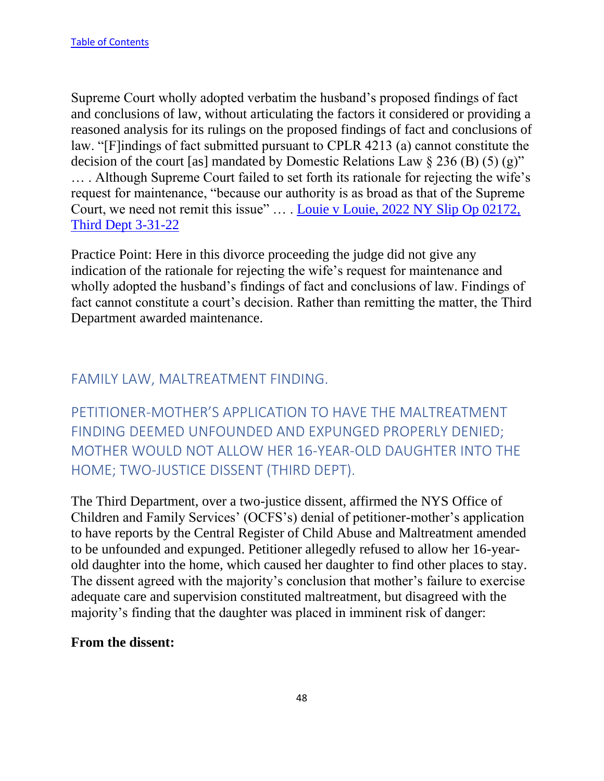Supreme Court wholly adopted verbatim the husband's proposed findings of fact and conclusions of law, without articulating the factors it considered or providing a reasoned analysis for its rulings on the proposed findings of fact and conclusions of law. "[F]indings of fact submitted pursuant to CPLR 4213 (a) cannot constitute the decision of the court [as] mandated by Domestic Relations Law  $\S 236$  (B) (5) (g)" … . Although Supreme Court failed to set forth its rationale for rejecting the wife's request for maintenance, "because our authority is as broad as that of the Supreme Court, we need not remit this issue" … . [Louie v Louie, 2022 NY Slip Op 02172,](https://nycourts.gov/reporter/3dseries/2022/2022_02172.htm)  [Third Dept 3-31-22](https://nycourts.gov/reporter/3dseries/2022/2022_02172.htm)

Practice Point: Here in this divorce proceeding the judge did not give any indication of the rationale for rejecting the wife's request for maintenance and wholly adopted the husband's findings of fact and conclusions of law. Findings of fact cannot constitute a court's decision. Rather than remitting the matter, the Third Department awarded maintenance.

## FAMILY LAW, MALTREATMENT FINDING.

PETITIONER-MOTHER'S APPLICATION TO HAVE THE MALTREATMENT FINDING DEEMED UNFOUNDED AND EXPUNGED PROPERLY DENIED; MOTHER WOULD NOT ALLOW HER 16-YEAR-OLD DAUGHTER INTO THE HOME; TWO-JUSTICE DISSENT (THIRD DEPT).

The Third Department, over a two-justice dissent, affirmed the NYS Office of Children and Family Services' (OCFS's) denial of petitioner-mother's application to have reports by the Central Register of Child Abuse and Maltreatment amended to be unfounded and expunged. Petitioner allegedly refused to allow her 16-yearold daughter into the home, which caused her daughter to find other places to stay. The dissent agreed with the majority's conclusion that mother's failure to exercise adequate care and supervision constituted maltreatment, but disagreed with the majority's finding that the daughter was placed in imminent risk of danger:

#### **From the dissent:**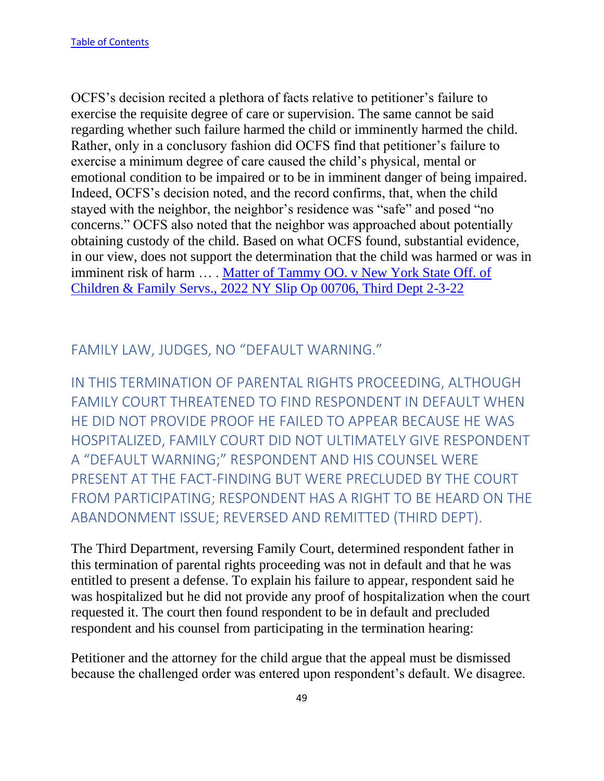OCFS's decision recited a plethora of facts relative to petitioner's failure to exercise the requisite degree of care or supervision. The same cannot be said regarding whether such failure harmed the child or imminently harmed the child. Rather, only in a conclusory fashion did OCFS find that petitioner's failure to exercise a minimum degree of care caused the child's physical, mental or emotional condition to be impaired or to be in imminent danger of being impaired. Indeed, OCFS's decision noted, and the record confirms, that, when the child stayed with the neighbor, the neighbor's residence was "safe" and posed "no concerns." OCFS also noted that the neighbor was approached about potentially obtaining custody of the child. Based on what OCFS found, substantial evidence, in our view, does not support the determination that the child was harmed or was in imminent risk of harm … . [Matter of Tammy OO. v New York State Off. of](https://nycourts.gov/reporter/3dseries/2022/2022_00706.htm)  [Children & Family Servs., 2022 NY Slip Op 00706, Third Dept 2-3-22](https://nycourts.gov/reporter/3dseries/2022/2022_00706.htm)

FAMILY LAW, JUDGES, NO "DEFAULT WARNING."

IN THIS TERMINATION OF PARENTAL RIGHTS PROCEEDING, ALTHOUGH FAMILY COURT THREATENED TO FIND RESPONDENT IN DEFAULT WHEN HE DID NOT PROVIDE PROOF HE FAILED TO APPEAR BECAUSE HE WAS HOSPITALIZED, FAMILY COURT DID NOT ULTIMATELY GIVE RESPONDENT A "DEFAULT WARNING;" RESPONDENT AND HIS COUNSEL WERE PRESENT AT THE FACT-FINDING BUT WERE PRECLUDED BY THE COURT FROM PARTICIPATING; RESPONDENT HAS A RIGHT TO BE HEARD ON THE ABANDONMENT ISSUE; REVERSED AND REMITTED (THIRD DEPT).

The Third Department, reversing Family Court, determined respondent father in this termination of parental rights proceeding was not in default and that he was entitled to present a defense. To explain his failure to appear, respondent said he was hospitalized but he did not provide any proof of hospitalization when the court requested it. The court then found respondent to be in default and precluded respondent and his counsel from participating in the termination hearing:

Petitioner and the attorney for the child argue that the appeal must be dismissed because the challenged order was entered upon respondent's default. We disagree.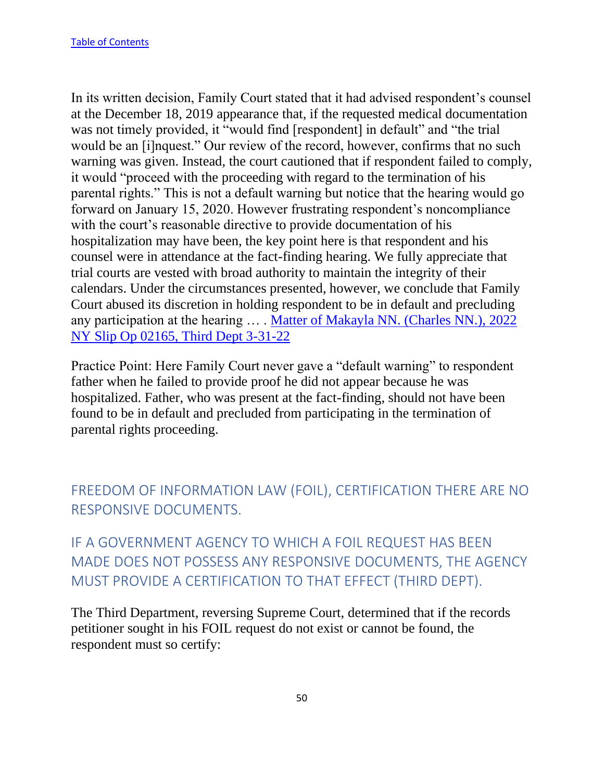In its written decision, Family Court stated that it had advised respondent's counsel at the December 18, 2019 appearance that, if the requested medical documentation was not timely provided, it "would find [respondent] in default" and "the trial would be an [i]nquest." Our review of the record, however, confirms that no such warning was given. Instead, the court cautioned that if respondent failed to comply, it would "proceed with the proceeding with regard to the termination of his parental rights." This is not a default warning but notice that the hearing would go forward on January 15, 2020. However frustrating respondent's noncompliance with the court's reasonable directive to provide documentation of his hospitalization may have been, the key point here is that respondent and his counsel were in attendance at the fact-finding hearing. We fully appreciate that trial courts are vested with broad authority to maintain the integrity of their calendars. Under the circumstances presented, however, we conclude that Family Court abused its discretion in holding respondent to be in default and precluding any participation at the hearing … . [Matter of Makayla NN. \(Charles NN.\), 2022](https://nycourts.gov/reporter/3dseries/2022/2022_02165.htm)  [NY Slip Op 02165, Third Dept 3-31-22](https://nycourts.gov/reporter/3dseries/2022/2022_02165.htm)

Practice Point: Here Family Court never gave a "default warning" to respondent father when he failed to provide proof he did not appear because he was hospitalized. Father, who was present at the fact-finding, should not have been found to be in default and precluded from participating in the termination of parental rights proceeding.

FREEDOM OF INFORMATION LAW (FOIL), CERTIFICATION THERE ARE NO RESPONSIVE DOCUMENTS.

IF A GOVERNMENT AGENCY TO WHICH A FOIL REQUEST HAS BEEN MADE DOES NOT POSSESS ANY RESPONSIVE DOCUMENTS, THE AGENCY MUST PROVIDE A CERTIFICATION TO THAT EFFECT (THIRD DEPT).

The Third Department, reversing Supreme Court, determined that if the records petitioner sought in his FOIL request do not exist or cannot be found, the respondent must so certify: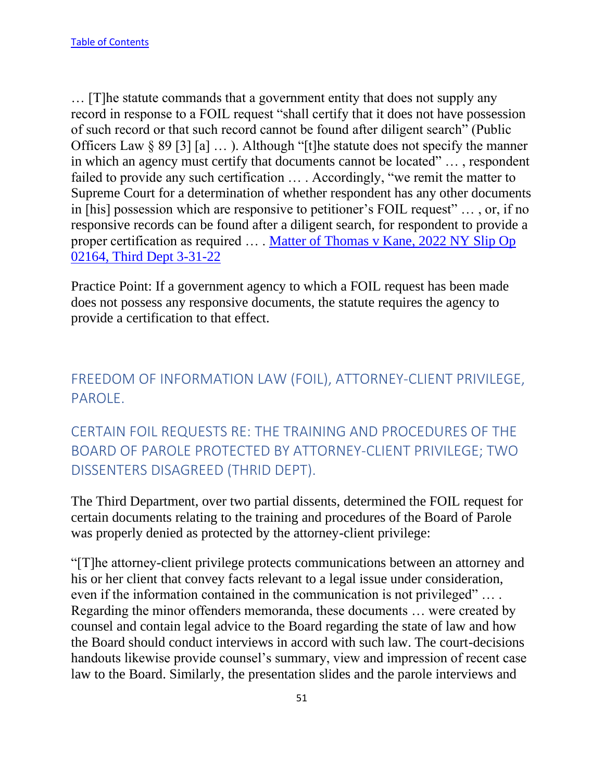… [T]he statute commands that a government entity that does not supply any record in response to a FOIL request "shall certify that it does not have possession of such record or that such record cannot be found after diligent search" (Public Officers Law § 89 [3] [a] … ). Although "[t]he statute does not specify the manner in which an agency must certify that documents cannot be located" … , respondent failed to provide any such certification … . Accordingly, "we remit the matter to Supreme Court for a determination of whether respondent has any other documents in [his] possession which are responsive to petitioner's FOIL request" … , or, if no responsive records can be found after a diligent search, for respondent to provide a proper certification as required … . [Matter of Thomas v Kane, 2022 NY Slip Op](https://nycourts.gov/reporter/3dseries/2022/2022_02164.htm)  [02164, Third Dept 3-31-22](https://nycourts.gov/reporter/3dseries/2022/2022_02164.htm)

Practice Point: If a government agency to which a FOIL request has been made does not possess any responsive documents, the statute requires the agency to provide a certification to that effect.

# FREEDOM OF INFORMATION LAW (FOIL), ATTORNEY-CLIENT PRIVILEGE, PAROLE.

CERTAIN FOIL REQUESTS RE: THE TRAINING AND PROCEDURES OF THE BOARD OF PAROLE PROTECTED BY ATTORNEY-CLIENT PRIVILEGE; TWO DISSENTERS DISAGREED (THRID DEPT).

The Third Department, over two partial dissents, determined the FOIL request for certain documents relating to the training and procedures of the Board of Parole was properly denied as protected by the attorney-client privilege:

"[T]he attorney-client privilege protects communications between an attorney and his or her client that convey facts relevant to a legal issue under consideration, even if the information contained in the communication is not privileged" … . Regarding the minor offenders memoranda, these documents … were created by counsel and contain legal advice to the Board regarding the state of law and how the Board should conduct interviews in accord with such law. The court-decisions handouts likewise provide counsel's summary, view and impression of recent case law to the Board. Similarly, the presentation slides and the parole interviews and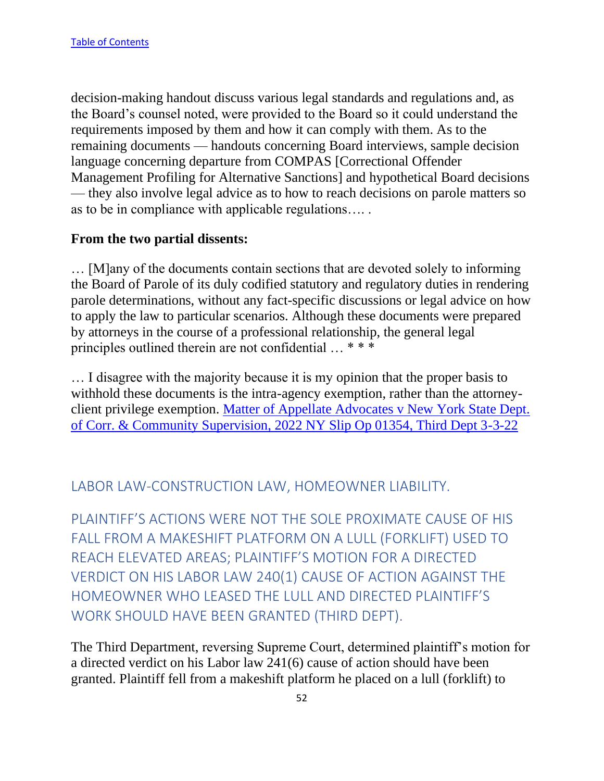decision-making handout discuss various legal standards and regulations and, as the Board's counsel noted, were provided to the Board so it could understand the requirements imposed by them and how it can comply with them. As to the remaining documents — handouts concerning Board interviews, sample decision language concerning departure from COMPAS [Correctional Offender Management Profiling for Alternative Sanctions] and hypothetical Board decisions — they also involve legal advice as to how to reach decisions on parole matters so as to be in compliance with applicable regulations…. .

#### **From the two partial dissents:**

… [M]any of the documents contain sections that are devoted solely to informing the Board of Parole of its duly codified statutory and regulatory duties in rendering parole determinations, without any fact-specific discussions or legal advice on how to apply the law to particular scenarios. Although these documents were prepared by attorneys in the course of a professional relationship, the general legal principles outlined therein are not confidential … \* \* \*

… I disagree with the majority because it is my opinion that the proper basis to withhold these documents is the intra-agency exemption, rather than the attorneyclient privilege exemption. Matter of Appellate Advocates v New York State Dept. [of Corr. & Community Supervision, 2022 NY Slip Op 01354, Third Dept 3-3-22](https://nycourts.gov/reporter/3dseries/2022/2022_01354.htm)

### LABOR LAW-CONSTRUCTION LAW, HOMEOWNER LIABILITY.

PLAINTIFF'S ACTIONS WERE NOT THE SOLE PROXIMATE CAUSE OF HIS FALL FROM A MAKESHIFT PLATFORM ON A LULL (FORKLIFT) USED TO REACH ELEVATED AREAS; PLAINTIFF'S MOTION FOR A DIRECTED VERDICT ON HIS LABOR LAW 240(1) CAUSE OF ACTION AGAINST THE HOMEOWNER WHO LEASED THE LULL AND DIRECTED PLAINTIFF'S WORK SHOULD HAVE BEEN GRANTED (THIRD DEPT).

The Third Department, reversing Supreme Court, determined plaintiff's motion for a directed verdict on his Labor law 241(6) cause of action should have been granted. Plaintiff fell from a makeshift platform he placed on a lull (forklift) to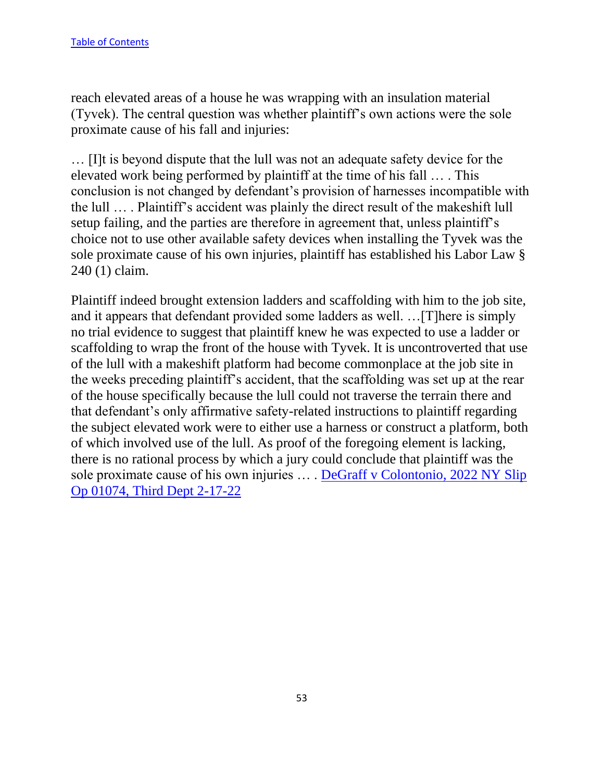reach elevated areas of a house he was wrapping with an insulation material (Tyvek). The central question was whether plaintiff's own actions were the sole proximate cause of his fall and injuries:

… [I]t is beyond dispute that the lull was not an adequate safety device for the elevated work being performed by plaintiff at the time of his fall … . This conclusion is not changed by defendant's provision of harnesses incompatible with the lull … . Plaintiff's accident was plainly the direct result of the makeshift lull setup failing, and the parties are therefore in agreement that, unless plaintiff's choice not to use other available safety devices when installing the Tyvek was the sole proximate cause of his own injuries, plaintiff has established his Labor Law § 240 (1) claim.

Plaintiff indeed brought extension ladders and scaffolding with him to the job site, and it appears that defendant provided some ladders as well. …[T]here is simply no trial evidence to suggest that plaintiff knew he was expected to use a ladder or scaffolding to wrap the front of the house with Tyvek. It is uncontroverted that use of the lull with a makeshift platform had become commonplace at the job site in the weeks preceding plaintiff's accident, that the scaffolding was set up at the rear of the house specifically because the lull could not traverse the terrain there and that defendant's only affirmative safety-related instructions to plaintiff regarding the subject elevated work were to either use a harness or construct a platform, both of which involved use of the lull. As proof of the foregoing element is lacking, there is no rational process by which a jury could conclude that plaintiff was the sole proximate cause of his own injuries … . [DeGraff v Colontonio, 2022 NY Slip](https://nycourts.gov/reporter/3dseries/2022/2022_01074.htm)  [Op 01074, Third Dept 2-17-22](https://nycourts.gov/reporter/3dseries/2022/2022_01074.htm)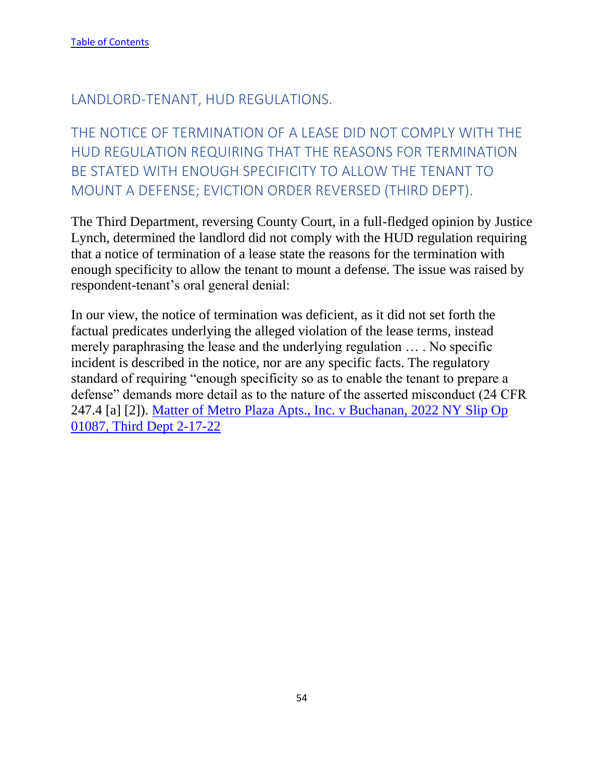### LANDLORD-TENANT, HUD REGULATIONS.

THE NOTICE OF TERMINATION OF A LEASE DID NOT COMPLY WITH THE HUD REGULATION REQUIRING THAT THE REASONS FOR TERMINATION BE STATED WITH ENOUGH SPECIFICITY TO ALLOW THE TENANT TO MOUNT A DEFENSE; EVICTION ORDER REVERSED (THIRD DEPT).

The Third Department, reversing County Court, in a full-fledged opinion by Justice Lynch, determined the landlord did not comply with the HUD regulation requiring that a notice of termination of a lease state the reasons for the termination with enough specificity to allow the tenant to mount a defense. The issue was raised by respondent-tenant's oral general denial:

In our view, the notice of termination was deficient, as it did not set forth the factual predicates underlying the alleged violation of the lease terms, instead merely paraphrasing the lease and the underlying regulation … . No specific incident is described in the notice, nor are any specific facts. The regulatory standard of requiring "enough specificity so as to enable the tenant to prepare a defense" demands more detail as to the nature of the asserted misconduct (24 CFR 247.4 [a] [2]). [Matter of Metro Plaza Apts., Inc. v Buchanan, 2022 NY Slip Op](https://nycourts.gov/reporter/3dseries/2022/2022_01087.htm)  [01087, Third Dept 2-17-22](https://nycourts.gov/reporter/3dseries/2022/2022_01087.htm)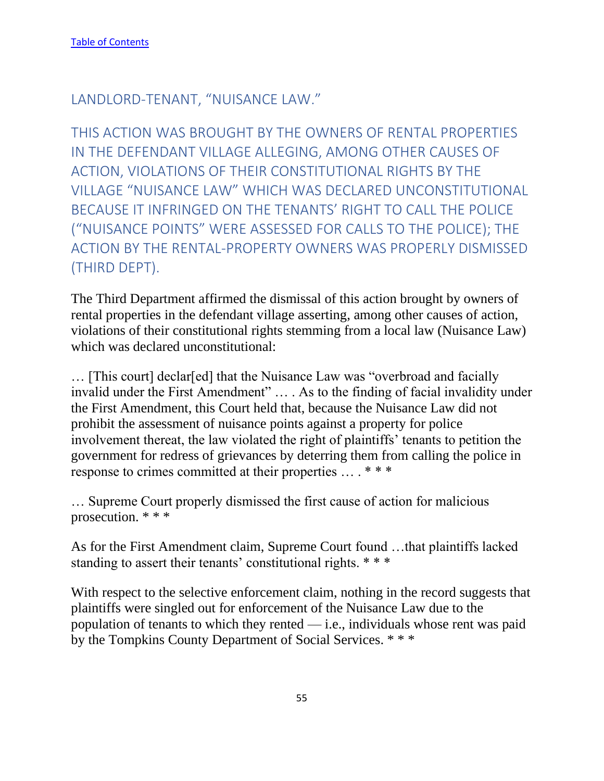### LANDLORD-TENANT, "NUISANCE LAW."

THIS ACTION WAS BROUGHT BY THE OWNERS OF RENTAL PROPERTIES IN THE DEFENDANT VILLAGE ALLEGING, AMONG OTHER CAUSES OF ACTION, VIOLATIONS OF THEIR CONSTITUTIONAL RIGHTS BY THE VILLAGE "NUISANCE LAW" WHICH WAS DECLARED UNCONSTITUTIONAL BECAUSE IT INFRINGED ON THE TENANTS' RIGHT TO CALL THE POLICE ("NUISANCE POINTS" WERE ASSESSED FOR CALLS TO THE POLICE); THE ACTION BY THE RENTAL-PROPERTY OWNERS WAS PROPERLY DISMISSED (THIRD DEPT).

The Third Department affirmed the dismissal of this action brought by owners of rental properties in the defendant village asserting, among other causes of action, violations of their constitutional rights stemming from a local law (Nuisance Law) which was declared unconstitutional:

… [This court] declar[ed] that the Nuisance Law was "overbroad and facially invalid under the First Amendment" … . As to the finding of facial invalidity under the First Amendment, this Court held that, because the Nuisance Law did not prohibit the assessment of nuisance points against a property for police involvement thereat, the law violated the right of plaintiffs' tenants to petition the government for redress of grievances by deterring them from calling the police in response to crimes committed at their properties … . \* \* \*

… Supreme Court properly dismissed the first cause of action for malicious prosecution. \* \* \*

As for the First Amendment claim, Supreme Court found …that plaintiffs lacked standing to assert their tenants' constitutional rights. \* \* \*

With respect to the selective enforcement claim, nothing in the record suggests that plaintiffs were singled out for enforcement of the Nuisance Law due to the population of tenants to which they rented — i.e., individuals whose rent was paid by the Tompkins County Department of Social Services. \* \* \*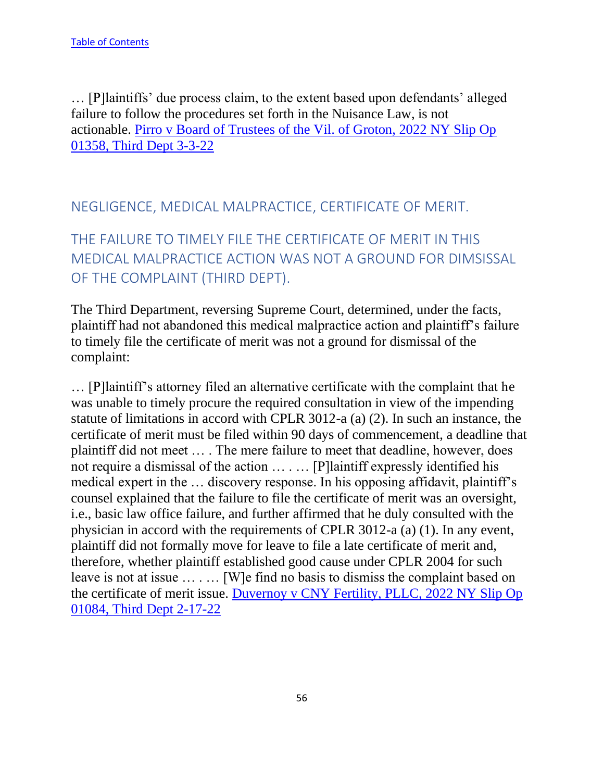… [P]laintiffs' due process claim, to the extent based upon defendants' alleged failure to follow the procedures set forth in the Nuisance Law, is not actionable. [Pirro v Board of Trustees of the Vil. of Groton, 2022 NY Slip Op](https://nycourts.gov/reporter/3dseries/2022/2022_01358.htm)  [01358, Third Dept 3-3-22](https://nycourts.gov/reporter/3dseries/2022/2022_01358.htm)

## NEGLIGENCE, MEDICAL MALPRACTICE, CERTIFICATE OF MERIT.

THE FAILURE TO TIMELY FILE THE CERTIFICATE OF MERIT IN THIS MEDICAL MALPRACTICE ACTION WAS NOT A GROUND FOR DIMSISSAL OF THE COMPLAINT (THIRD DEPT).

The Third Department, reversing Supreme Court, determined, under the facts, plaintiff had not abandoned this medical malpractice action and plaintiff's failure to timely file the certificate of merit was not a ground for dismissal of the complaint:

… [P]laintiff's attorney filed an alternative certificate with the complaint that he was unable to timely procure the required consultation in view of the impending statute of limitations in accord with CPLR 3012-a (a) (2). In such an instance, the certificate of merit must be filed within 90 days of commencement, a deadline that plaintiff did not meet … . The mere failure to meet that deadline, however, does not require a dismissal of the action … . … [P]laintiff expressly identified his medical expert in the … discovery response. In his opposing affidavit, plaintiff's counsel explained that the failure to file the certificate of merit was an oversight, i.e., basic law office failure, and further affirmed that he duly consulted with the physician in accord with the requirements of CPLR 3012-a (a) (1). In any event, plaintiff did not formally move for leave to file a late certificate of merit and, therefore, whether plaintiff established good cause under CPLR 2004 for such leave is not at issue … . … [W]e find no basis to dismiss the complaint based on the certificate of merit issue. [Duvernoy v CNY Fertility, PLLC, 2022 NY Slip Op](https://nycourts.gov/reporter/3dseries/2022/2022_01084.htm)  [01084, Third Dept 2-17-22](https://nycourts.gov/reporter/3dseries/2022/2022_01084.htm)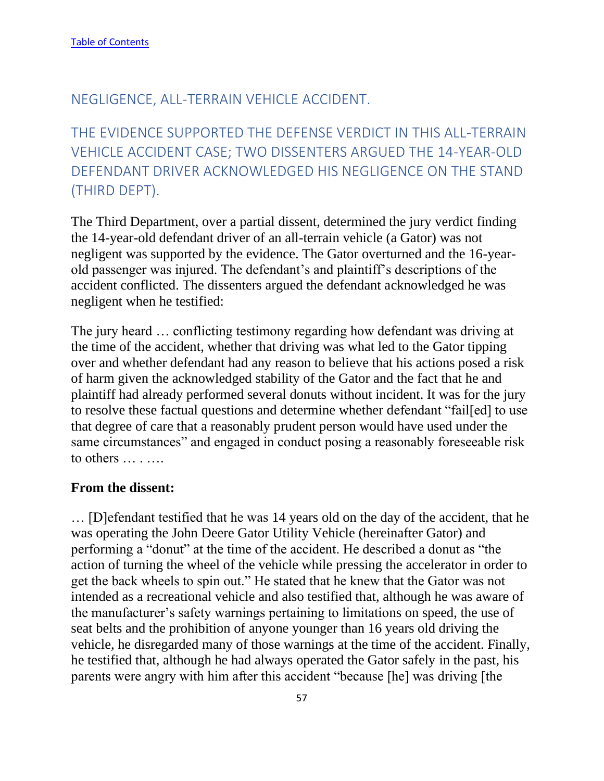### NEGLIGENCE, ALL-TERRAIN VEHICLE ACCIDENT.

THE EVIDENCE SUPPORTED THE DEFENSE VERDICT IN THIS ALL-TERRAIN VEHICLE ACCIDENT CASE; TWO DISSENTERS ARGUED THE 14-YEAR-OLD DEFENDANT DRIVER ACKNOWLEDGED HIS NEGLIGENCE ON THE STAND (THIRD DEPT).

The Third Department, over a partial dissent, determined the jury verdict finding the 14-year-old defendant driver of an all-terrain vehicle (a Gator) was not negligent was supported by the evidence. The Gator overturned and the 16-yearold passenger was injured. The defendant's and plaintiff's descriptions of the accident conflicted. The dissenters argued the defendant acknowledged he was negligent when he testified:

The jury heard … conflicting testimony regarding how defendant was driving at the time of the accident, whether that driving was what led to the Gator tipping over and whether defendant had any reason to believe that his actions posed a risk of harm given the acknowledged stability of the Gator and the fact that he and plaintiff had already performed several donuts without incident. It was for the jury to resolve these factual questions and determine whether defendant "fail[ed] to use that degree of care that a reasonably prudent person would have used under the same circumstances" and engaged in conduct posing a reasonably foreseeable risk to others … . ….

#### **From the dissent:**

… [D]efendant testified that he was 14 years old on the day of the accident, that he was operating the John Deere Gator Utility Vehicle (hereinafter Gator) and performing a "donut" at the time of the accident. He described a donut as "the action of turning the wheel of the vehicle while pressing the accelerator in order to get the back wheels to spin out." He stated that he knew that the Gator was not intended as a recreational vehicle and also testified that, although he was aware of the manufacturer's safety warnings pertaining to limitations on speed, the use of seat belts and the prohibition of anyone younger than 16 years old driving the vehicle, he disregarded many of those warnings at the time of the accident. Finally, he testified that, although he had always operated the Gator safely in the past, his parents were angry with him after this accident "because [he] was driving [the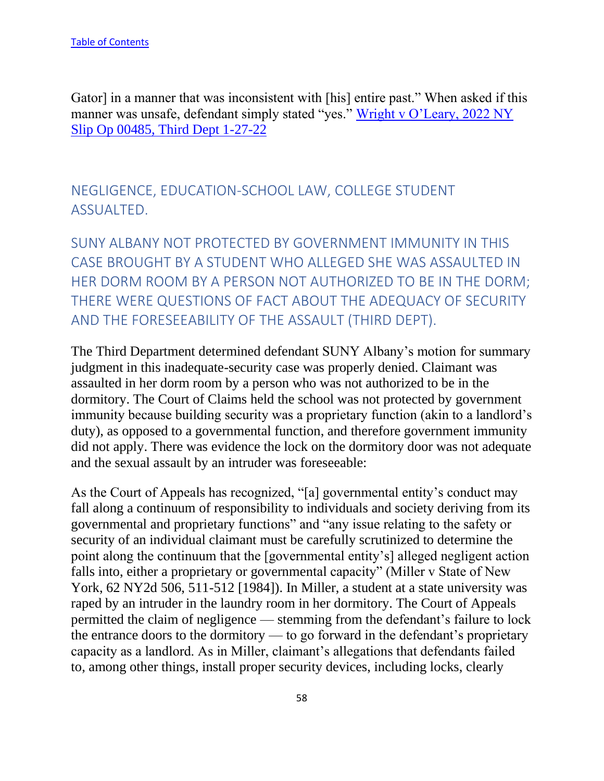Gator] in a manner that was inconsistent with [his] entire past." When asked if this manner was unsafe, defendant simply stated "yes." [Wright v O'Leary, 2022 NY](https://nycourts.gov/reporter/3dseries/2022/2022_00485.htm)  [Slip Op 00485, Third Dept 1-27-22](https://nycourts.gov/reporter/3dseries/2022/2022_00485.htm)

NEGLIGENCE, EDUCATION-SCHOOL LAW, COLLEGE STUDENT ASSUALTED.

SUNY ALBANY NOT PROTECTED BY GOVERNMENT IMMUNITY IN THIS CASE BROUGHT BY A STUDENT WHO ALLEGED SHE WAS ASSAULTED IN HER DORM ROOM BY A PERSON NOT AUTHORIZED TO BE IN THE DORM; THERE WERE QUESTIONS OF FACT ABOUT THE ADEQUACY OF SECURITY AND THE FORESEEABILITY OF THE ASSAULT (THIRD DEPT).

The Third Department determined defendant SUNY Albany's motion for summary judgment in this inadequate-security case was properly denied. Claimant was assaulted in her dorm room by a person who was not authorized to be in the dormitory. The Court of Claims held the school was not protected by government immunity because building security was a proprietary function (akin to a landlord's duty), as opposed to a governmental function, and therefore government immunity did not apply. There was evidence the lock on the dormitory door was not adequate and the sexual assault by an intruder was foreseeable:

As the Court of Appeals has recognized, "[a] governmental entity's conduct may fall along a continuum of responsibility to individuals and society deriving from its governmental and proprietary functions" and "any issue relating to the safety or security of an individual claimant must be carefully scrutinized to determine the point along the continuum that the [governmental entity's] alleged negligent action falls into, either a proprietary or governmental capacity" (Miller v State of New York, 62 NY2d 506, 511-512 [1984]). In Miller, a student at a state university was raped by an intruder in the laundry room in her dormitory. The Court of Appeals permitted the claim of negligence — stemming from the defendant's failure to lock the entrance doors to the dormitory — to go forward in the defendant's proprietary capacity as a landlord. As in Miller, claimant's allegations that defendants failed to, among other things, install proper security devices, including locks, clearly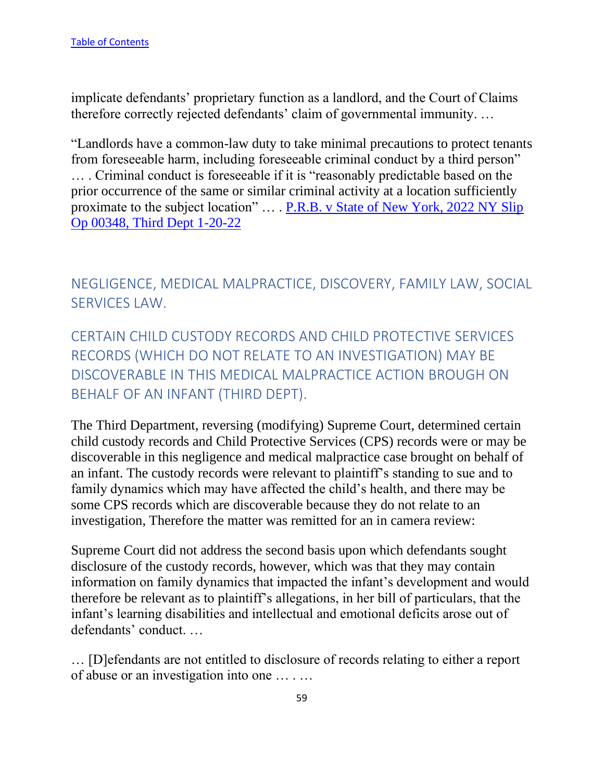implicate defendants' proprietary function as a landlord, and the Court of Claims therefore correctly rejected defendants' claim of governmental immunity. …

"Landlords have a common-law duty to take minimal precautions to protect tenants from foreseeable harm, including foreseeable criminal conduct by a third person" … . Criminal conduct is foreseeable if it is "reasonably predictable based on the prior occurrence of the same or similar criminal activity at a location sufficiently proximate to the subject location" … . [P.R.B. v State of New York, 2022 NY Slip](https://nycourts.gov/reporter/3dseries/2022/2022_00348.htm)  [Op 00348, Third Dept 1-20-22](https://nycourts.gov/reporter/3dseries/2022/2022_00348.htm)

NEGLIGENCE, MEDICAL MALPRACTICE, DISCOVERY, FAMILY LAW, SOCIAL SERVICES LAW.

CERTAIN CHILD CUSTODY RECORDS AND CHILD PROTECTIVE SERVICES RECORDS (WHICH DO NOT RELATE TO AN INVESTIGATION) MAY BE DISCOVERABLE IN THIS MEDICAL MALPRACTICE ACTION BROUGH ON BEHALF OF AN INFANT (THIRD DEPT).

The Third Department, reversing (modifying) Supreme Court, determined certain child custody records and Child Protective Services (CPS) records were or may be discoverable in this negligence and medical malpractice case brought on behalf of an infant. The custody records were relevant to plaintiff's standing to sue and to family dynamics which may have affected the child's health, and there may be some CPS records which are discoverable because they do not relate to an investigation, Therefore the matter was remitted for an in camera review:

Supreme Court did not address the second basis upon which defendants sought disclosure of the custody records, however, which was that they may contain information on family dynamics that impacted the infant's development and would therefore be relevant as to plaintiff's allegations, in her bill of particulars, that the infant's learning disabilities and intellectual and emotional deficits arose out of defendants' conduct. …

… [D]efendants are not entitled to disclosure of records relating to either a report of abuse or an investigation into one … . …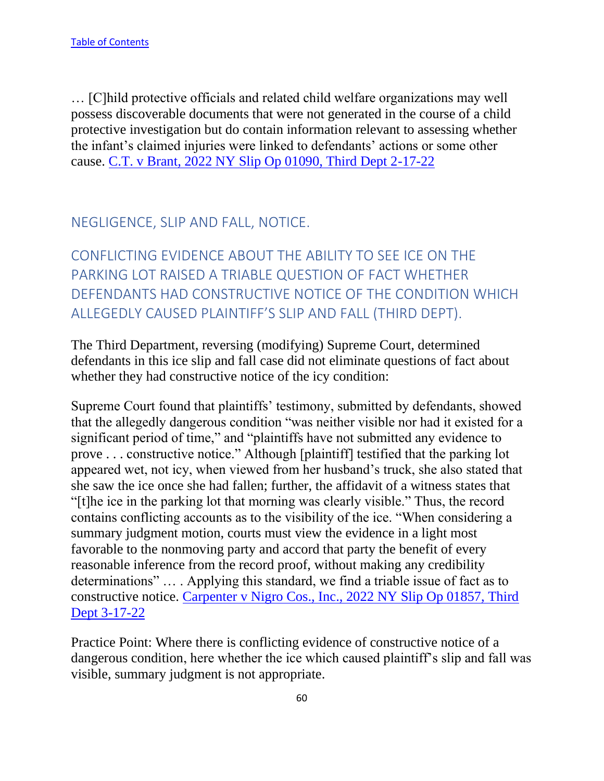… [C]hild protective officials and related child welfare organizations may well possess discoverable documents that were not generated in the course of a child protective investigation but do contain information relevant to assessing whether the infant's claimed injuries were linked to defendants' actions or some other cause. [C.T. v Brant, 2022 NY Slip Op 01090, Third Dept 2-17-22](https://nycourts.gov/reporter/3dseries/2022/2022_01090.htm)

## NEGLIGENCE, SLIP AND FALL, NOTICE.

CONFLICTING EVIDENCE ABOUT THE ABILITY TO SEE ICE ON THE PARKING LOT RAISED A TRIABLE QUESTION OF FACT WHETHER DEFENDANTS HAD CONSTRUCTIVE NOTICE OF THE CONDITION WHICH ALLEGEDLY CAUSED PLAINTIFF'S SLIP AND FALL (THIRD DEPT).

The Third Department, reversing (modifying) Supreme Court, determined defendants in this ice slip and fall case did not eliminate questions of fact about whether they had constructive notice of the icy condition:

Supreme Court found that plaintiffs' testimony, submitted by defendants, showed that the allegedly dangerous condition "was neither visible nor had it existed for a significant period of time," and "plaintiffs have not submitted any evidence to prove . . . constructive notice." Although [plaintiff] testified that the parking lot appeared wet, not icy, when viewed from her husband's truck, she also stated that she saw the ice once she had fallen; further, the affidavit of a witness states that "[t]he ice in the parking lot that morning was clearly visible." Thus, the record contains conflicting accounts as to the visibility of the ice. "When considering a summary judgment motion, courts must view the evidence in a light most favorable to the nonmoving party and accord that party the benefit of every reasonable inference from the record proof, without making any credibility determinations" … . Applying this standard, we find a triable issue of fact as to constructive notice. [Carpenter v Nigro Cos., Inc., 2022 NY Slip Op 01857, Third](https://nycourts.gov/reporter/3dseries/2022/2022_01857.htm)  [Dept 3-17-22](https://nycourts.gov/reporter/3dseries/2022/2022_01857.htm)

Practice Point: Where there is conflicting evidence of constructive notice of a dangerous condition, here whether the ice which caused plaintiff's slip and fall was visible, summary judgment is not appropriate.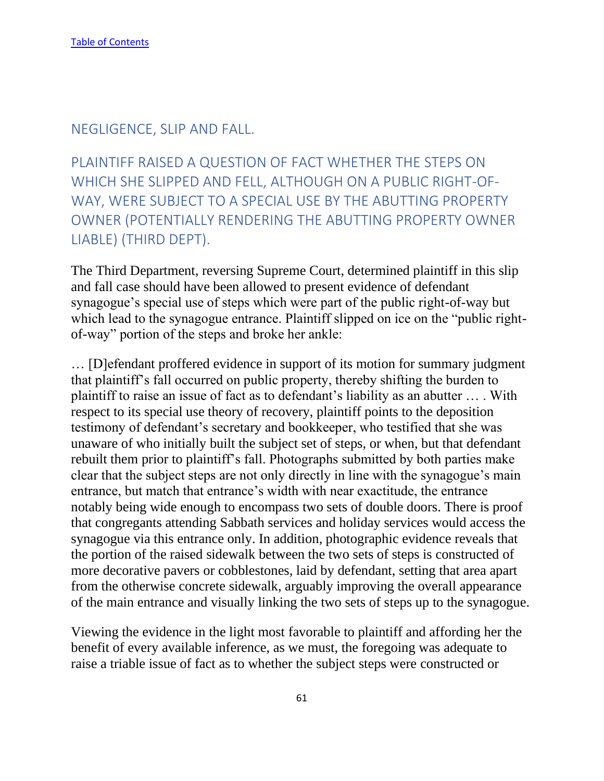### NEGLIGENCE, SLIP AND FALL.

PLAINTIFF RAISED A QUESTION OF FACT WHETHER THE STEPS ON WHICH SHE SLIPPED AND FELL, ALTHOUGH ON A PUBLIC RIGHT-OF-WAY, WERE SUBJECT TO A SPECIAL USE BY THE ABUTTING PROPERTY OWNER (POTENTIALLY RENDERING THE ABUTTING PROPERTY OWNER LIABLE) (THIRD DEPT).

The Third Department, reversing Supreme Court, determined plaintiff in this slip and fall case should have been allowed to present evidence of defendant synagogue's special use of steps which were part of the public right-of-way but which lead to the synagogue entrance. Plaintiff slipped on ice on the "public rightof-way" portion of the steps and broke her ankle:

… [D]efendant proffered evidence in support of its motion for summary judgment that plaintiff's fall occurred on public property, thereby shifting the burden to plaintiff to raise an issue of fact as to defendant's liability as an abutter … . With respect to its special use theory of recovery, plaintiff points to the deposition testimony of defendant's secretary and bookkeeper, who testified that she was unaware of who initially built the subject set of steps, or when, but that defendant rebuilt them prior to plaintiff's fall. Photographs submitted by both parties make clear that the subject steps are not only directly in line with the synagogue's main entrance, but match that entrance's width with near exactitude, the entrance notably being wide enough to encompass two sets of double doors. There is proof that congregants attending Sabbath services and holiday services would access the synagogue via this entrance only. In addition, photographic evidence reveals that the portion of the raised sidewalk between the two sets of steps is constructed of more decorative pavers or cobblestones, laid by defendant, setting that area apart from the otherwise concrete sidewalk, arguably improving the overall appearance of the main entrance and visually linking the two sets of steps up to the synagogue.

Viewing the evidence in the light most favorable to plaintiff and affording her the benefit of every available inference, as we must, the foregoing was adequate to raise a triable issue of fact as to whether the subject steps were constructed or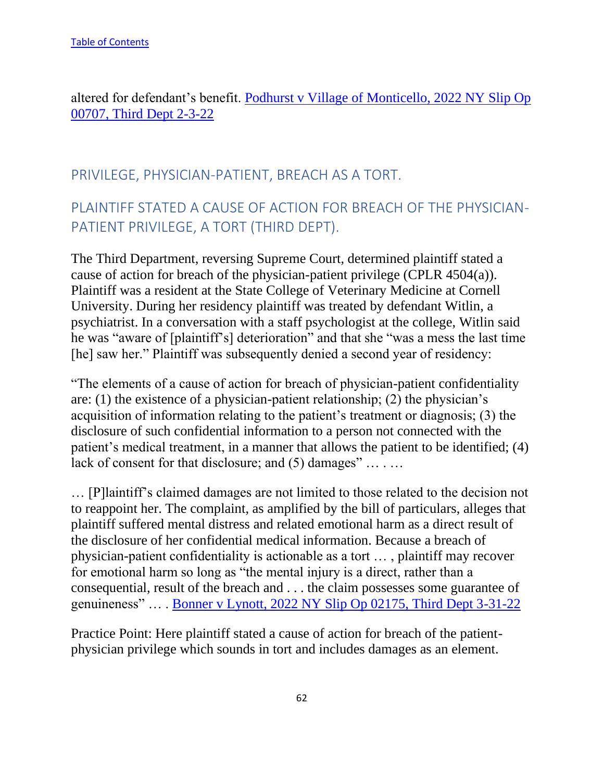altered for defendant's benefit. [Podhurst v Village of Monticello, 2022 NY Slip Op](https://nycourts.gov/reporter/3dseries/2022/2022_00707.htm)  [00707, Third Dept 2-3-22](https://nycourts.gov/reporter/3dseries/2022/2022_00707.htm)

## PRIVILEGE, PHYSICIAN-PATIENT, BREACH AS A TORT.

# PLAINTIFF STATED A CAUSE OF ACTION FOR BREACH OF THE PHYSICIAN-PATIENT PRIVILEGE, A TORT (THIRD DEPT).

The Third Department, reversing Supreme Court, determined plaintiff stated a cause of action for breach of the physician-patient privilege (CPLR 4504(a)). Plaintiff was a resident at the State College of Veterinary Medicine at Cornell University. During her residency plaintiff was treated by defendant Witlin, a psychiatrist. In a conversation with a staff psychologist at the college, Witlin said he was "aware of [plaintiff's] deterioration" and that she "was a mess the last time [he] saw her." Plaintiff was subsequently denied a second year of residency:

"The elements of a cause of action for breach of physician-patient confidentiality are: (1) the existence of a physician-patient relationship; (2) the physician's acquisition of information relating to the patient's treatment or diagnosis; (3) the disclosure of such confidential information to a person not connected with the patient's medical treatment, in a manner that allows the patient to be identified; (4) lack of consent for that disclosure; and  $(5)$  damages" ... ...

… [P]laintiff's claimed damages are not limited to those related to the decision not to reappoint her. The complaint, as amplified by the bill of particulars, alleges that plaintiff suffered mental distress and related emotional harm as a direct result of the disclosure of her confidential medical information. Because a breach of physician-patient confidentiality is actionable as a tort … , plaintiff may recover for emotional harm so long as "the mental injury is a direct, rather than a consequential, result of the breach and . . . the claim possesses some guarantee of genuineness" … . [Bonner v Lynott, 2022 NY Slip Op 02175, Third Dept 3-31-22](https://nycourts.gov/reporter/3dseries/2022/2022_02175.htm)

Practice Point: Here plaintiff stated a cause of action for breach of the patientphysician privilege which sounds in tort and includes damages as an element.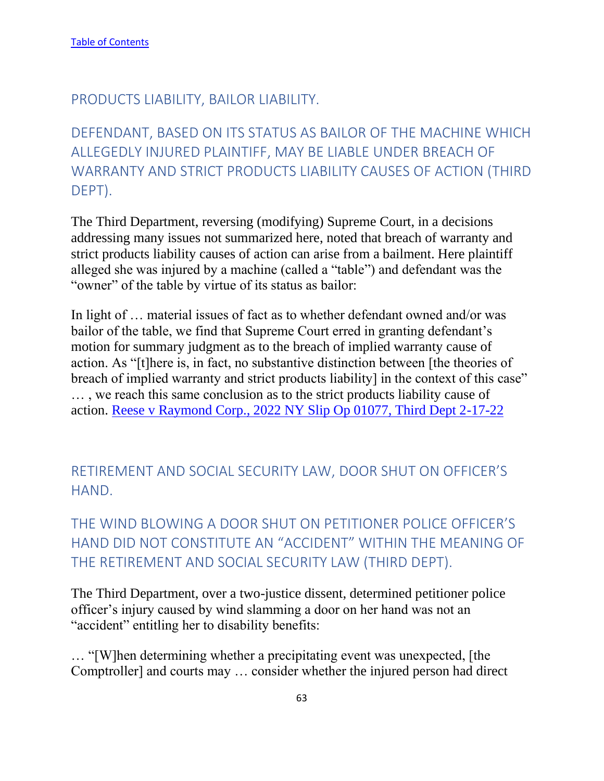### PRODUCTS LIABILITY, BAILOR LIABILITY.

# DEFENDANT, BASED ON ITS STATUS AS BAILOR OF THE MACHINE WHICH ALLEGEDLY INJURED PLAINTIFF, MAY BE LIABLE UNDER BREACH OF WARRANTY AND STRICT PRODUCTS LIABILITY CAUSES OF ACTION (THIRD DEPT).

The Third Department, reversing (modifying) Supreme Court, in a decisions addressing many issues not summarized here, noted that breach of warranty and strict products liability causes of action can arise from a bailment. Here plaintiff alleged she was injured by a machine (called a "table") and defendant was the "owner" of the table by virtue of its status as bailor:

In light of … material issues of fact as to whether defendant owned and/or was bailor of the table, we find that Supreme Court erred in granting defendant's motion for summary judgment as to the breach of implied warranty cause of action. As "[t]here is, in fact, no substantive distinction between [the theories of breach of implied warranty and strict products liability] in the context of this case" … , we reach this same conclusion as to the strict products liability cause of action. [Reese v Raymond Corp., 2022 NY Slip Op 01077, Third Dept 2-17-22](https://nycourts.gov/reporter/3dseries/2022/2022_01077.htm)

RETIREMENT AND SOCIAL SECURITY LAW, DOOR SHUT ON OFFICER'S HAND.

THE WIND BLOWING A DOOR SHUT ON PETITIONER POLICE OFFICER'S HAND DID NOT CONSTITUTE AN "ACCIDENT" WITHIN THE MEANING OF THE RETIREMENT AND SOCIAL SECURITY LAW (THIRD DEPT).

The Third Department, over a two-justice dissent, determined petitioner police officer's injury caused by wind slamming a door on her hand was not an "accident" entitling her to disability benefits:

… "[W]hen determining whether a precipitating event was unexpected, [the Comptroller] and courts may … consider whether the injured person had direct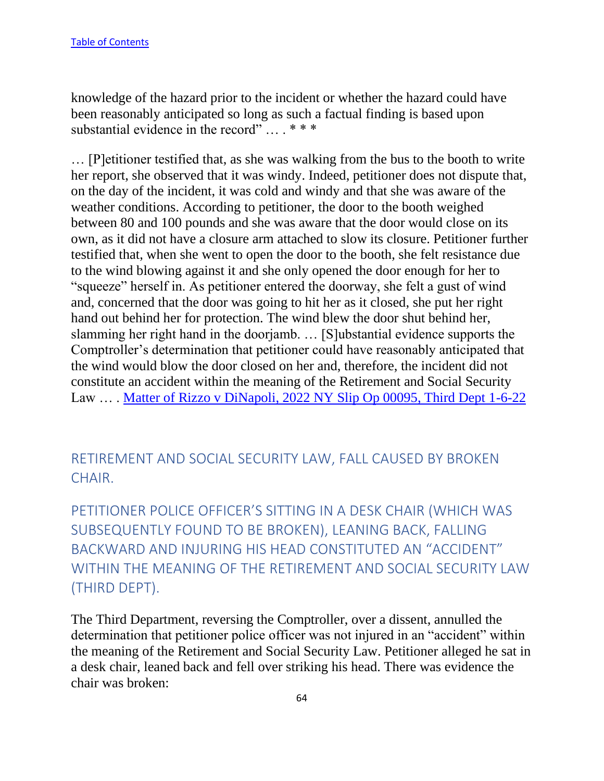knowledge of the hazard prior to the incident or whether the hazard could have been reasonably anticipated so long as such a factual finding is based upon substantial evidence in the record" ... . \* \* \*

… [P]etitioner testified that, as she was walking from the bus to the booth to write her report, she observed that it was windy. Indeed, petitioner does not dispute that, on the day of the incident, it was cold and windy and that she was aware of the weather conditions. According to petitioner, the door to the booth weighed between 80 and 100 pounds and she was aware that the door would close on its own, as it did not have a closure arm attached to slow its closure. Petitioner further testified that, when she went to open the door to the booth, she felt resistance due to the wind blowing against it and she only opened the door enough for her to "squeeze" herself in. As petitioner entered the doorway, she felt a gust of wind and, concerned that the door was going to hit her as it closed, she put her right hand out behind her for protection. The wind blew the door shut behind her, slamming her right hand in the doorjamb. … [S]ubstantial evidence supports the Comptroller's determination that petitioner could have reasonably anticipated that the wind would blow the door closed on her and, therefore, the incident did not constitute an accident within the meaning of the Retirement and Social Security Law … . [Matter of Rizzo v DiNapoli, 2022 NY Slip Op 00095, Third Dept 1-6-22](https://nycourts.gov/reporter/3dseries/2022/2022_00095.htm)

RETIREMENT AND SOCIAL SECURITY LAW, FALL CAUSED BY BROKEN CHAIR.

PETITIONER POLICE OFFICER'S SITTING IN A DESK CHAIR (WHICH WAS SUBSEQUENTLY FOUND TO BE BROKEN), LEANING BACK, FALLING BACKWARD AND INJURING HIS HEAD CONSTITUTED AN "ACCIDENT" WITHIN THE MEANING OF THE RETIREMENT AND SOCIAL SECURITY LAW (THIRD DEPT).

The Third Department, reversing the Comptroller, over a dissent, annulled the determination that petitioner police officer was not injured in an "accident" within the meaning of the Retirement and Social Security Law. Petitioner alleged he sat in a desk chair, leaned back and fell over striking his head. There was evidence the chair was broken: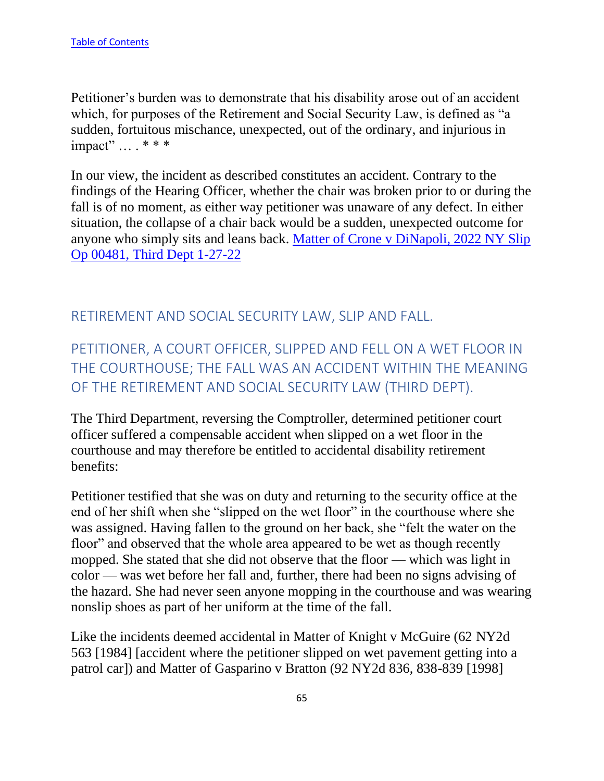Petitioner's burden was to demonstrate that his disability arose out of an accident which, for purposes of the Retirement and Social Security Law, is defined as "a sudden, fortuitous mischance, unexpected, out of the ordinary, and injurious in impact" … . \* \* \*

In our view, the incident as described constitutes an accident. Contrary to the findings of the Hearing Officer, whether the chair was broken prior to or during the fall is of no moment, as either way petitioner was unaware of any defect. In either situation, the collapse of a chair back would be a sudden, unexpected outcome for anyone who simply sits and leans back. [Matter of Crone v DiNapoli, 2022 NY Slip](https://nycourts.gov/reporter/3dseries/2022/2022_00481.htm)  [Op 00481, Third Dept 1-27-22](https://nycourts.gov/reporter/3dseries/2022/2022_00481.htm)

### RETIREMENT AND SOCIAL SECURITY LAW, SLIP AND FALL.

PETITIONER, A COURT OFFICER, SLIPPED AND FELL ON A WET FLOOR IN THE COURTHOUSE; THE FALL WAS AN ACCIDENT WITHIN THE MEANING OF THE RETIREMENT AND SOCIAL SECURITY LAW (THIRD DEPT).

The Third Department, reversing the Comptroller, determined petitioner court officer suffered a compensable accident when slipped on a wet floor in the courthouse and may therefore be entitled to accidental disability retirement benefits:

Petitioner testified that she was on duty and returning to the security office at the end of her shift when she "slipped on the wet floor" in the courthouse where she was assigned. Having fallen to the ground on her back, she "felt the water on the floor" and observed that the whole area appeared to be wet as though recently mopped. She stated that she did not observe that the floor — which was light in color — was wet before her fall and, further, there had been no signs advising of the hazard. She had never seen anyone mopping in the courthouse and was wearing nonslip shoes as part of her uniform at the time of the fall.

Like the incidents deemed accidental in Matter of Knight v McGuire (62 NY2d 563 [1984] [accident where the petitioner slipped on wet pavement getting into a patrol car]) and Matter of Gasparino v Bratton (92 NY2d 836, 838-839 [1998]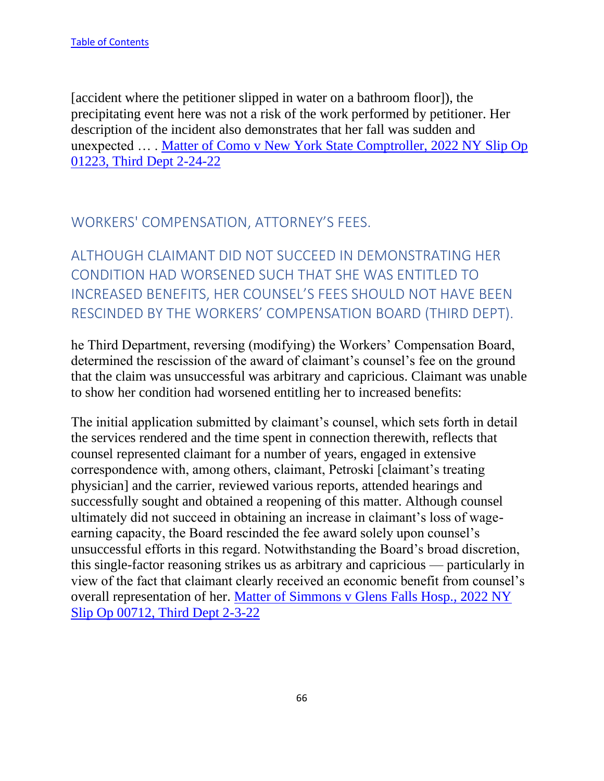[accident where the petitioner slipped in water on a bathroom floor]), the precipitating event here was not a risk of the work performed by petitioner. Her description of the incident also demonstrates that her fall was sudden and unexpected … . [Matter of Como v New York State Comptroller, 2022 NY Slip Op](https://nycourts.gov/reporter/3dseries/2022/2022_01223.htm)  [01223, Third Dept 2-24-22](https://nycourts.gov/reporter/3dseries/2022/2022_01223.htm)

WORKERS' COMPENSATION, ATTORNEY'S FEES.

ALTHOUGH CLAIMANT DID NOT SUCCEED IN DEMONSTRATING HER CONDITION HAD WORSENED SUCH THAT SHE WAS ENTITLED TO INCREASED BENEFITS, HER COUNSEL'S FEES SHOULD NOT HAVE BEEN RESCINDED BY THE WORKERS' COMPENSATION BOARD (THIRD DEPT).

he Third Department, reversing (modifying) the Workers' Compensation Board, determined the rescission of the award of claimant's counsel's fee on the ground that the claim was unsuccessful was arbitrary and capricious. Claimant was unable to show her condition had worsened entitling her to increased benefits:

The initial application submitted by claimant's counsel, which sets forth in detail the services rendered and the time spent in connection therewith, reflects that counsel represented claimant for a number of years, engaged in extensive correspondence with, among others, claimant, Petroski [claimant's treating physician] and the carrier, reviewed various reports, attended hearings and successfully sought and obtained a reopening of this matter. Although counsel ultimately did not succeed in obtaining an increase in claimant's loss of wageearning capacity, the Board rescinded the fee award solely upon counsel's unsuccessful efforts in this regard. Notwithstanding the Board's broad discretion, this single-factor reasoning strikes us as arbitrary and capricious — particularly in view of the fact that claimant clearly received an economic benefit from counsel's overall representation of her. [Matter of Simmons v Glens Falls Hosp., 2022 NY](https://nycourts.gov/reporter/3dseries/2022/2022_00712.htm)  [Slip Op 00712, Third Dept 2-3-22](https://nycourts.gov/reporter/3dseries/2022/2022_00712.htm)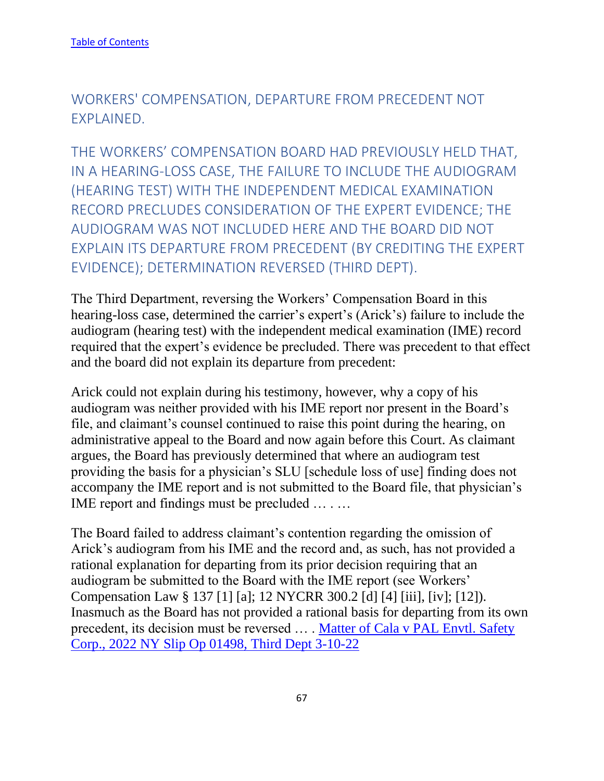WORKERS' COMPENSATION, DEPARTURE FROM PRECEDENT NOT EXPLAINED.

THE WORKERS' COMPENSATION BOARD HAD PREVIOUSLY HELD THAT, IN A HEARING-LOSS CASE, THE FAILURE TO INCLUDE THE AUDIOGRAM (HEARING TEST) WITH THE INDEPENDENT MEDICAL EXAMINATION RECORD PRECLUDES CONSIDERATION OF THE EXPERT EVIDENCE; THE AUDIOGRAM WAS NOT INCLUDED HERE AND THE BOARD DID NOT EXPLAIN ITS DEPARTURE FROM PRECEDENT (BY CREDITING THE EXPERT EVIDENCE); DETERMINATION REVERSED (THIRD DEPT).

The Third Department, reversing the Workers' Compensation Board in this hearing-loss case, determined the carrier's expert's (Arick's) failure to include the audiogram (hearing test) with the independent medical examination (IME) record required that the expert's evidence be precluded. There was precedent to that effect and the board did not explain its departure from precedent:

Arick could not explain during his testimony, however, why a copy of his audiogram was neither provided with his IME report nor present in the Board's file, and claimant's counsel continued to raise this point during the hearing, on administrative appeal to the Board and now again before this Court. As claimant argues, the Board has previously determined that where an audiogram test providing the basis for a physician's SLU [schedule loss of use] finding does not accompany the IME report and is not submitted to the Board file, that physician's IME report and findings must be precluded … . …

The Board failed to address claimant's contention regarding the omission of Arick's audiogram from his IME and the record and, as such, has not provided a rational explanation for departing from its prior decision requiring that an audiogram be submitted to the Board with the IME report (see Workers' Compensation Law § 137 [1] [a]; 12 NYCRR 300.2 [d] [4] [iii], [iv]; [12]). Inasmuch as the Board has not provided a rational basis for departing from its own precedent, its decision must be reversed ... . Matter of Cala v PAL Envtl. Safety [Corp., 2022 NY Slip Op 01498, Third Dept 3-10-22](https://nycourts.gov/reporter/3dseries/2022/2022_01498.htm)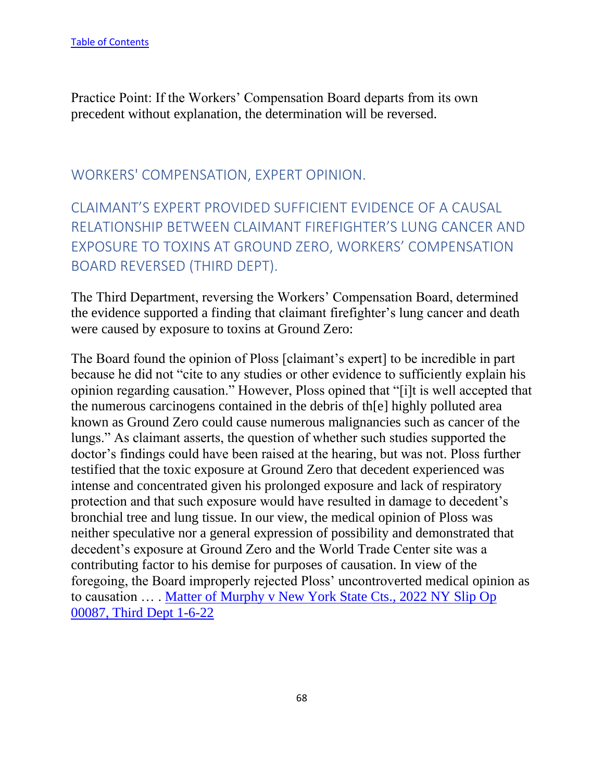Practice Point: If the Workers' Compensation Board departs from its own precedent without explanation, the determination will be reversed.

### WORKERS' COMPENSATION, EXPERT OPINION.

CLAIMANT'S EXPERT PROVIDED SUFFICIENT EVIDENCE OF A CAUSAL RELATIONSHIP BETWEEN CLAIMANT FIREFIGHTER'S LUNG CANCER AND EXPOSURE TO TOXINS AT GROUND ZERO, WORKERS' COMPENSATION BOARD REVERSED (THIRD DEPT).

The Third Department, reversing the Workers' Compensation Board, determined the evidence supported a finding that claimant firefighter's lung cancer and death were caused by exposure to toxins at Ground Zero:

The Board found the opinion of Ploss [claimant's expert] to be incredible in part because he did not "cite to any studies or other evidence to sufficiently explain his opinion regarding causation." However, Ploss opined that "[i]t is well accepted that the numerous carcinogens contained in the debris of th[e] highly polluted area known as Ground Zero could cause numerous malignancies such as cancer of the lungs." As claimant asserts, the question of whether such studies supported the doctor's findings could have been raised at the hearing, but was not. Ploss further testified that the toxic exposure at Ground Zero that decedent experienced was intense and concentrated given his prolonged exposure and lack of respiratory protection and that such exposure would have resulted in damage to decedent's bronchial tree and lung tissue. In our view, the medical opinion of Ploss was neither speculative nor a general expression of possibility and demonstrated that decedent's exposure at Ground Zero and the World Trade Center site was a contributing factor to his demise for purposes of causation. In view of the foregoing, the Board improperly rejected Ploss' uncontroverted medical opinion as to causation … . [Matter of Murphy v New York State Cts., 2022 NY Slip Op](https://nycourts.gov/reporter/3dseries/2022/2022_00087.htm)  [00087, Third Dept 1-6-22](https://nycourts.gov/reporter/3dseries/2022/2022_00087.htm)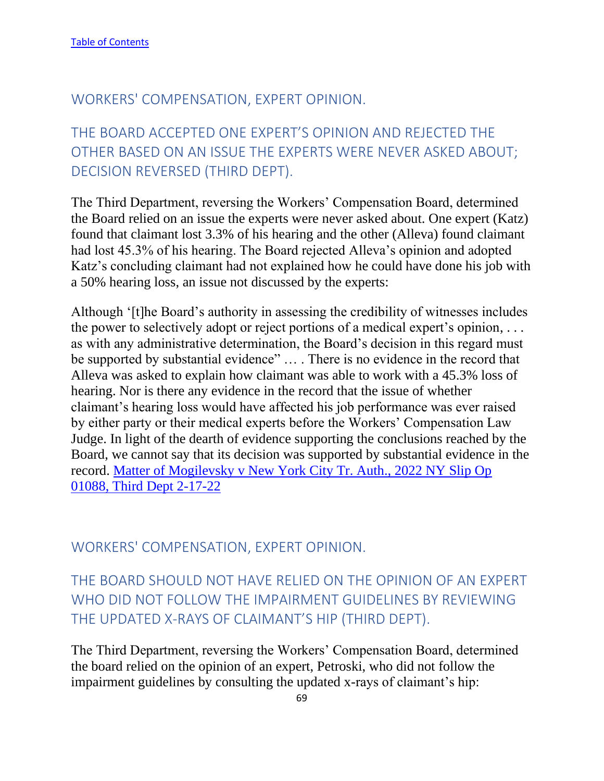### WORKERS' COMPENSATION, EXPERT OPINION.

# THE BOARD ACCEPTED ONE EXPERT'S OPINION AND REJECTED THE OTHER BASED ON AN ISSUE THE EXPERTS WERE NEVER ASKED ABOUT; DECISION REVERSED (THIRD DEPT).

The Third Department, reversing the Workers' Compensation Board, determined the Board relied on an issue the experts were never asked about. One expert (Katz) found that claimant lost 3.3% of his hearing and the other (Alleva) found claimant had lost 45.3% of his hearing. The Board rejected Alleva's opinion and adopted Katz's concluding claimant had not explained how he could have done his job with a 50% hearing loss, an issue not discussed by the experts:

Although '[t]he Board's authority in assessing the credibility of witnesses includes the power to selectively adopt or reject portions of a medical expert's opinion, . . . as with any administrative determination, the Board's decision in this regard must be supported by substantial evidence" … . There is no evidence in the record that Alleva was asked to explain how claimant was able to work with a 45.3% loss of hearing. Nor is there any evidence in the record that the issue of whether claimant's hearing loss would have affected his job performance was ever raised by either party or their medical experts before the Workers' Compensation Law Judge. In light of the dearth of evidence supporting the conclusions reached by the Board, we cannot say that its decision was supported by substantial evidence in the record. Matter of Mogilevsky [v New York City Tr. Auth., 2022 NY Slip Op](https://nycourts.gov/reporter/3dseries/2022/2022_01088.htm)  [01088, Third Dept 2-17-22](https://nycourts.gov/reporter/3dseries/2022/2022_01088.htm)

WORKERS' COMPENSATION, EXPERT OPINION.

# THE BOARD SHOULD NOT HAVE RELIED ON THE OPINION OF AN EXPERT WHO DID NOT FOLLOW THE IMPAIRMENT GUIDELINES BY REVIEWING THE UPDATED X-RAYS OF CLAIMANT'S HIP (THIRD DEPT).

The Third Department, reversing the Workers' Compensation Board, determined the board relied on the opinion of an expert, Petroski, who did not follow the impairment guidelines by consulting the updated x-rays of claimant's hip: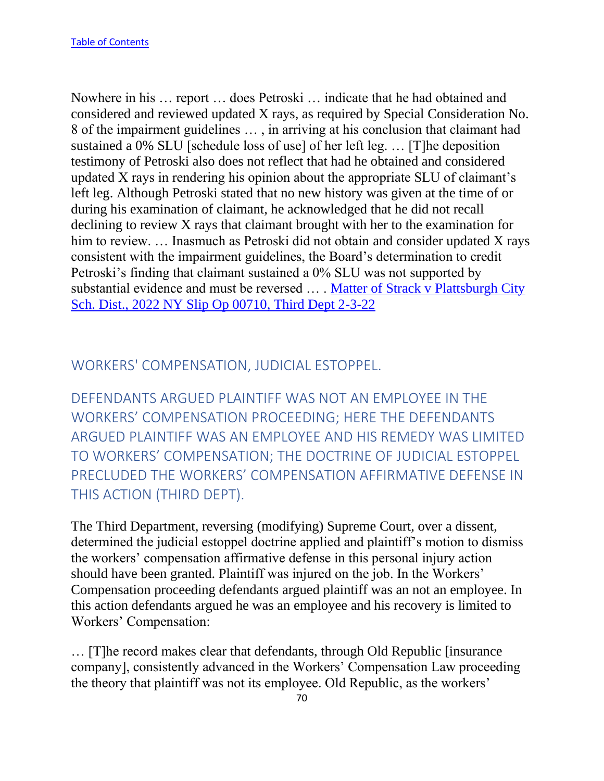Nowhere in his … report … does Petroski … indicate that he had obtained and considered and reviewed updated X rays, as required by Special Consideration No. 8 of the impairment guidelines … , in arriving at his conclusion that claimant had sustained a 0% SLU [schedule loss of use] of her left leg. … [T]he deposition testimony of Petroski also does not reflect that had he obtained and considered updated X rays in rendering his opinion about the appropriate SLU of claimant's left leg. Although Petroski stated that no new history was given at the time of or during his examination of claimant, he acknowledged that he did not recall declining to review X rays that claimant brought with her to the examination for him to review. ... Inasmuch as Petroski did not obtain and consider updated X rays consistent with the impairment guidelines, the Board's determination to credit Petroski's finding that claimant sustained a 0% SLU was not supported by substantial evidence and must be reversed ... . Matter of Strack v Plattsburgh City [Sch. Dist., 2022 NY Slip Op 00710, Third Dept 2-3-22](https://nycourts.gov/reporter/3dseries/2022/2022_00710.htm)

## WORKERS' COMPENSATION, JUDICIAL ESTOPPEL.

DEFENDANTS ARGUED PLAINTIFF WAS NOT AN EMPLOYEE IN THE WORKERS' COMPENSATION PROCEEDING; HERE THE DEFENDANTS ARGUED PLAINTIFF WAS AN EMPLOYEE AND HIS REMEDY WAS LIMITED TO WORKERS' COMPENSATION; THE DOCTRINE OF JUDICIAL ESTOPPEL PRECLUDED THE WORKERS' COMPENSATION AFFIRMATIVE DEFENSE IN THIS ACTION (THIRD DEPT).

The Third Department, reversing (modifying) Supreme Court, over a dissent, determined the judicial estoppel doctrine applied and plaintiff's motion to dismiss the workers' compensation affirmative defense in this personal injury action should have been granted. Plaintiff was injured on the job. In the Workers' Compensation proceeding defendants argued plaintiff was an not an employee. In this action defendants argued he was an employee and his recovery is limited to Workers' Compensation:

… [T]he record makes clear that defendants, through Old Republic [insurance company], consistently advanced in the Workers' Compensation Law proceeding the theory that plaintiff was not its employee. Old Republic, as the workers'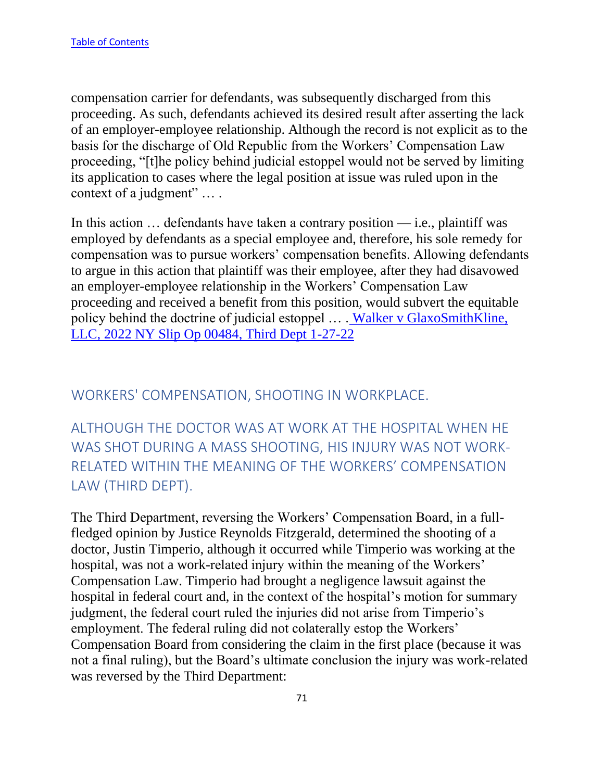compensation carrier for defendants, was subsequently discharged from this proceeding. As such, defendants achieved its desired result after asserting the lack of an employer-employee relationship. Although the record is not explicit as to the basis for the discharge of Old Republic from the Workers' Compensation Law proceeding, "[t]he policy behind judicial estoppel would not be served by limiting its application to cases where the legal position at issue was ruled upon in the context of a judgment" … .

In this action  $\ldots$  defendants have taken a contrary position — i.e., plaintiff was employed by defendants as a special employee and, therefore, his sole remedy for compensation was to pursue workers' compensation benefits. Allowing defendants to argue in this action that plaintiff was their employee, after they had disavowed an employer-employee relationship in the Workers' Compensation Law proceeding and received a benefit from this position, would subvert the equitable policy behind the doctrine of judicial estoppel … . [Walker v GlaxoSmithKline,](https://nycourts.gov/reporter/3dseries/2022/2022_00484.htm)  [LLC, 2022 NY Slip Op 00484, Third Dept 1-27-22](https://nycourts.gov/reporter/3dseries/2022/2022_00484.htm)

## WORKERS' COMPENSATION, SHOOTING IN WORKPLACE.

ALTHOUGH THE DOCTOR WAS AT WORK AT THE HOSPITAL WHEN HE WAS SHOT DURING A MASS SHOOTING, HIS INJURY WAS NOT WORK-RELATED WITHIN THE MEANING OF THE WORKERS' COMPENSATION LAW (THIRD DEPT).

The Third Department, reversing the Workers' Compensation Board, in a fullfledged opinion by Justice Reynolds Fitzgerald, determined the shooting of a doctor, Justin Timperio, although it occurred while Timperio was working at the hospital, was not a work-related injury within the meaning of the Workers' Compensation Law. Timperio had brought a negligence lawsuit against the hospital in federal court and, in the context of the hospital's motion for summary judgment, the federal court ruled the injuries did not arise from Timperio's employment. The federal ruling did not colaterally estop the Workers' Compensation Board from considering the claim in the first place (because it was not a final ruling), but the Board's ultimate conclusion the injury was work-related was reversed by the Third Department: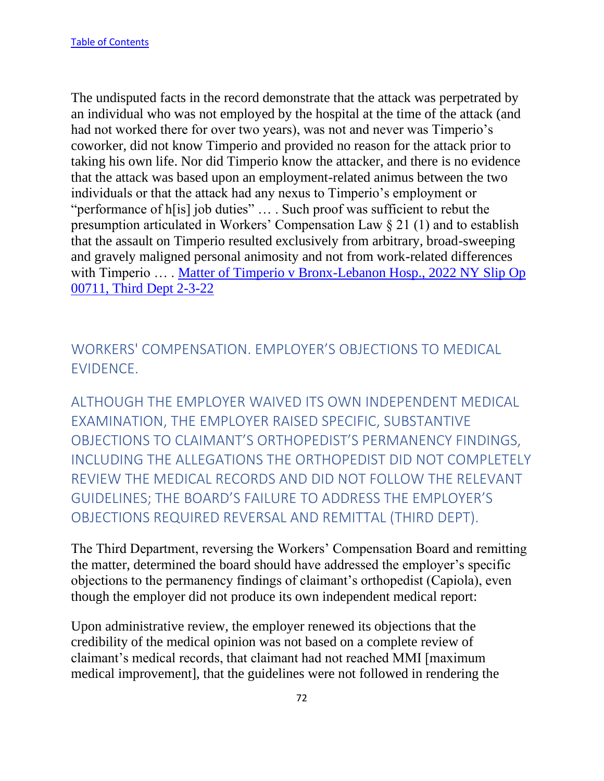The undisputed facts in the record demonstrate that the attack was perpetrated by an individual who was not employed by the hospital at the time of the attack (and had not worked there for over two years), was not and never was Timperio's coworker, did not know Timperio and provided no reason for the attack prior to taking his own life. Nor did Timperio know the attacker, and there is no evidence that the attack was based upon an employment-related animus between the two individuals or that the attack had any nexus to Timperio's employment or "performance of h[is] job duties" … . Such proof was sufficient to rebut the presumption articulated in Workers' Compensation Law § 21 (1) and to establish that the assault on Timperio resulted exclusively from arbitrary, broad-sweeping and gravely maligned personal animosity and not from work-related differences with Timperio .... Matter of Timperio v Bronx-Lebanon Hosp., 2022 NY Slip Op 00711, Third Dept 2-3-22

WORKERS' COMPENSATION. EMPLOYER'S OBJECTIONS TO MEDICAL EVIDENCE.

ALTHOUGH THE EMPLOYER WAIVED ITS OWN INDEPENDENT MEDICAL EXAMINATION, THE EMPLOYER RAISED SPECIFIC, SUBSTANTIVE OBJECTIONS TO CLAIMANT'S ORTHOPEDIST'S PERMANENCY FINDINGS, INCLUDING THE ALLEGATIONS THE ORTHOPEDIST DID NOT COMPLETELY REVIEW THE MEDICAL RECORDS AND DID NOT FOLLOW THE RELEVANT GUIDELINES; THE BOARD'S FAILURE TO ADDRESS THE EMPLOYER'S OBJECTIONS REQUIRED REVERSAL AND REMITTAL (THIRD DEPT).

The Third Department, reversing the Workers' Compensation Board and remitting the matter, determined the board should have addressed the employer's specific objections to the permanency findings of claimant's orthopedist (Capiola), even though the employer did not produce its own independent medical report:

Upon administrative review, the employer renewed its objections that the credibility of the medical opinion was not based on a complete review of claimant's medical records, that claimant had not reached MMI [maximum medical improvement], that the guidelines were not followed in rendering the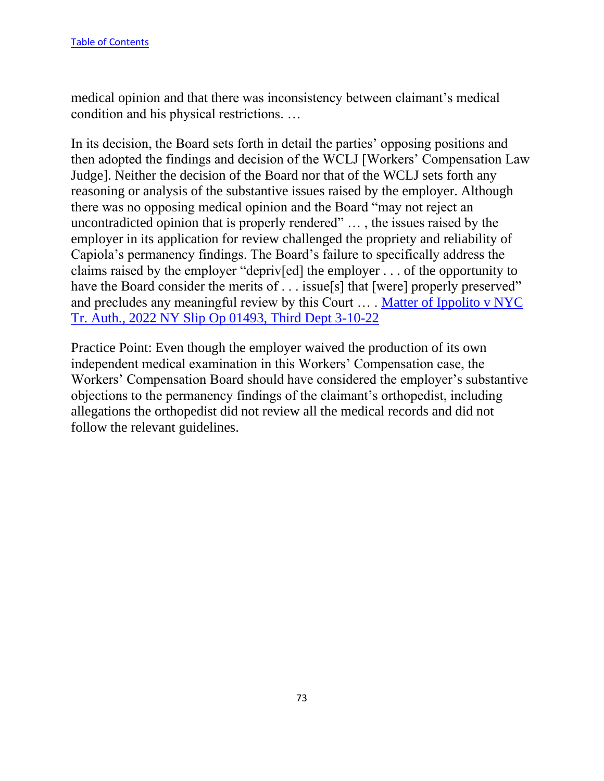medical opinion and that there was inconsistency between claimant's medical condition and his physical restrictions. …

In its decision, the Board sets forth in detail the parties' opposing positions and then adopted the findings and decision of the WCLJ [Workers' Compensation Law Judge]. Neither the decision of the Board nor that of the WCLJ sets forth any reasoning or analysis of the substantive issues raised by the employer. Although there was no opposing medical opinion and the Board "may not reject an uncontradicted opinion that is properly rendered" … , the issues raised by the employer in its application for review challenged the propriety and reliability of Capiola's permanency findings. The Board's failure to specifically address the claims raised by the employer "depriv[ed] the employer . . . of the opportunity to have the Board consider the merits of . . . issue[s] that [were] properly preserved" and precludes any meaningful review by this Court … . Matter of Ippolito v NYC Tr. Auth., 2022 NY Slip Op 01493, Third Dept 3-10-22

Practice Point: Even though the employer waived the production of its own independent medical examination in this Workers' Compensation case, the Workers' Compensation Board should have considered the employer's substantive objections to the permanency findings of the claimant's orthopedist, including allegations the orthopedist did not review all the medical records and did not follow the relevant guidelines.